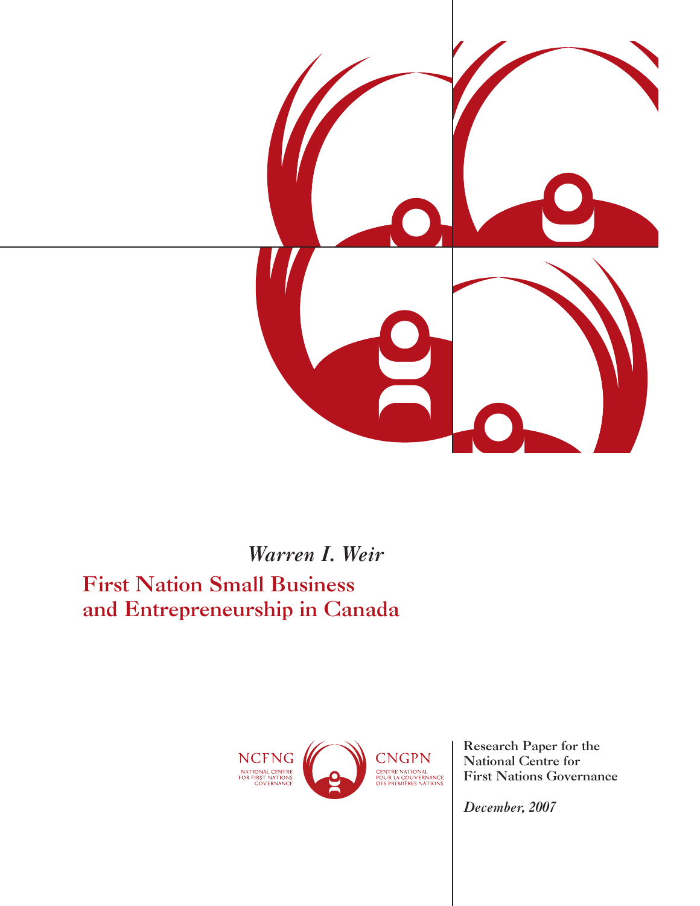

*Warren I. Weir* First Nation Small Business and Entrepreneurship in Canada



Research Paper for the National Centre for First Nations Governance

*December, 2007*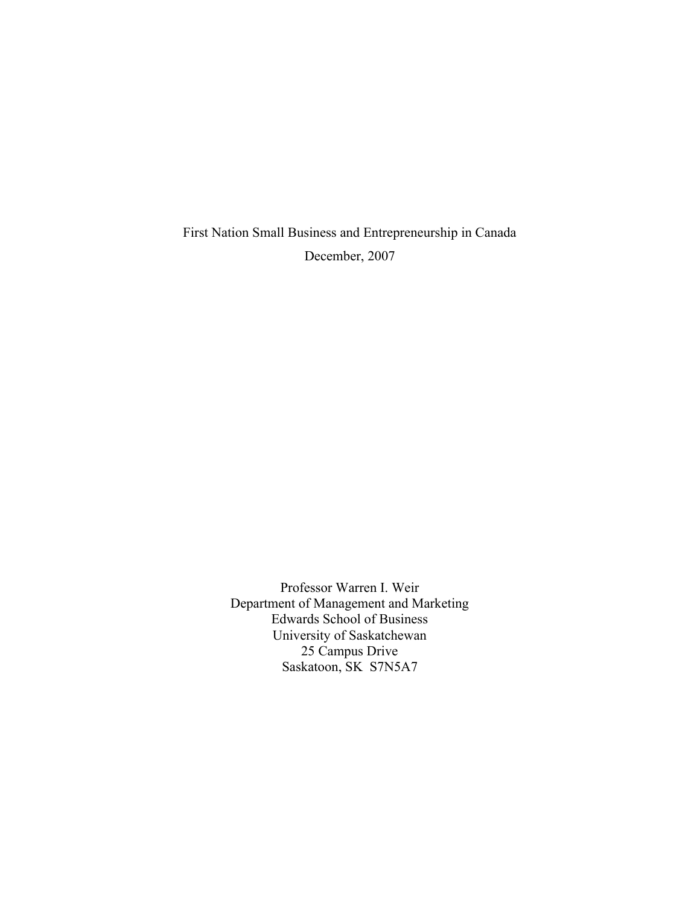First Nation Small Business and Entrepreneurship in Canada December, 2007

> Professor Warren I. Weir Department of Management and Marketing Edwards School of Business University of Saskatchewan 25 Campus Drive Saskatoon, SK S7N5A7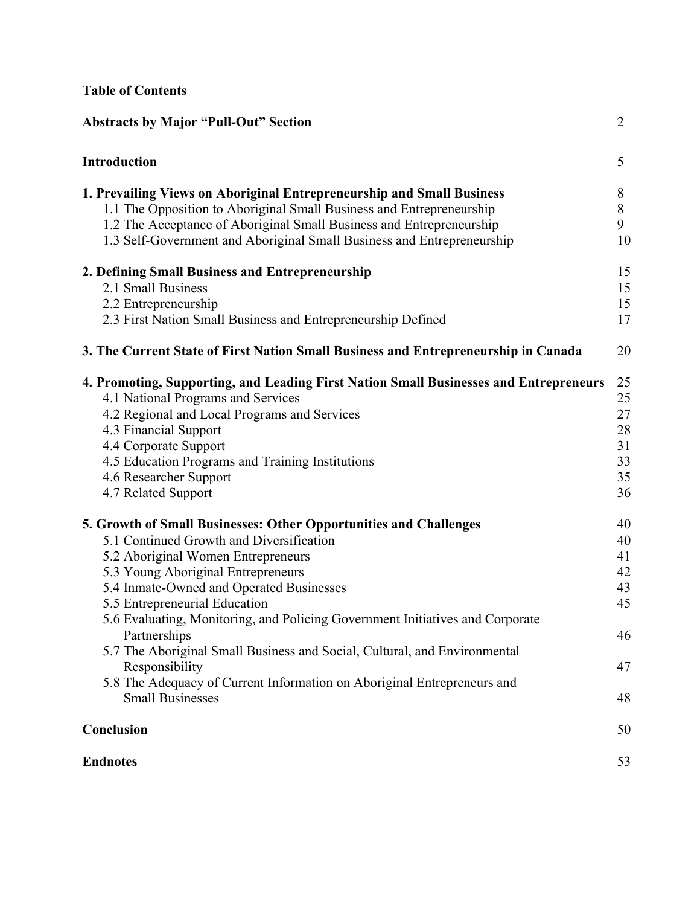# **Table of Contents**

| <b>Abstracts by Major "Pull-Out" Section</b>                                                                                                                                                                                                                                                                                                                                                                                                                                                                                                                                 | $\overline{2}$                                     |
|------------------------------------------------------------------------------------------------------------------------------------------------------------------------------------------------------------------------------------------------------------------------------------------------------------------------------------------------------------------------------------------------------------------------------------------------------------------------------------------------------------------------------------------------------------------------------|----------------------------------------------------|
| <b>Introduction</b>                                                                                                                                                                                                                                                                                                                                                                                                                                                                                                                                                          | 5                                                  |
| 1. Prevailing Views on Aboriginal Entrepreneurship and Small Business<br>1.1 The Opposition to Aboriginal Small Business and Entrepreneurship<br>1.2 The Acceptance of Aboriginal Small Business and Entrepreneurship<br>1.3 Self-Government and Aboriginal Small Business and Entrepreneurship                                                                                                                                                                                                                                                                              | 8<br>8<br>9<br>10                                  |
| 2. Defining Small Business and Entrepreneurship<br>2.1 Small Business<br>2.2 Entrepreneurship<br>2.3 First Nation Small Business and Entrepreneurship Defined                                                                                                                                                                                                                                                                                                                                                                                                                | 15<br>15<br>15<br>17                               |
| 3. The Current State of First Nation Small Business and Entrepreneurship in Canada                                                                                                                                                                                                                                                                                                                                                                                                                                                                                           | 20                                                 |
| 4. Promoting, Supporting, and Leading First Nation Small Businesses and Entrepreneurs<br>4.1 National Programs and Services<br>4.2 Regional and Local Programs and Services<br>4.3 Financial Support<br>4.4 Corporate Support<br>4.5 Education Programs and Training Institutions<br>4.6 Researcher Support<br>4.7 Related Support                                                                                                                                                                                                                                           | 25<br>25<br>27<br>28<br>31<br>33<br>35<br>36       |
| 5. Growth of Small Businesses: Other Opportunities and Challenges<br>5.1 Continued Growth and Diversification<br>5.2 Aboriginal Women Entrepreneurs<br>5.3 Young Aboriginal Entrepreneurs<br>5.4 Inmate-Owned and Operated Businesses<br>5.5 Entrepreneurial Education<br>5.6 Evaluating, Monitoring, and Policing Government Initiatives and Corporate<br>Partnerships<br>5.7 The Aboriginal Small Business and Social, Cultural, and Environmental<br>Responsibility<br>5.8 The Adequacy of Current Information on Aboriginal Entrepreneurs and<br><b>Small Businesses</b> | 40<br>40<br>41<br>42<br>43<br>45<br>46<br>47<br>48 |
| Conclusion                                                                                                                                                                                                                                                                                                                                                                                                                                                                                                                                                                   | 50                                                 |
| <b>Endnotes</b>                                                                                                                                                                                                                                                                                                                                                                                                                                                                                                                                                              | 53                                                 |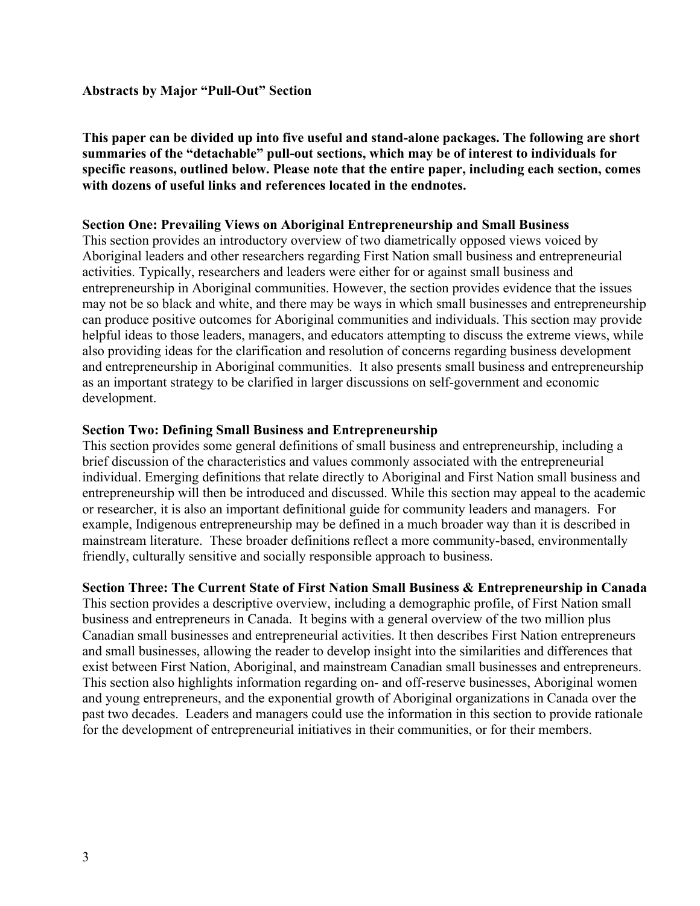## **Abstracts by Major "Pull-Out" Section**

**This paper can be divided up into five useful and stand-alone packages. The following are short summaries of the "detachable" pull-out sections, which may be of interest to individuals for specific reasons, outlined below. Please note that the entire paper, including each section, comes with dozens of useful links and references located in the endnotes.**

## **Section One: Prevailing Views on Aboriginal Entrepreneurship and Small Business**

This section provides an introductory overview of two diametrically opposed views voiced by Aboriginal leaders and other researchers regarding First Nation small business and entrepreneurial activities. Typically, researchers and leaders were either for or against small business and entrepreneurship in Aboriginal communities. However, the section provides evidence that the issues may not be so black and white, and there may be ways in which small businesses and entrepreneurship can produce positive outcomes for Aboriginal communities and individuals. This section may provide helpful ideas to those leaders, managers, and educators attempting to discuss the extreme views, while also providing ideas for the clarification and resolution of concerns regarding business development and entrepreneurship in Aboriginal communities. It also presents small business and entrepreneurship as an important strategy to be clarified in larger discussions on self-government and economic development.

## **Section Two: Defining Small Business and Entrepreneurship**

This section provides some general definitions of small business and entrepreneurship, including a brief discussion of the characteristics and values commonly associated with the entrepreneurial individual. Emerging definitions that relate directly to Aboriginal and First Nation small business and entrepreneurship will then be introduced and discussed. While this section may appeal to the academic or researcher, it is also an important definitional guide for community leaders and managers. For example, Indigenous entrepreneurship may be defined in a much broader way than it is described in mainstream literature. These broader definitions reflect a more community-based, environmentally friendly, culturally sensitive and socially responsible approach to business.

## **Section Three: The Current State of First Nation Small Business & Entrepreneurship in Canada**

This section provides a descriptive overview, including a demographic profile, of First Nation small business and entrepreneurs in Canada. It begins with a general overview of the two million plus Canadian small businesses and entrepreneurial activities. It then describes First Nation entrepreneurs and small businesses, allowing the reader to develop insight into the similarities and differences that exist between First Nation, Aboriginal, and mainstream Canadian small businesses and entrepreneurs. This section also highlights information regarding on- and off-reserve businesses, Aboriginal women and young entrepreneurs, and the exponential growth of Aboriginal organizations in Canada over the past two decades. Leaders and managers could use the information in this section to provide rationale for the development of entrepreneurial initiatives in their communities, or for their members.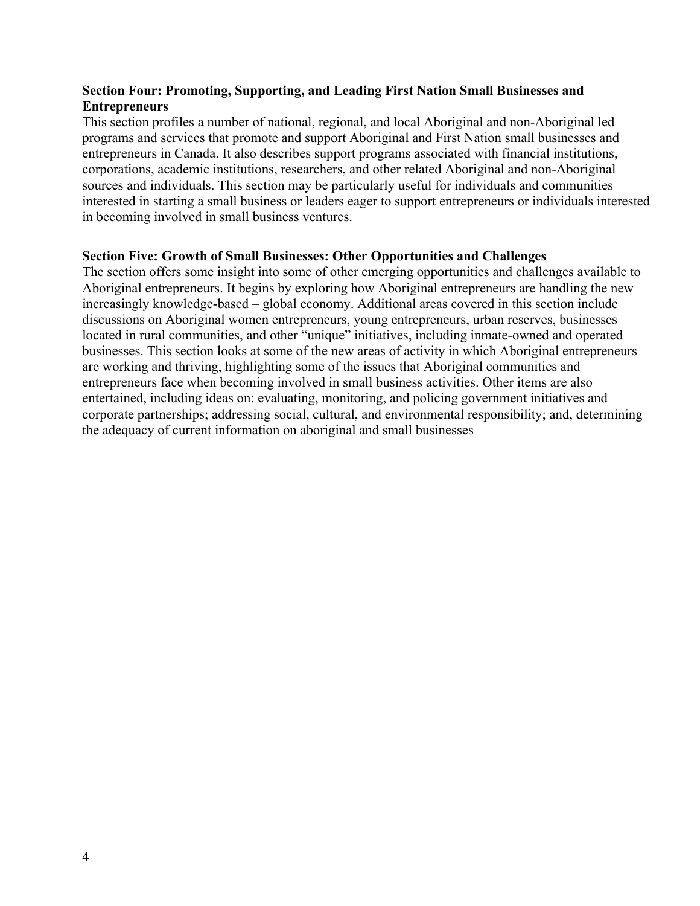# **Section Four: Promoting, Supporting, and Leading First Nation Small Businesses and Entrepreneurs**

This section profiles a number of national, regional, and local Aboriginal and non-Aboriginal led programs and services that promote and support Aboriginal and First Nation small businesses and entrepreneurs in Canada. It also describes support programs associated with financial institutions, corporations, academic institutions, researchers, and other related Aboriginal and non-Aboriginal sources and individuals. This section may be particularly useful for individuals and communities interested in starting a small business or leaders eager to support entrepreneurs or individuals interested in becoming involved in small business ventures.

# **Section Five: Growth of Small Businesses: Other Opportunities and Challenges**

The section offers some insight into some of other emerging opportunities and challenges available to Aboriginal entrepreneurs. It begins by exploring how Aboriginal entrepreneurs are handling the new – increasingly knowledge-based – global economy. Additional areas covered in this section include discussions on Aboriginal women entrepreneurs, young entrepreneurs, urban reserves, businesses located in rural communities, and other "unique" initiatives, including inmate-owned and operated businesses. This section looks at some of the new areas of activity in which Aboriginal entrepreneurs are working and thriving, highlighting some of the issues that Aboriginal communities and entrepreneurs face when becoming involved in small business activities. Other items are also entertained, including ideas on: evaluating, monitoring, and policing government initiatives and corporate partnerships; addressing social, cultural, and environmental responsibility; and, determining the adequacy of current information on aboriginal and small businesses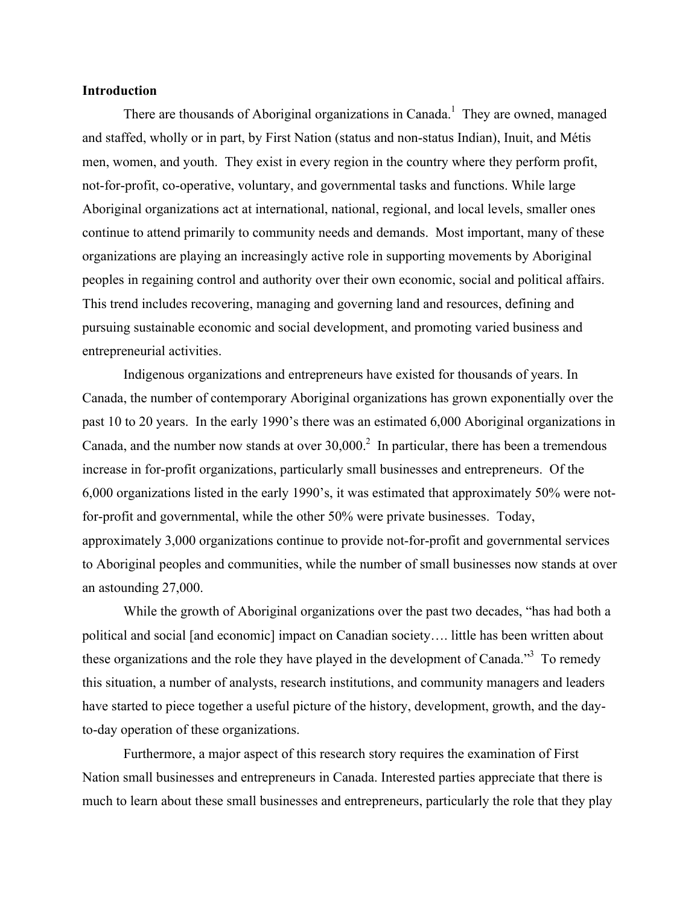#### **Introduction**

There are thousands of Aboriginal organizations in Canada.<sup>1</sup> They are owned, managed and staffed, wholly or in part, by First Nation (status and non-status Indian), Inuit, and Métis men, women, and youth. They exist in every region in the country where they perform profit, not-for-profit, co-operative, voluntary, and governmental tasks and functions. While large Aboriginal organizations act at international, national, regional, and local levels, smaller ones continue to attend primarily to community needs and demands. Most important, many of these organizations are playing an increasingly active role in supporting movements by Aboriginal peoples in regaining control and authority over their own economic, social and political affairs. This trend includes recovering, managing and governing land and resources, defining and pursuing sustainable economic and social development, and promoting varied business and entrepreneurial activities.

Indigenous organizations and entrepreneurs have existed for thousands of years. In Canada, the number of contemporary Aboriginal organizations has grown exponentially over the past 10 to 20 years. In the early 1990's there was an estimated 6,000 Aboriginal organizations in Canada, and the number now stands at over  $30,000$ <sup>2</sup> In particular, there has been a tremendous increase in for-profit organizations, particularly small businesses and entrepreneurs. Of the 6,000 organizations listed in the early 1990's, it was estimated that approximately 50% were notfor-profit and governmental, while the other 50% were private businesses. Today, approximately 3,000 organizations continue to provide not-for-profit and governmental services to Aboriginal peoples and communities, while the number of small businesses now stands at over an astounding 27,000.

While the growth of Aboriginal organizations over the past two decades, "has had both a political and social [and economic] impact on Canadian society…. little has been written about these organizations and the role they have played in the development of Canada."<sup>3</sup> To remedy this situation, a number of analysts, research institutions, and community managers and leaders have started to piece together a useful picture of the history, development, growth, and the dayto-day operation of these organizations.

Furthermore, a major aspect of this research story requires the examination of First Nation small businesses and entrepreneurs in Canada. Interested parties appreciate that there is much to learn about these small businesses and entrepreneurs, particularly the role that they play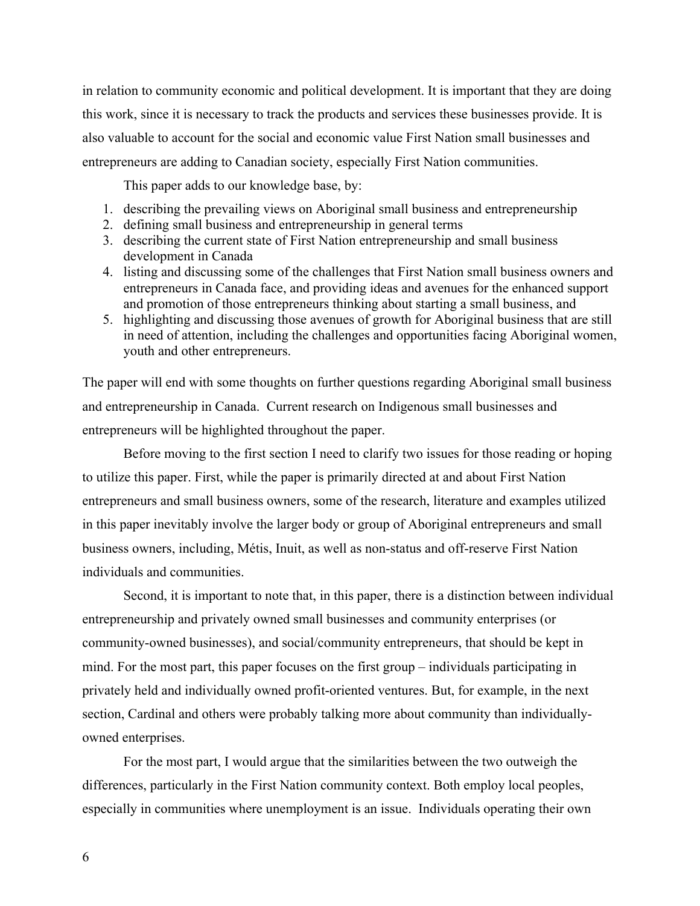in relation to community economic and political development. It is important that they are doing this work, since it is necessary to track the products and services these businesses provide. It is also valuable to account for the social and economic value First Nation small businesses and entrepreneurs are adding to Canadian society, especially First Nation communities.

This paper adds to our knowledge base, by:

- 1. describing the prevailing views on Aboriginal small business and entrepreneurship
- 2. defining small business and entrepreneurship in general terms
- 3. describing the current state of First Nation entrepreneurship and small business development in Canada
- 4. listing and discussing some of the challenges that First Nation small business owners and entrepreneurs in Canada face, and providing ideas and avenues for the enhanced support and promotion of those entrepreneurs thinking about starting a small business, and
- 5. highlighting and discussing those avenues of growth for Aboriginal business that are still in need of attention, including the challenges and opportunities facing Aboriginal women, youth and other entrepreneurs.

The paper will end with some thoughts on further questions regarding Aboriginal small business and entrepreneurship in Canada. Current research on Indigenous small businesses and entrepreneurs will be highlighted throughout the paper.

Before moving to the first section I need to clarify two issues for those reading or hoping to utilize this paper. First, while the paper is primarily directed at and about First Nation entrepreneurs and small business owners, some of the research, literature and examples utilized in this paper inevitably involve the larger body or group of Aboriginal entrepreneurs and small business owners, including, Métis, Inuit, as well as non-status and off-reserve First Nation individuals and communities.

Second, it is important to note that, in this paper, there is a distinction between individual entrepreneurship and privately owned small businesses and community enterprises (or community-owned businesses), and social/community entrepreneurs, that should be kept in mind. For the most part, this paper focuses on the first group – individuals participating in privately held and individually owned profit-oriented ventures. But, for example, in the next section, Cardinal and others were probably talking more about community than individuallyowned enterprises.

For the most part, I would argue that the similarities between the two outweigh the differences, particularly in the First Nation community context. Both employ local peoples, especially in communities where unemployment is an issue. Individuals operating their own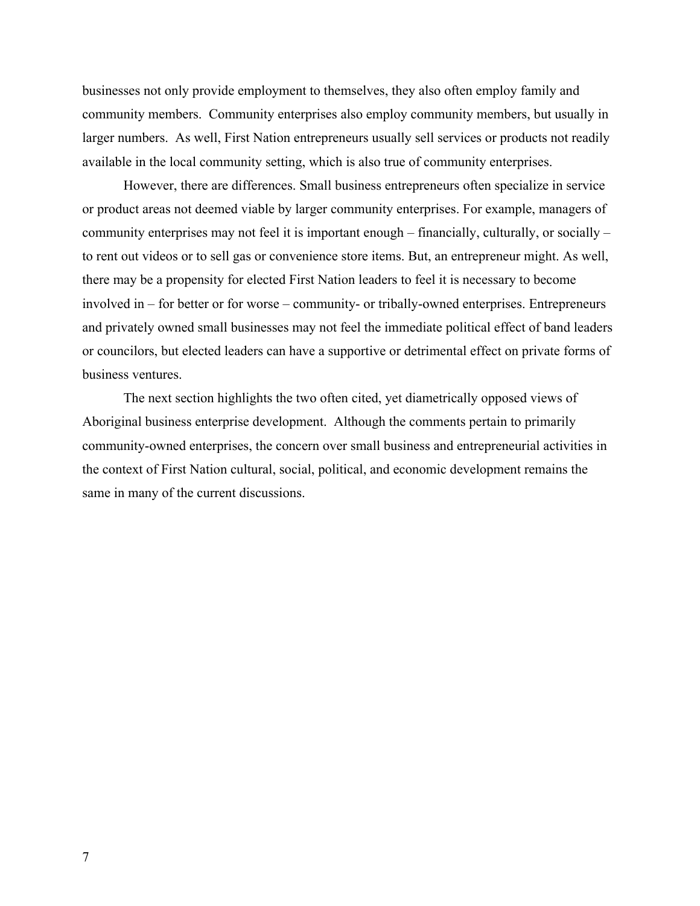businesses not only provide employment to themselves, they also often employ family and community members. Community enterprises also employ community members, but usually in larger numbers. As well, First Nation entrepreneurs usually sell services or products not readily available in the local community setting, which is also true of community enterprises.

However, there are differences. Small business entrepreneurs often specialize in service or product areas not deemed viable by larger community enterprises. For example, managers of community enterprises may not feel it is important enough – financially, culturally, or socially – to rent out videos or to sell gas or convenience store items. But, an entrepreneur might. As well, there may be a propensity for elected First Nation leaders to feel it is necessary to become involved in – for better or for worse – community- or tribally-owned enterprises. Entrepreneurs and privately owned small businesses may not feel the immediate political effect of band leaders or councilors, but elected leaders can have a supportive or detrimental effect on private forms of business ventures.

The next section highlights the two often cited, yet diametrically opposed views of Aboriginal business enterprise development. Although the comments pertain to primarily community-owned enterprises, the concern over small business and entrepreneurial activities in the context of First Nation cultural, social, political, and economic development remains the same in many of the current discussions.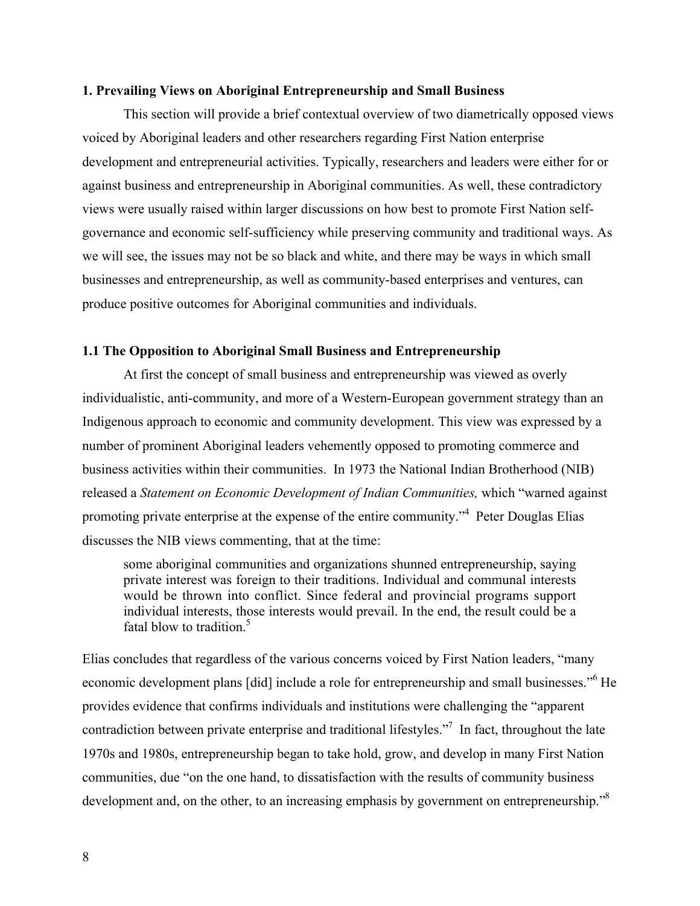#### **1. Prevailing Views on Aboriginal Entrepreneurship and Small Business**

This section will provide a brief contextual overview of two diametrically opposed views voiced by Aboriginal leaders and other researchers regarding First Nation enterprise development and entrepreneurial activities. Typically, researchers and leaders were either for or against business and entrepreneurship in Aboriginal communities. As well, these contradictory views were usually raised within larger discussions on how best to promote First Nation selfgovernance and economic self-sufficiency while preserving community and traditional ways. As we will see, the issues may not be so black and white, and there may be ways in which small businesses and entrepreneurship, as well as community-based enterprises and ventures, can produce positive outcomes for Aboriginal communities and individuals.

#### **1.1 The Opposition to Aboriginal Small Business and Entrepreneurship**

At first the concept of small business and entrepreneurship was viewed as overly individualistic, anti-community, and more of a Western-European government strategy than an Indigenous approach to economic and community development. This view was expressed by a number of prominent Aboriginal leaders vehemently opposed to promoting commerce and business activities within their communities. In 1973 the National Indian Brotherhood (NIB) released a *Statement on Economic Development of Indian Communities,* which "warned against promoting private enterprise at the expense of the entire community."<sup>4</sup> Peter Douglas Elias discusses the NIB views commenting, that at the time:

some aboriginal communities and organizations shunned entrepreneurship, saying private interest was foreign to their traditions. Individual and communal interests would be thrown into conflict. Since federal and provincial programs support individual interests, those interests would prevail. In the end, the result could be a fatal blow to tradition.<sup>5</sup>

Elias concludes that regardless of the various concerns voiced by First Nation leaders, "many economic development plans [did] include a role for entrepreneurship and small businesses."<sup>6</sup> He provides evidence that confirms individuals and institutions were challenging the "apparent contradiction between private enterprise and traditional lifestyles."<sup>7</sup> In fact, throughout the late 1970s and 1980s, entrepreneurship began to take hold, grow, and develop in many First Nation communities, due "on the one hand, to dissatisfaction with the results of community business development and, on the other, to an increasing emphasis by government on entrepreneurship.<sup>58</sup>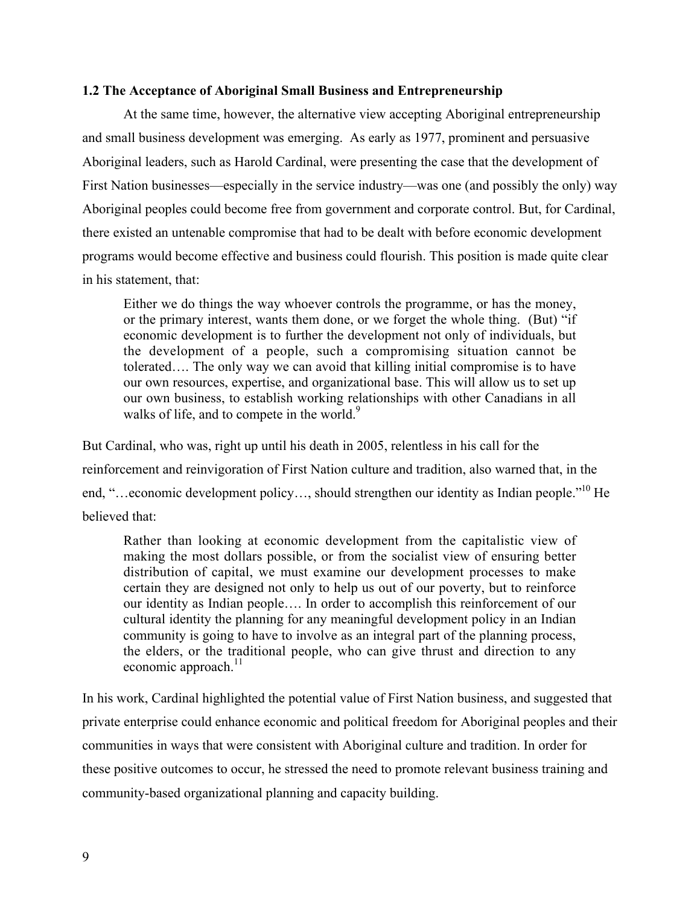#### **1.2 The Acceptance of Aboriginal Small Business and Entrepreneurship**

At the same time, however, the alternative view accepting Aboriginal entrepreneurship and small business development was emerging. As early as 1977, prominent and persuasive Aboriginal leaders, such as Harold Cardinal, were presenting the case that the development of First Nation businesses—especially in the service industry—was one (and possibly the only) way Aboriginal peoples could become free from government and corporate control. But, for Cardinal, there existed an untenable compromise that had to be dealt with before economic development programs would become effective and business could flourish. This position is made quite clear in his statement, that:

Either we do things the way whoever controls the programme, or has the money, or the primary interest, wants them done, or we forget the whole thing. (But) "if economic development is to further the development not only of individuals, but the development of a people, such a compromising situation cannot be tolerated…. The only way we can avoid that killing initial compromise is to have our own resources, expertise, and organizational base. This will allow us to set up our own business, to establish working relationships with other Canadians in all walks of life, and to compete in the world. $9$ 

But Cardinal, who was, right up until his death in 2005, relentless in his call for the reinforcement and reinvigoration of First Nation culture and tradition, also warned that, in the end, "...economic development policy..., should strengthen our identity as Indian people."<sup>10</sup> He believed that:

Rather than looking at economic development from the capitalistic view of making the most dollars possible, or from the socialist view of ensuring better distribution of capital, we must examine our development processes to make certain they are designed not only to help us out of our poverty, but to reinforce our identity as Indian people…. In order to accomplish this reinforcement of our cultural identity the planning for any meaningful development policy in an Indian community is going to have to involve as an integral part of the planning process, the elders, or the traditional people, who can give thrust and direction to any economic approach. $^{11}$ 

In his work, Cardinal highlighted the potential value of First Nation business, and suggested that private enterprise could enhance economic and political freedom for Aboriginal peoples and their communities in ways that were consistent with Aboriginal culture and tradition. In order for these positive outcomes to occur, he stressed the need to promote relevant business training and community-based organizational planning and capacity building.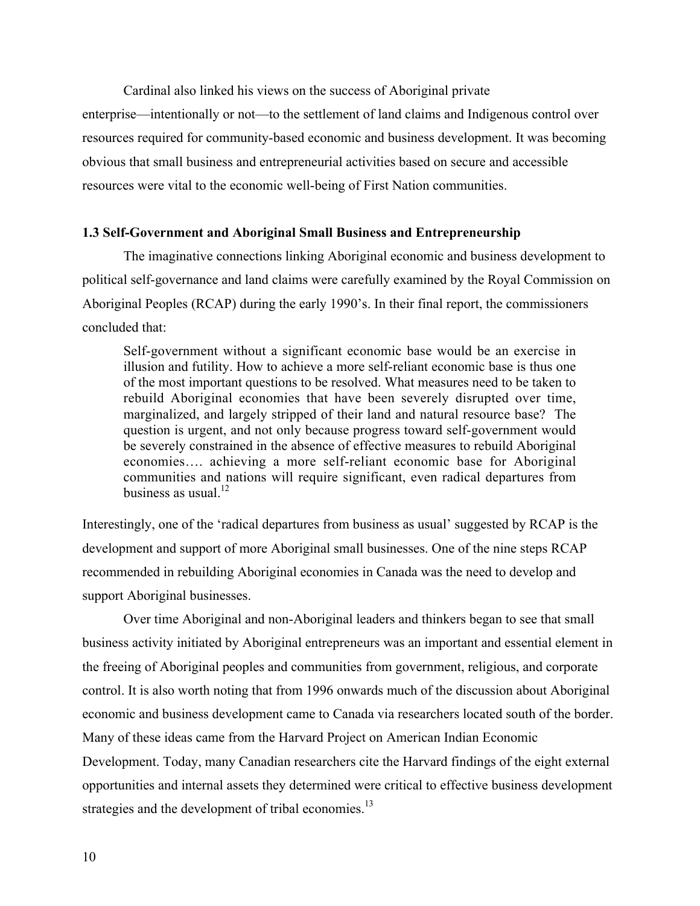Cardinal also linked his views on the success of Aboriginal private enterprise—intentionally or not—to the settlement of land claims and Indigenous control over resources required for community-based economic and business development. It was becoming obvious that small business and entrepreneurial activities based on secure and accessible resources were vital to the economic well-being of First Nation communities.

## **1.3 Self-Government and Aboriginal Small Business and Entrepreneurship**

The imaginative connections linking Aboriginal economic and business development to political self-governance and land claims were carefully examined by the Royal Commission on Aboriginal Peoples (RCAP) during the early 1990's. In their final report, the commissioners concluded that:

Self-government without a significant economic base would be an exercise in illusion and futility. How to achieve a more self-reliant economic base is thus one of the most important questions to be resolved. What measures need to be taken to rebuild Aboriginal economies that have been severely disrupted over time, marginalized, and largely stripped of their land and natural resource base? The question is urgent, and not only because progress toward self-government would be severely constrained in the absence of effective measures to rebuild Aboriginal economies…. achieving a more self-reliant economic base for Aboriginal communities and nations will require significant, even radical departures from business as usual  $12$ .

Interestingly, one of the 'radical departures from business as usual' suggested by RCAP is the development and support of more Aboriginal small businesses. One of the nine steps RCAP recommended in rebuilding Aboriginal economies in Canada was the need to develop and support Aboriginal businesses.

Over time Aboriginal and non-Aboriginal leaders and thinkers began to see that small business activity initiated by Aboriginal entrepreneurs was an important and essential element in the freeing of Aboriginal peoples and communities from government, religious, and corporate control. It is also worth noting that from 1996 onwards much of the discussion about Aboriginal economic and business development came to Canada via researchers located south of the border. Many of these ideas came from the Harvard Project on American Indian Economic Development. Today, many Canadian researchers cite the Harvard findings of the eight external opportunities and internal assets they determined were critical to effective business development strategies and the development of tribal economies.<sup>13</sup>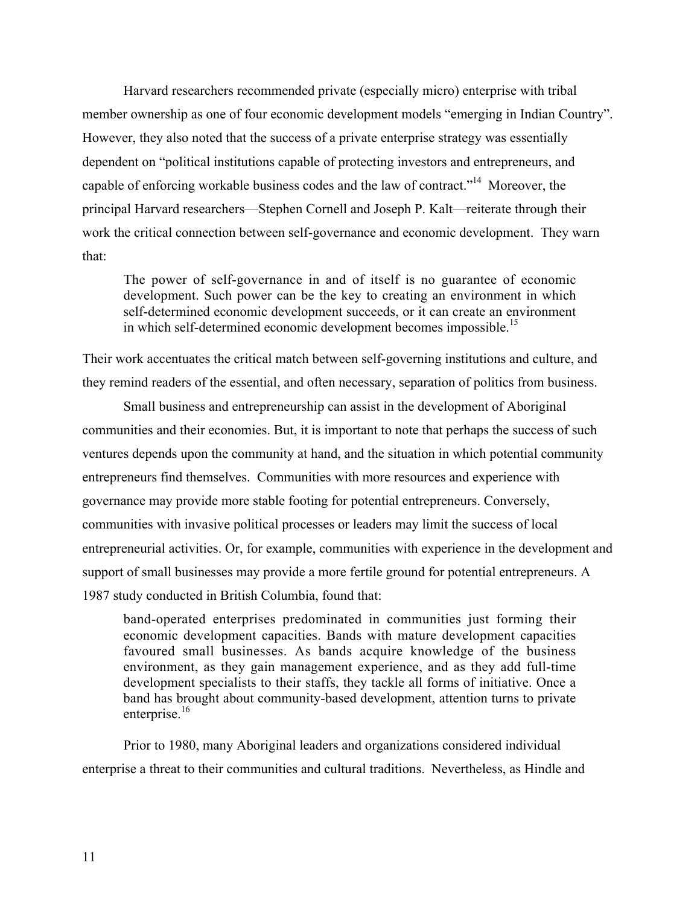Harvard researchers recommended private (especially micro) enterprise with tribal member ownership as one of four economic development models "emerging in Indian Country". However, they also noted that the success of a private enterprise strategy was essentially dependent on "political institutions capable of protecting investors and entrepreneurs, and capable of enforcing workable business codes and the law of contract."<sup>14</sup> Moreover, the principal Harvard researchers—Stephen Cornell and Joseph P. Kalt—reiterate through their work the critical connection between self-governance and economic development. They warn that:

The power of self-governance in and of itself is no guarantee of economic development. Such power can be the key to creating an environment in which self-determined economic development succeeds, or it can create an environment in which self-determined economic development becomes impossible.<sup>15</sup>

Their work accentuates the critical match between self-governing institutions and culture, and they remind readers of the essential, and often necessary, separation of politics from business.

Small business and entrepreneurship can assist in the development of Aboriginal communities and their economies. But, it is important to note that perhaps the success of such ventures depends upon the community at hand, and the situation in which potential community entrepreneurs find themselves. Communities with more resources and experience with governance may provide more stable footing for potential entrepreneurs. Conversely, communities with invasive political processes or leaders may limit the success of local entrepreneurial activities. Or, for example, communities with experience in the development and support of small businesses may provide a more fertile ground for potential entrepreneurs. A 1987 study conducted in British Columbia, found that:

band-operated enterprises predominated in communities just forming their economic development capacities. Bands with mature development capacities favoured small businesses. As bands acquire knowledge of the business environment, as they gain management experience, and as they add full-time development specialists to their staffs, they tackle all forms of initiative. Once a band has brought about community-based development, attention turns to private enterprise.<sup>16</sup>

Prior to 1980, many Aboriginal leaders and organizations considered individual enterprise a threat to their communities and cultural traditions. Nevertheless, as Hindle and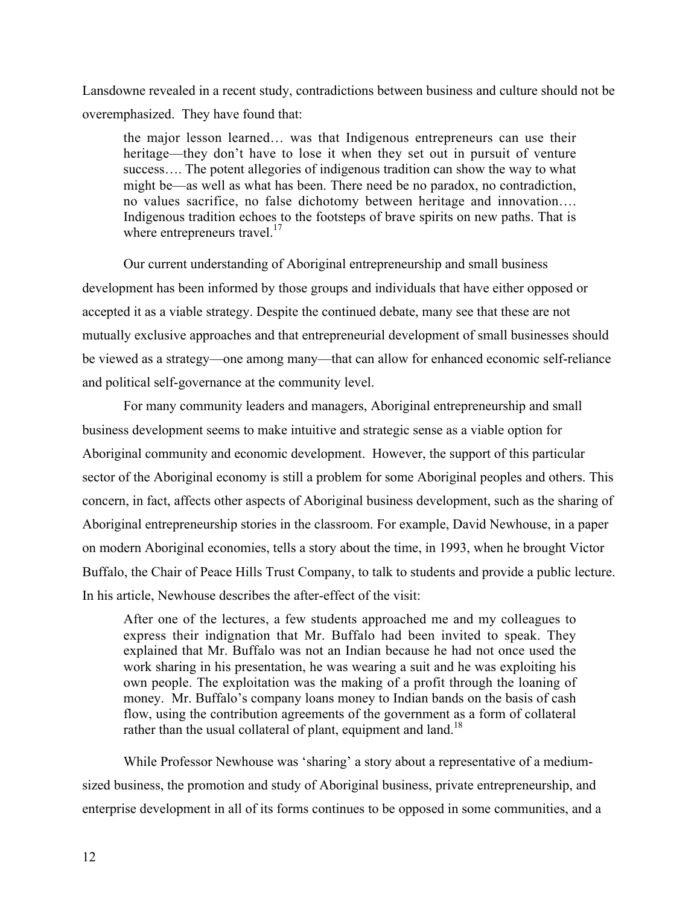Lansdowne revealed in a recent study, contradictions between business and culture should not be overemphasized. They have found that:

the major lesson learned… was that Indigenous entrepreneurs can use their heritage—they don't have to lose it when they set out in pursuit of venture success…. The potent allegories of indigenous tradition can show the way to what might be—as well as what has been. There need be no paradox, no contradiction, no values sacrifice, no false dichotomy between heritage and innovation…. Indigenous tradition echoes to the footsteps of brave spirits on new paths. That is where entrepreneurs travel.<sup>17</sup>

Our current understanding of Aboriginal entrepreneurship and small business development has been informed by those groups and individuals that have either opposed or accepted it as a viable strategy. Despite the continued debate, many see that these are not mutually exclusive approaches and that entrepreneurial development of small businesses should be viewed as a strategy—one among many—that can allow for enhanced economic self-reliance and political self-governance at the community level.

For many community leaders and managers, Aboriginal entrepreneurship and small business development seems to make intuitive and strategic sense as a viable option for Aboriginal community and economic development. However, the support of this particular sector of the Aboriginal economy is still a problem for some Aboriginal peoples and others. This concern, in fact, affects other aspects of Aboriginal business development, such as the sharing of Aboriginal entrepreneurship stories in the classroom. For example, David Newhouse, in a paper on modern Aboriginal economies, tells a story about the time, in 1993, when he brought Victor Buffalo, the Chair of Peace Hills Trust Company, to talk to students and provide a public lecture. In his article, Newhouse describes the after-effect of the visit:

After one of the lectures, a few students approached me and my colleagues to express their indignation that Mr. Buffalo had been invited to speak. They explained that Mr. Buffalo was not an Indian because he had not once used the work sharing in his presentation, he was wearing a suit and he was exploiting his own people. The exploitation was the making of a profit through the loaning of money. Mr. Buffalo's company loans money to Indian bands on the basis of cash flow, using the contribution agreements of the government as a form of collateral rather than the usual collateral of plant, equipment and land.<sup>18</sup>

While Professor Newhouse was 'sharing' a story about a representative of a mediumsized business, the promotion and study of Aboriginal business, private entrepreneurship, and enterprise development in all of its forms continues to be opposed in some communities, and a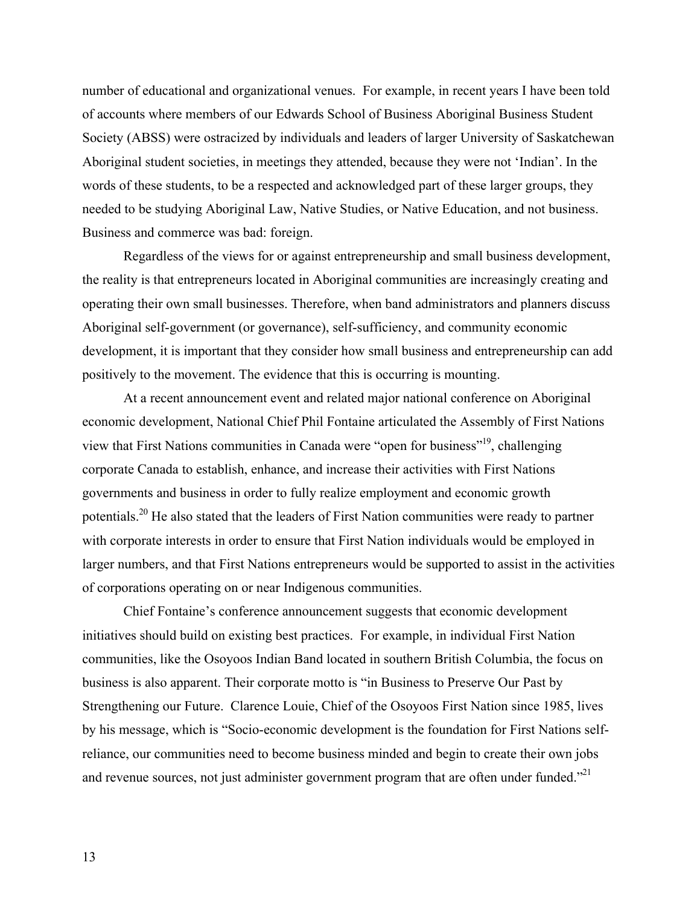number of educational and organizational venues. For example, in recent years I have been told of accounts where members of our Edwards School of Business Aboriginal Business Student Society (ABSS) were ostracized by individuals and leaders of larger University of Saskatchewan Aboriginal student societies, in meetings they attended, because they were not 'Indian'. In the words of these students, to be a respected and acknowledged part of these larger groups, they needed to be studying Aboriginal Law, Native Studies, or Native Education, and not business. Business and commerce was bad: foreign.

Regardless of the views for or against entrepreneurship and small business development, the reality is that entrepreneurs located in Aboriginal communities are increasingly creating and operating their own small businesses. Therefore, when band administrators and planners discuss Aboriginal self-government (or governance), self-sufficiency, and community economic development, it is important that they consider how small business and entrepreneurship can add positively to the movement. The evidence that this is occurring is mounting.

At a recent announcement event and related major national conference on Aboriginal economic development, National Chief Phil Fontaine articulated the Assembly of First Nations view that First Nations communities in Canada were "open for business"<sup>19</sup>, challenging corporate Canada to establish, enhance, and increase their activities with First Nations governments and business in order to fully realize employment and economic growth potentials.<sup>20</sup> He also stated that the leaders of First Nation communities were ready to partner with corporate interests in order to ensure that First Nation individuals would be employed in larger numbers, and that First Nations entrepreneurs would be supported to assist in the activities of corporations operating on or near Indigenous communities.

Chief Fontaine's conference announcement suggests that economic development initiatives should build on existing best practices. For example, in individual First Nation communities, like the Osoyoos Indian Band located in southern British Columbia, the focus on business is also apparent. Their corporate motto is "in Business to Preserve Our Past by Strengthening our Future. Clarence Louie, Chief of the Osoyoos First Nation since 1985, lives by his message, which is "Socio-economic development is the foundation for First Nations selfreliance, our communities need to become business minded and begin to create their own jobs and revenue sources, not just administer government program that are often under funded."<sup>21</sup>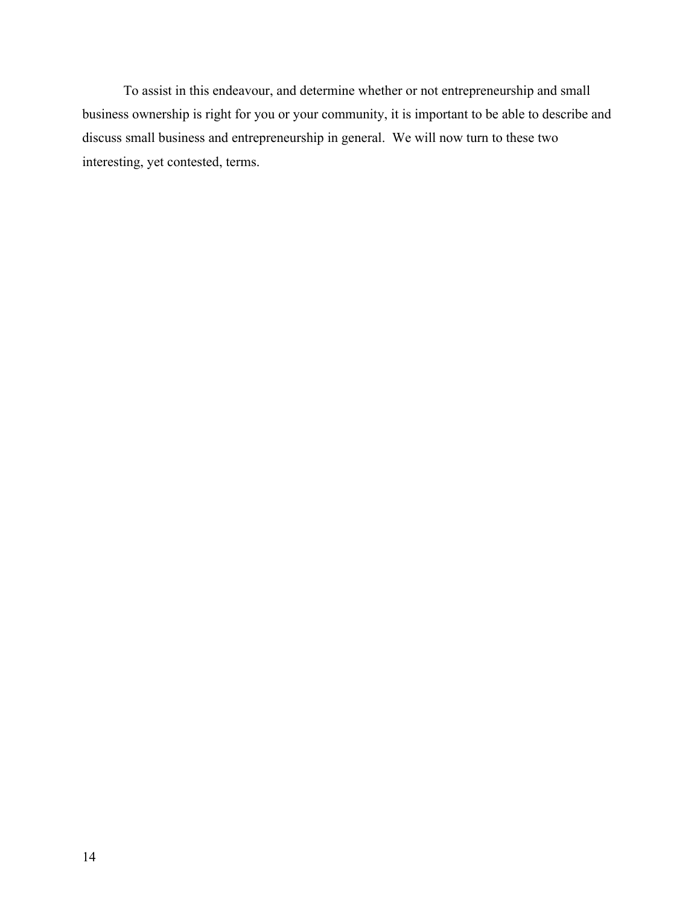To assist in this endeavour, and determine whether or not entrepreneurship and small business ownership is right for you or your community, it is important to be able to describe and discuss small business and entrepreneurship in general. We will now turn to these two interesting, yet contested, terms.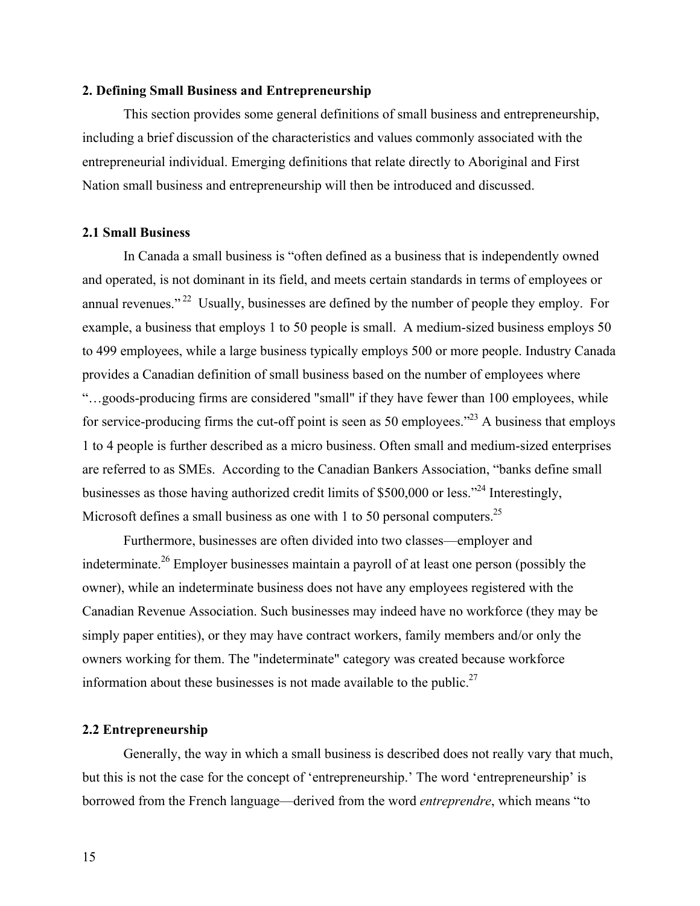### **2. Defining Small Business and Entrepreneurship**

This section provides some general definitions of small business and entrepreneurship, including a brief discussion of the characteristics and values commonly associated with the entrepreneurial individual. Emerging definitions that relate directly to Aboriginal and First Nation small business and entrepreneurship will then be introduced and discussed.

### **2.1 Small Business**

In Canada a small business is "often defined as a business that is independently owned and operated, is not dominant in its field, and meets certain standards in terms of employees or annual revenues."<sup>22</sup> Usually, businesses are defined by the number of people they employ. For example, a business that employs 1 to 50 people is small. A medium-sized business employs 50 to 499 employees, while a large business typically employs 500 or more people. Industry Canada provides a Canadian definition of small business based on the number of employees where "…goods-producing firms are considered "small" if they have fewer than 100 employees, while for service-producing firms the cut-off point is seen as 50 employees."<sup>23</sup> A business that employs 1 to 4 people is further described as a micro business. Often small and medium-sized enterprises are referred to as SMEs. According to the Canadian Bankers Association, "banks define small businesses as those having authorized credit limits of \$500,000 or less.<sup>224</sup> Interestingly, Microsoft defines a small business as one with 1 to 50 personal computers.<sup>25</sup>

Furthermore, businesses are often divided into two classes—employer and indeterminate.<sup>26</sup> Employer businesses maintain a payroll of at least one person (possibly the owner), while an indeterminate business does not have any employees registered with the Canadian Revenue Association. Such businesses may indeed have no workforce (they may be simply paper entities), or they may have contract workers, family members and/or only the owners working for them. The "indeterminate" category was created because workforce information about these businesses is not made available to the public.<sup>27</sup>

#### **2.2 Entrepreneurship**

Generally, the way in which a small business is described does not really vary that much, but this is not the case for the concept of 'entrepreneurship.' The word 'entrepreneurship' is borrowed from the French language—derived from the word *entreprendre*, which means "to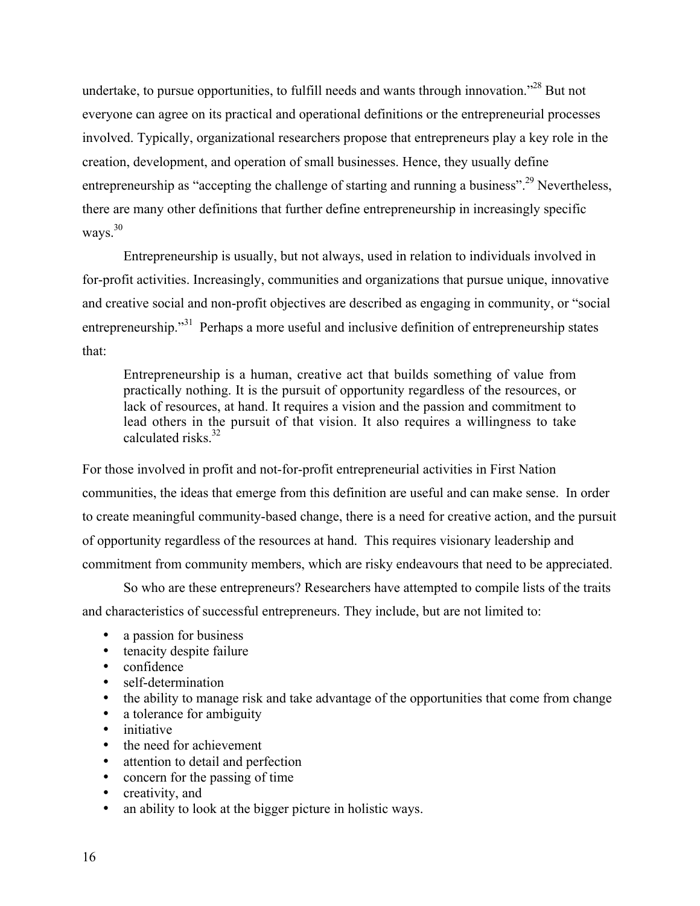undertake, to pursue opportunities, to fulfill needs and wants through innovation."<sup>28</sup> But not everyone can agree on its practical and operational definitions or the entrepreneurial processes involved. Typically, organizational researchers propose that entrepreneurs play a key role in the creation, development, and operation of small businesses. Hence, they usually define entrepreneurship as "accepting the challenge of starting and running a business".<sup>29</sup> Nevertheless, there are many other definitions that further define entrepreneurship in increasingly specific ways.<sup>30</sup>

Entrepreneurship is usually, but not always, used in relation to individuals involved in for-profit activities. Increasingly, communities and organizations that pursue unique, innovative and creative social and non-profit objectives are described as engaging in community, or "social entrepreneurship."<sup>31</sup> Perhaps a more useful and inclusive definition of entrepreneurship states that:

Entrepreneurship is a human, creative act that builds something of value from practically nothing. It is the pursuit of opportunity regardless of the resources, or lack of resources, at hand. It requires a vision and the passion and commitment to lead others in the pursuit of that vision. It also requires a willingness to take calculated risks.<sup>32</sup>

For those involved in profit and not-for-profit entrepreneurial activities in First Nation communities, the ideas that emerge from this definition are useful and can make sense. In order to create meaningful community-based change, there is a need for creative action, and the pursuit of opportunity regardless of the resources at hand. This requires visionary leadership and commitment from community members, which are risky endeavours that need to be appreciated.

So who are these entrepreneurs? Researchers have attempted to compile lists of the traits and characteristics of successful entrepreneurs. They include, but are not limited to:

a passion for business tenacity despite failure confidence self-determination the ability to manage risk and take advantage of the opportunities that come from change a tolerance for ambiguity initiative the need for achievement attention to detail and perfection concern for the passing of time creativity, and an ability to look at the bigger picture in holistic ways.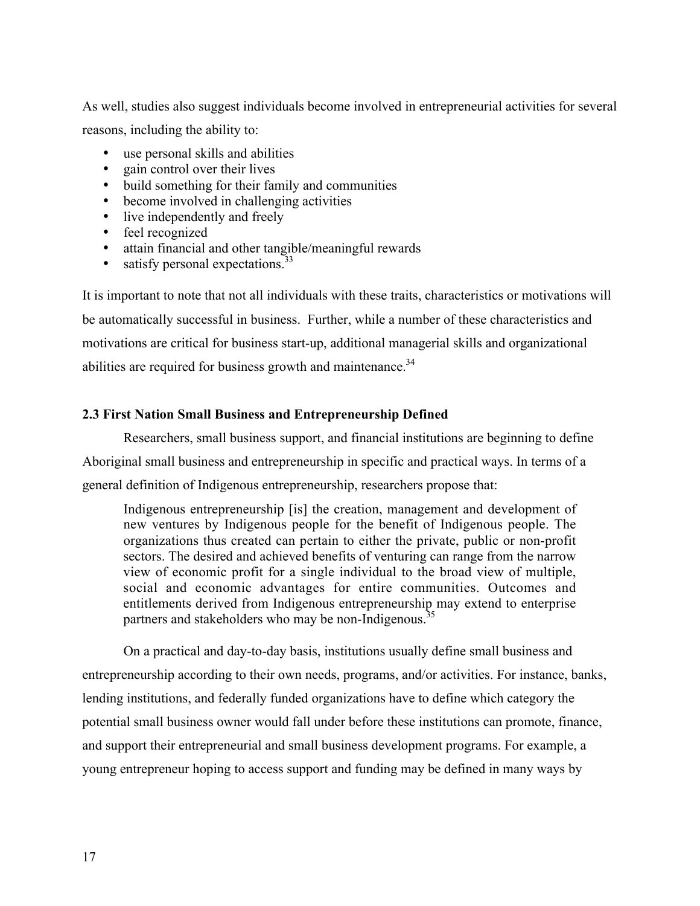As well, studies also suggest individuals become involved in entrepreneurial activities for several reasons, including the ability to:

use personal skills and abilities gain control over their lives build something for their family and communities become involved in challenging activities live independently and freely feel recognized attain financial and other tangible/meaningful rewards satisfy personal expectations.<sup>33</sup>

It is important to note that not all individuals with these traits, characteristics or motivations will be automatically successful in business. Further, while a number of these characteristics and motivations are critical for business start-up, additional managerial skills and organizational abilities are required for business growth and maintenance.<sup>34</sup>

# **2.3 First Nation Small Business and Entrepreneurship Defined**

Researchers, small business support, and financial institutions are beginning to define Aboriginal small business and entrepreneurship in specific and practical ways. In terms of a general definition of Indigenous entrepreneurship, researchers propose that:

Indigenous entrepreneurship [is] the creation, management and development of new ventures by Indigenous people for the benefit of Indigenous people. The organizations thus created can pertain to either the private, public or non-profit sectors. The desired and achieved benefits of venturing can range from the narrow view of economic profit for a single individual to the broad view of multiple, social and economic advantages for entire communities. Outcomes and entitlements derived from Indigenous entrepreneurship may extend to enterprise partners and stakeholders who may be non-Indigenous.<sup>35</sup>

On a practical and day-to-day basis, institutions usually define small business and entrepreneurship according to their own needs, programs, and/or activities. For instance, banks, lending institutions, and federally funded organizations have to define which category the potential small business owner would fall under before these institutions can promote, finance, and support their entrepreneurial and small business development programs. For example, a young entrepreneur hoping to access support and funding may be defined in many ways by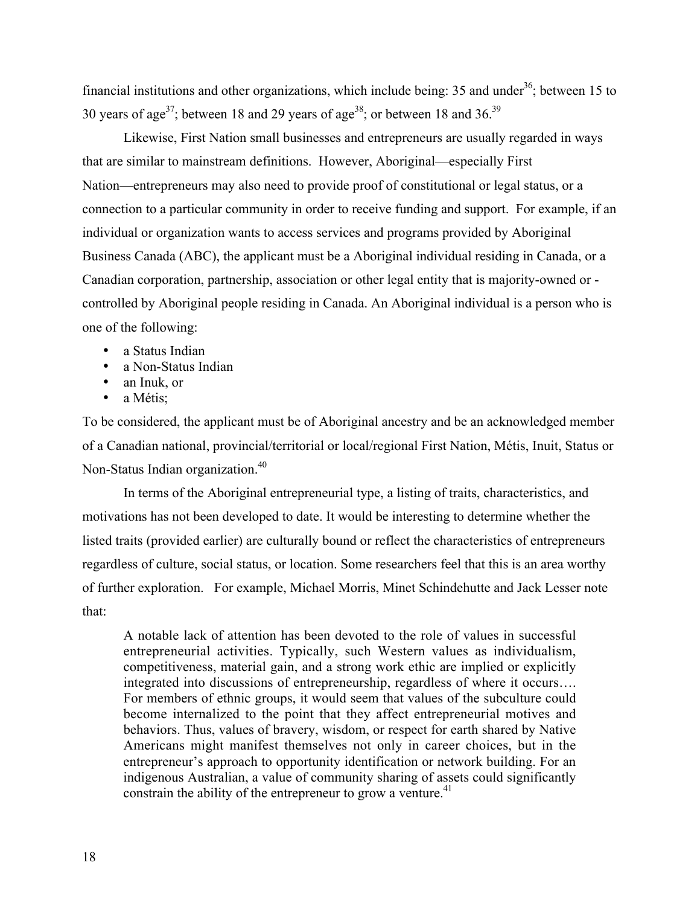financial institutions and other organizations, which include being:  $35$  and under<sup>36</sup>; between 15 to 30 years of age<sup>37</sup>; between 18 and 29 years of age<sup>38</sup>; or between 18 and 36.<sup>39</sup>

Likewise, First Nation small businesses and entrepreneurs are usually regarded in ways that are similar to mainstream definitions. However, Aboriginal—especially First Nation—entrepreneurs may also need to provide proof of constitutional or legal status, or a connection to a particular community in order to receive funding and support. For example, if an individual or organization wants to access services and programs provided by Aboriginal Business Canada (ABC), the applicant must be a Aboriginal individual residing in Canada, or a Canadian corporation, partnership, association or other legal entity that is majority-owned or controlled by Aboriginal people residing in Canada. An Aboriginal individual is a person who is one of the following:

a Status Indian a Non-Status Indian an Inuk, or a Métis;

To be considered, the applicant must be of Aboriginal ancestry and be an acknowledged member of a Canadian national, provincial/territorial or local/regional First Nation, Métis, Inuit, Status or Non-Status Indian organization.<sup>40</sup>

In terms of the Aboriginal entrepreneurial type, a listing of traits, characteristics, and motivations has not been developed to date. It would be interesting to determine whether the listed traits (provided earlier) are culturally bound or reflect the characteristics of entrepreneurs regardless of culture, social status, or location. Some researchers feel that this is an area worthy of further exploration. For example, Michael Morris, Minet Schindehutte and Jack Lesser note that:

A notable lack of attention has been devoted to the role of values in successful entrepreneurial activities. Typically, such Western values as individualism, competitiveness, material gain, and a strong work ethic are implied or explicitly integrated into discussions of entrepreneurship, regardless of where it occurs…. For members of ethnic groups, it would seem that values of the subculture could become internalized to the point that they affect entrepreneurial motives and behaviors. Thus, values of bravery, wisdom, or respect for earth shared by Native Americans might manifest themselves not only in career choices, but in the entrepreneur's approach to opportunity identification or network building. For an indigenous Australian, a value of community sharing of assets could significantly constrain the ability of the entrepreneur to grow a venture.<sup>41</sup>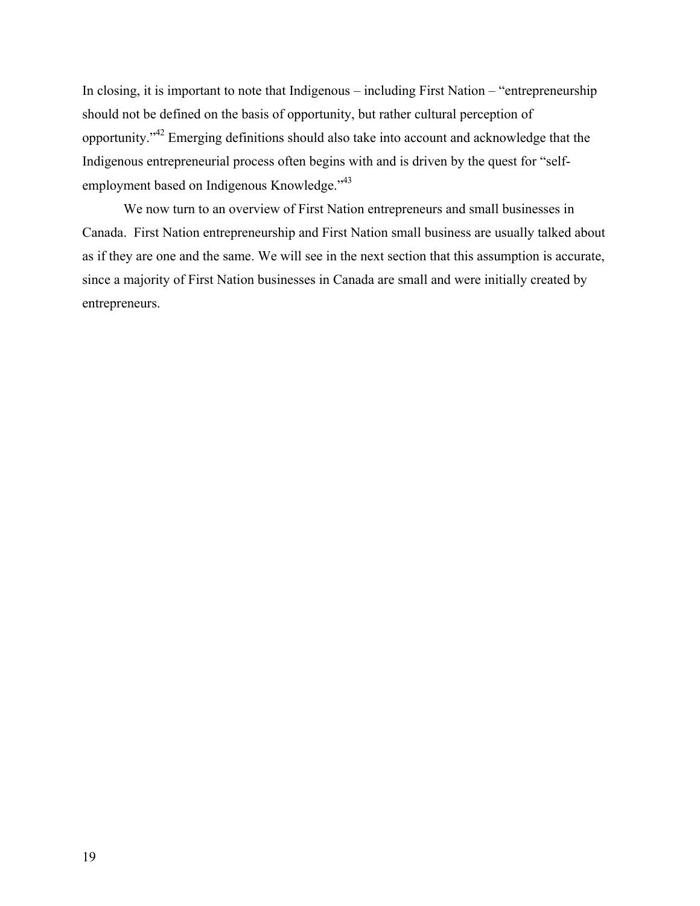In closing, it is important to note that Indigenous – including First Nation – "entrepreneurship should not be defined on the basis of opportunity, but rather cultural perception of opportunity."<sup>42</sup> Emerging definitions should also take into account and acknowledge that the Indigenous entrepreneurial process often begins with and is driven by the quest for "selfemployment based on Indigenous Knowledge."<sup>43</sup>

We now turn to an overview of First Nation entrepreneurs and small businesses in Canada. First Nation entrepreneurship and First Nation small business are usually talked about as if they are one and the same. We will see in the next section that this assumption is accurate, since a majority of First Nation businesses in Canada are small and were initially created by entrepreneurs.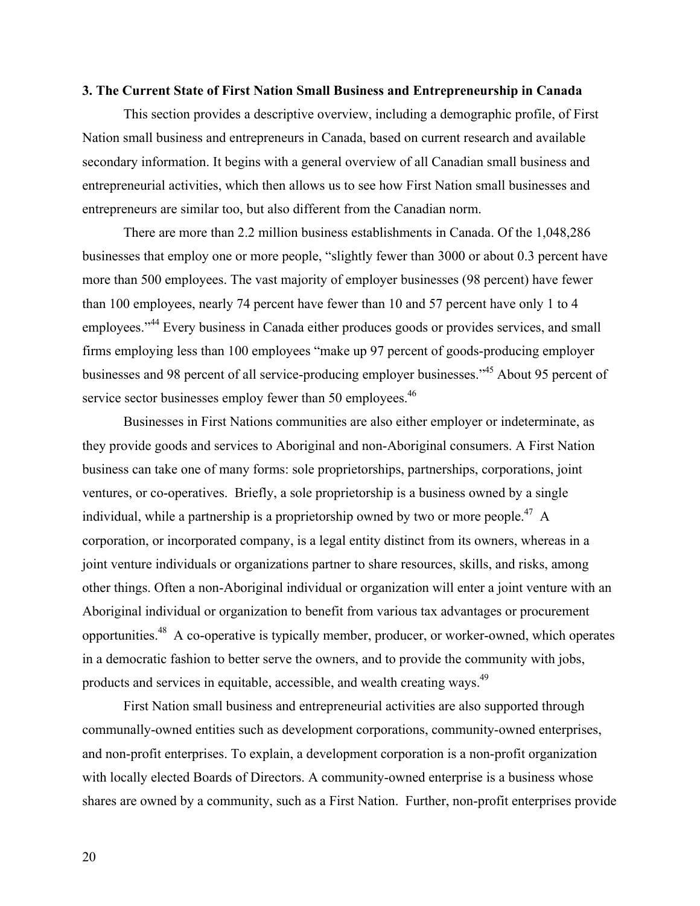#### **3. The Current State of First Nation Small Business and Entrepreneurship in Canada**

This section provides a descriptive overview, including a demographic profile, of First Nation small business and entrepreneurs in Canada, based on current research and available secondary information. It begins with a general overview of all Canadian small business and entrepreneurial activities, which then allows us to see how First Nation small businesses and entrepreneurs are similar too, but also different from the Canadian norm.

There are more than 2.2 million business establishments in Canada. Of the 1,048,286 businesses that employ one or more people, "slightly fewer than 3000 or about 0.3 percent have more than 500 employees. The vast majority of employer businesses (98 percent) have fewer than 100 employees, nearly 74 percent have fewer than 10 and 57 percent have only 1 to 4 employees."<sup>44</sup> Every business in Canada either produces goods or provides services, and small firms employing less than 100 employees "make up 97 percent of goods-producing employer businesses and 98 percent of all service-producing employer businesses."<sup>45</sup> About 95 percent of service sector businesses employ fewer than 50 employees.<sup>46</sup>

Businesses in First Nations communities are also either employer or indeterminate, as they provide goods and services to Aboriginal and non-Aboriginal consumers. A First Nation business can take one of many forms: sole proprietorships, partnerships, corporations, joint ventures, or co-operatives. Briefly, a sole proprietorship is a business owned by a single individual, while a partnership is a proprietorship owned by two or more people.<sup>47</sup> A corporation, or incorporated company, is a legal entity distinct from its owners, whereas in a joint venture individuals or organizations partner to share resources, skills, and risks, among other things. Often a non-Aboriginal individual or organization will enter a joint venture with an Aboriginal individual or organization to benefit from various tax advantages or procurement opportunities.<sup>48</sup> A co-operative is typically member, producer, or worker-owned, which operates in a democratic fashion to better serve the owners, and to provide the community with jobs, products and services in equitable, accessible, and wealth creating ways.49

First Nation small business and entrepreneurial activities are also supported through communally-owned entities such as development corporations, community-owned enterprises, and non-profit enterprises. To explain, a development corporation is a non-profit organization with locally elected Boards of Directors. A community-owned enterprise is a business whose shares are owned by a community, such as a First Nation. Further, non-profit enterprises provide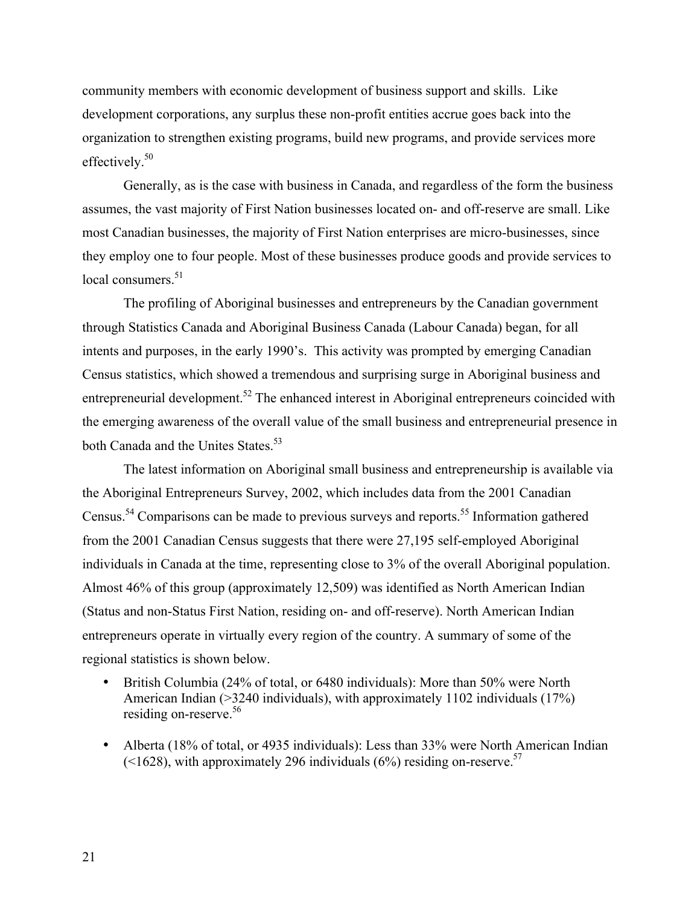community members with economic development of business support and skills. Like development corporations, any surplus these non-profit entities accrue goes back into the organization to strengthen existing programs, build new programs, and provide services more effectively.<sup>50</sup>

Generally, as is the case with business in Canada, and regardless of the form the business assumes, the vast majority of First Nation businesses located on- and off-reserve are small. Like most Canadian businesses, the majority of First Nation enterprises are micro-businesses, since they employ one to four people. Most of these businesses produce goods and provide services to local consumers.<sup>51</sup>

The profiling of Aboriginal businesses and entrepreneurs by the Canadian government through Statistics Canada and Aboriginal Business Canada (Labour Canada) began, for all intents and purposes, in the early 1990's. This activity was prompted by emerging Canadian Census statistics, which showed a tremendous and surprising surge in Aboriginal business and entrepreneurial development.<sup>52</sup> The enhanced interest in Aboriginal entrepreneurs coincided with the emerging awareness of the overall value of the small business and entrepreneurial presence in both Canada and the Unites States.<sup>53</sup>

The latest information on Aboriginal small business and entrepreneurship is available via the Aboriginal Entrepreneurs Survey, 2002, which includes data from the 2001 Canadian Census.<sup>54</sup> Comparisons can be made to previous surveys and reports.<sup>55</sup> Information gathered from the 2001 Canadian Census suggests that there were 27,195 self-employed Aboriginal individuals in Canada at the time, representing close to 3% of the overall Aboriginal population. Almost 46% of this group (approximately 12,509) was identified as North American Indian (Status and non-Status First Nation, residing on- and off-reserve). North American Indian entrepreneurs operate in virtually every region of the country. A summary of some of the regional statistics is shown below.

British Columbia (24% of total, or 6480 individuals): More than 50% were North American Indian (>3240 individuals), with approximately 1102 individuals (17%) residing on-reserve.<sup>56</sup>

Alberta (18% of total, or 4935 individuals): Less than 33% were North American Indian  $($  <1628), with approximately 296 individuals (6%) residing on-reserve.<sup>57</sup>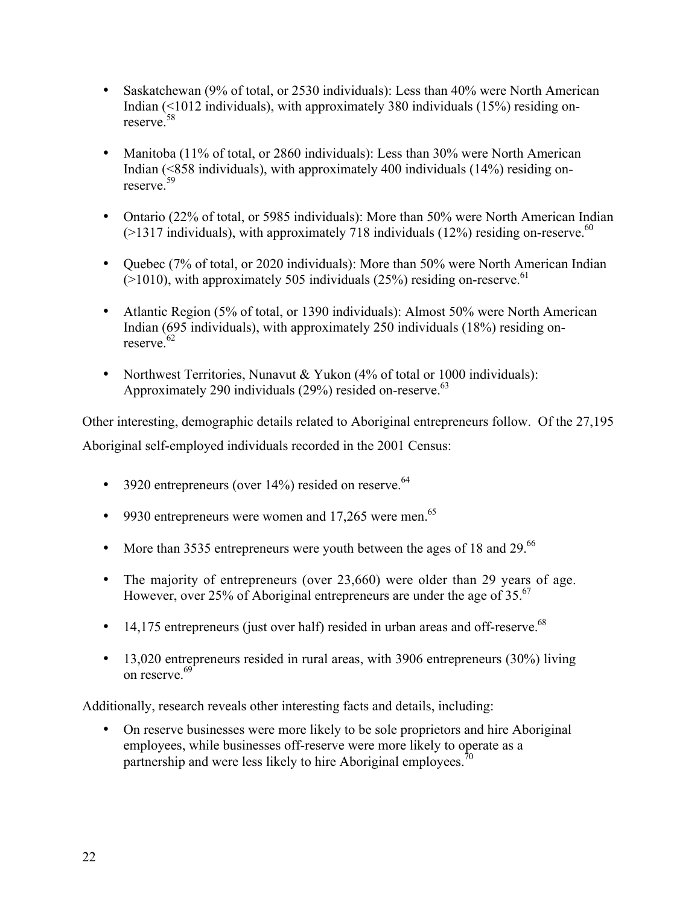Saskatchewan (9% of total, or 2530 individuals): Less than 40% were North American Indian (<1012 individuals), with approximately 380 individuals (15%) residing onreserve.<sup>58</sup>

Manitoba (11% of total, or 2860 individuals): Less than 30% were North American Indian (<858 individuals), with approximately 400 individuals (14%) residing onreserve.<sup>59</sup>

Ontario (22% of total, or 5985 individuals): More than 50% were North American Indian  $(>1317$  individuals), with approximately 718 individuals (12%) residing on-reserve.<sup>60</sup>

Quebec (7% of total, or 2020 individuals): More than 50% were North American Indian ( $>1010$ ), with approximately 505 individuals (25%) residing on-reserve.<sup>61</sup>

Atlantic Region (5% of total, or 1390 individuals): Almost 50% were North American Indian (695 individuals), with approximately 250 individuals (18%) residing on $reserve$ <sup>62</sup>

Northwest Territories, Nunavut & Yukon (4% of total or 1000 individuals): Approximately 290 individuals (29%) resided on-reserve.<sup>63</sup>

Other interesting, demographic details related to Aboriginal entrepreneurs follow. Of the 27,195

Aboriginal self-employed individuals recorded in the 2001 Census:

3920 entrepreneurs (over  $14\%$ ) resided on reserve.<sup>64</sup>

9930 entrepreneurs were women and 17,265 were men.<sup>65</sup>

More than 3535 entrepreneurs were youth between the ages of 18 and 29.<sup>66</sup>

The majority of entrepreneurs (over 23,660) were older than 29 years of age. However, over 25% of Aboriginal entrepreneurs are under the age of 35. $^{67}$ 

14,175 entrepreneurs (just over half) resided in urban areas and off-reserve.<sup>68</sup>

13,020 entrepreneurs resided in rural areas, with 3906 entrepreneurs (30%) living on reserve.<sup>69</sup>

Additionally, research reveals other interesting facts and details, including:

On reserve businesses were more likely to be sole proprietors and hire Aboriginal employees, while businesses off-reserve were more likely to operate as a partnership and were less likely to hire Aboriginal employees.<sup>70</sup>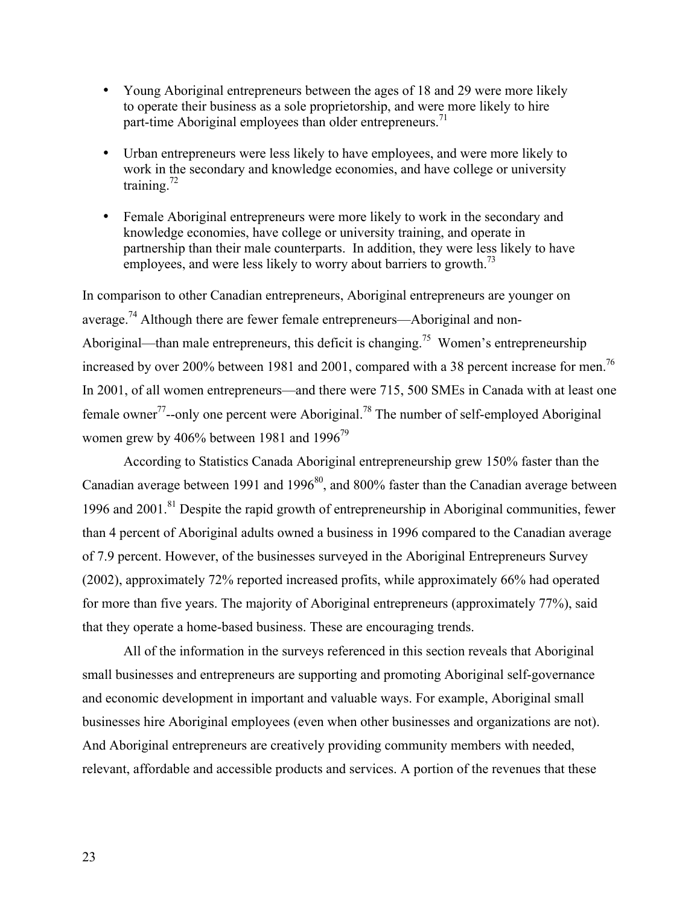Young Aboriginal entrepreneurs between the ages of 18 and 29 were more likely to operate their business as a sole proprietorship, and were more likely to hire part-time Aboriginal employees than older entrepreneurs.<sup>71</sup>

Urban entrepreneurs were less likely to have employees, and were more likely to work in the secondary and knowledge economies, and have college or university training. $72$ 

Female Aboriginal entrepreneurs were more likely to work in the secondary and knowledge economies, have college or university training, and operate in partnership than their male counterparts. In addition, they were less likely to have employees, and were less likely to worry about barriers to growth.<sup>73</sup>

In comparison to other Canadian entrepreneurs, Aboriginal entrepreneurs are younger on average.<sup>74</sup> Although there are fewer female entrepreneurs—Aboriginal and non-Aboriginal—than male entrepreneurs, this deficit is changing.<sup>75</sup> Women's entrepreneurship increased by over 200% between 1981 and 2001, compared with a 38 percent increase for men.<sup>76</sup> In 2001, of all women entrepreneurs—and there were 715, 500 SMEs in Canada with at least one female owner<sup>77</sup>--only one percent were Aboriginal.<sup>78</sup> The number of self-employed Aboriginal women grew by 406% between 1981 and 1996<sup>79</sup>

According to Statistics Canada Aboriginal entrepreneurship grew 150% faster than the Canadian average between 1991 and 1996 $^{80}$ , and 800% faster than the Canadian average between 1996 and 2001.<sup>81</sup> Despite the rapid growth of entrepreneurship in Aboriginal communities, fewer than 4 percent of Aboriginal adults owned a business in 1996 compared to the Canadian average of 7.9 percent. However, of the businesses surveyed in the Aboriginal Entrepreneurs Survey (2002), approximately 72% reported increased profits, while approximately 66% had operated for more than five years. The majority of Aboriginal entrepreneurs (approximately 77%), said that they operate a home-based business. These are encouraging trends.

All of the information in the surveys referenced in this section reveals that Aboriginal small businesses and entrepreneurs are supporting and promoting Aboriginal self-governance and economic development in important and valuable ways. For example, Aboriginal small businesses hire Aboriginal employees (even when other businesses and organizations are not). And Aboriginal entrepreneurs are creatively providing community members with needed, relevant, affordable and accessible products and services. A portion of the revenues that these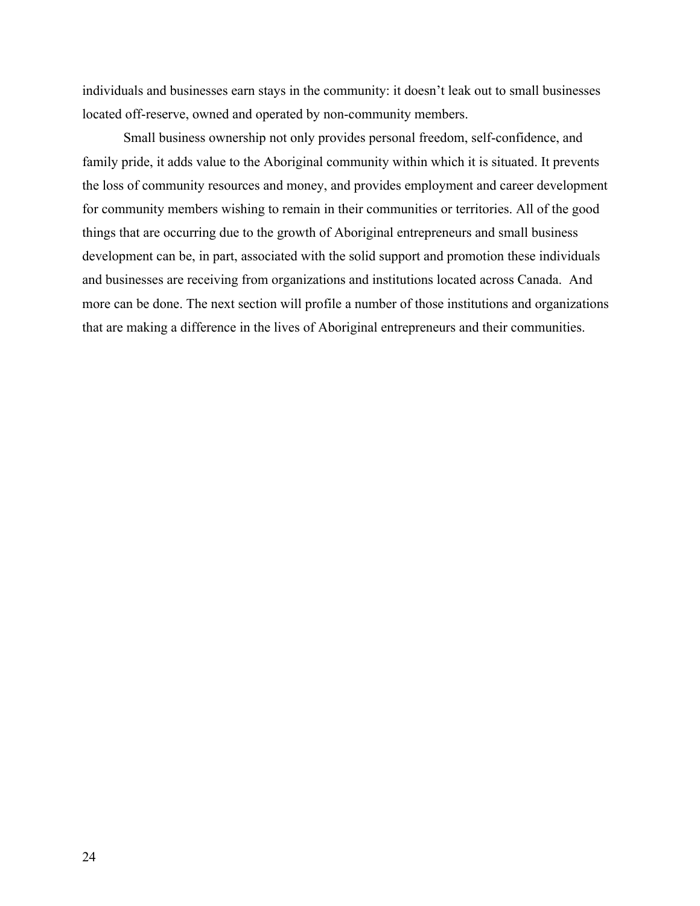individuals and businesses earn stays in the community: it doesn't leak out to small businesses located off-reserve, owned and operated by non-community members.

Small business ownership not only provides personal freedom, self-confidence, and family pride, it adds value to the Aboriginal community within which it is situated. It prevents the loss of community resources and money, and provides employment and career development for community members wishing to remain in their communities or territories. All of the good things that are occurring due to the growth of Aboriginal entrepreneurs and small business development can be, in part, associated with the solid support and promotion these individuals and businesses are receiving from organizations and institutions located across Canada. And more can be done. The next section will profile a number of those institutions and organizations that are making a difference in the lives of Aboriginal entrepreneurs and their communities.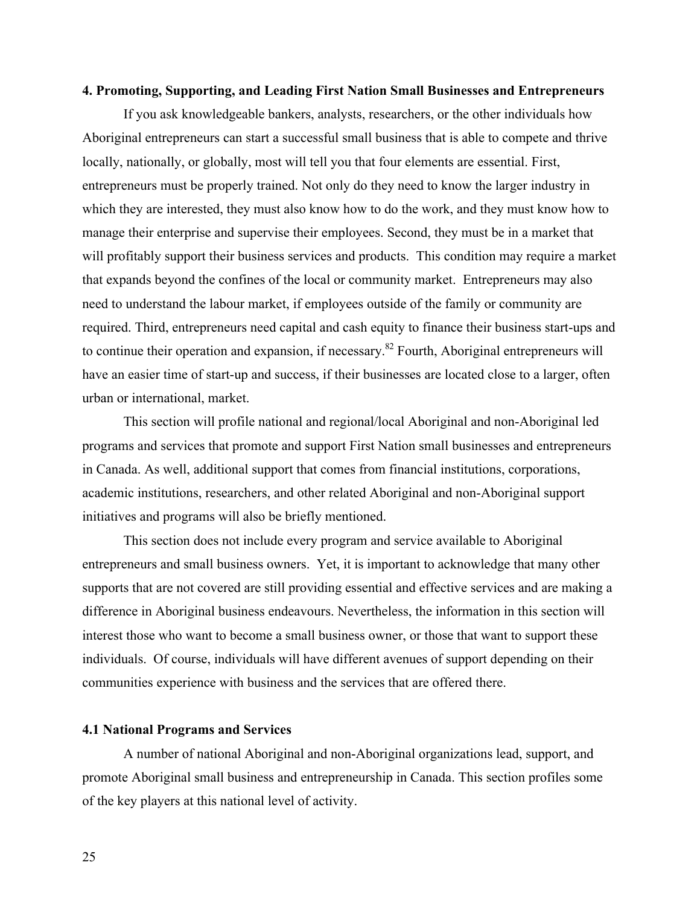#### **4. Promoting, Supporting, and Leading First Nation Small Businesses and Entrepreneurs**

If you ask knowledgeable bankers, analysts, researchers, or the other individuals how Aboriginal entrepreneurs can start a successful small business that is able to compete and thrive locally, nationally, or globally, most will tell you that four elements are essential. First, entrepreneurs must be properly trained. Not only do they need to know the larger industry in which they are interested, they must also know how to do the work, and they must know how to manage their enterprise and supervise their employees. Second, they must be in a market that will profitably support their business services and products. This condition may require a market that expands beyond the confines of the local or community market. Entrepreneurs may also need to understand the labour market, if employees outside of the family or community are required. Third, entrepreneurs need capital and cash equity to finance their business start-ups and to continue their operation and expansion, if necessary.<sup>82</sup> Fourth, Aboriginal entrepreneurs will have an easier time of start-up and success, if their businesses are located close to a larger, often urban or international, market.

This section will profile national and regional/local Aboriginal and non-Aboriginal led programs and services that promote and support First Nation small businesses and entrepreneurs in Canada. As well, additional support that comes from financial institutions, corporations, academic institutions, researchers, and other related Aboriginal and non-Aboriginal support initiatives and programs will also be briefly mentioned.

This section does not include every program and service available to Aboriginal entrepreneurs and small business owners. Yet, it is important to acknowledge that many other supports that are not covered are still providing essential and effective services and are making a difference in Aboriginal business endeavours. Nevertheless, the information in this section will interest those who want to become a small business owner, or those that want to support these individuals. Of course, individuals will have different avenues of support depending on their communities experience with business and the services that are offered there.

#### **4.1 National Programs and Services**

A number of national Aboriginal and non-Aboriginal organizations lead, support, and promote Aboriginal small business and entrepreneurship in Canada. This section profiles some of the key players at this national level of activity.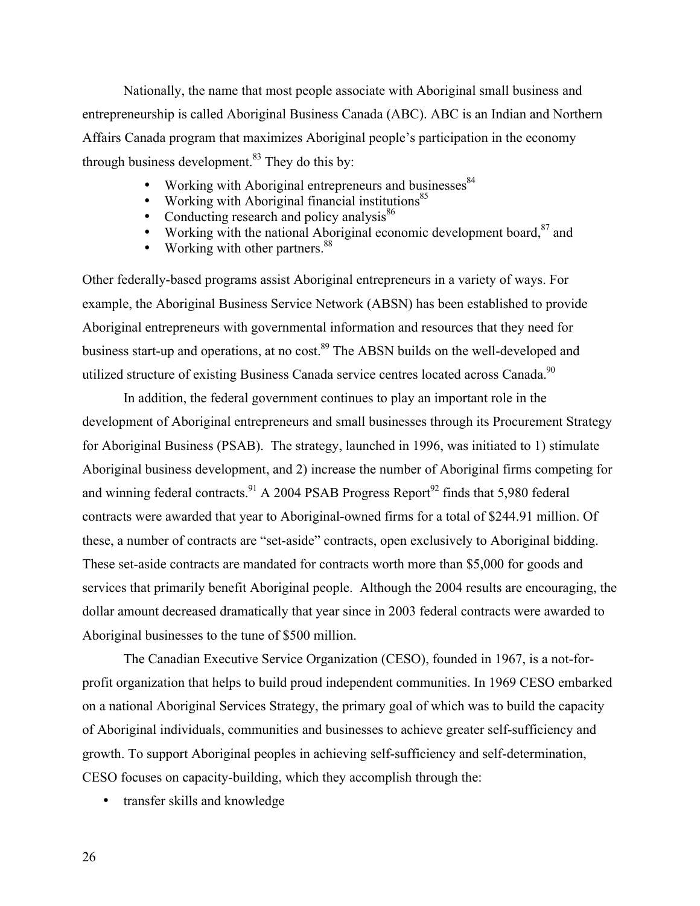Nationally, the name that most people associate with Aboriginal small business and entrepreneurship is called Aboriginal Business Canada (ABC). ABC is an Indian and Northern Affairs Canada program that maximizes Aboriginal people's participation in the economy through business development. $83$  They do this by:

> Working with Aboriginal entrepreneurs and businesses<sup>84</sup> Working with Aboriginal financial institutions<sup>85</sup> Conducting research and policy analysis<sup>86</sup> Working with the national Aboriginal economic development board,<sup>87</sup> and Working with other partners.<sup>88</sup>

Other federally-based programs assist Aboriginal entrepreneurs in a variety of ways. For example, the Aboriginal Business Service Network (ABSN) has been established to provide Aboriginal entrepreneurs with governmental information and resources that they need for business start-up and operations, at no cost.<sup>89</sup> The ABSN builds on the well-developed and utilized structure of existing Business Canada service centres located across Canada.<sup>90</sup>

In addition, the federal government continues to play an important role in the development of Aboriginal entrepreneurs and small businesses through its Procurement Strategy for Aboriginal Business (PSAB). The strategy, launched in 1996, was initiated to 1) stimulate Aboriginal business development, and 2) increase the number of Aboriginal firms competing for and winning federal contracts.<sup>91</sup> A 2004 PSAB Progress Report<sup>92</sup> finds that 5,980 federal contracts were awarded that year to Aboriginal-owned firms for a total of \$244.91 million. Of these, a number of contracts are "set-aside" contracts, open exclusively to Aboriginal bidding. These set-aside contracts are mandated for contracts worth more than \$5,000 for goods and services that primarily benefit Aboriginal people. Although the 2004 results are encouraging, the dollar amount decreased dramatically that year since in 2003 federal contracts were awarded to Aboriginal businesses to the tune of \$500 million.

The Canadian Executive Service Organization (CESO), founded in 1967, is a not-forprofit organization that helps to build proud independent communities. In 1969 CESO embarked on a national Aboriginal Services Strategy, the primary goal of which was to build the capacity of Aboriginal individuals, communities and businesses to achieve greater self-sufficiency and growth. To support Aboriginal peoples in achieving self-sufficiency and self-determination, CESO focuses on capacity-building, which they accomplish through the:

transfer skills and knowledge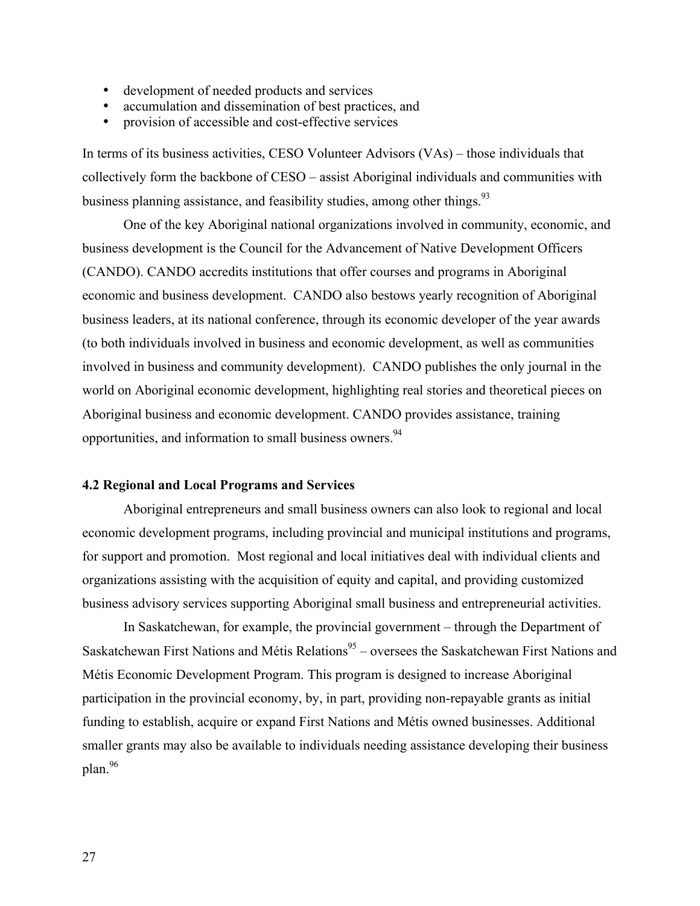development of needed products and services accumulation and dissemination of best practices, and provision of accessible and cost-effective services

In terms of its business activities, CESO Volunteer Advisors (VAs) – those individuals that collectively form the backbone of CESO – assist Aboriginal individuals and communities with business planning assistance, and feasibility studies, among other things.<sup>93</sup>

One of the key Aboriginal national organizations involved in community, economic, and business development is the Council for the Advancement of Native Development Officers (CANDO). CANDO accredits institutions that offer courses and programs in Aboriginal economic and business development. CANDO also bestows yearly recognition of Aboriginal business leaders, at its national conference, through its economic developer of the year awards (to both individuals involved in business and economic development, as well as communities involved in business and community development). CANDO publishes the only journal in the world on Aboriginal economic development, highlighting real stories and theoretical pieces on Aboriginal business and economic development. CANDO provides assistance, training opportunities, and information to small business owners.<sup>94</sup>

## **4.2 Regional and Local Programs and Services**

Aboriginal entrepreneurs and small business owners can also look to regional and local economic development programs, including provincial and municipal institutions and programs, for support and promotion. Most regional and local initiatives deal with individual clients and organizations assisting with the acquisition of equity and capital, and providing customized business advisory services supporting Aboriginal small business and entrepreneurial activities.

In Saskatchewan, for example, the provincial government – through the Department of Saskatchewan First Nations and Métis Relations<sup>95</sup> – oversees the Saskatchewan First Nations and Métis Economic Development Program. This program is designed to increase Aboriginal participation in the provincial economy, by, in part, providing non-repayable grants as initial funding to establish, acquire or expand First Nations and Métis owned businesses. Additional smaller grants may also be available to individuals needing assistance developing their business plan.<sup>96</sup>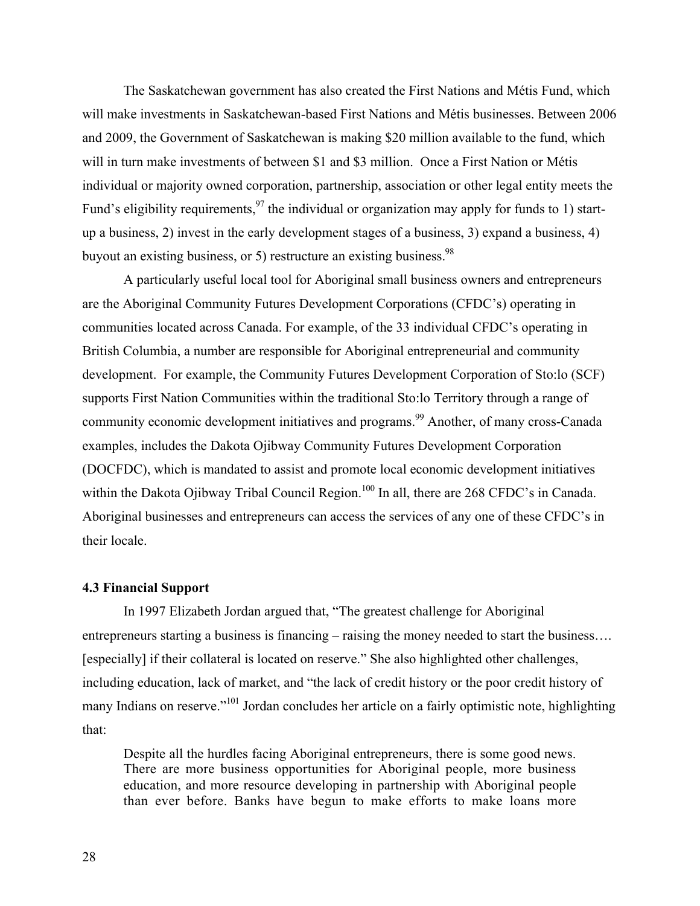The Saskatchewan government has also created the First Nations and Métis Fund, which will make investments in Saskatchewan-based First Nations and Métis businesses. Between 2006 and 2009, the Government of Saskatchewan is making \$20 million available to the fund, which will in turn make investments of between \$1 and \$3 million. Once a First Nation or Métis individual or majority owned corporation, partnership, association or other legal entity meets the Fund's eligibility requirements,  $97$  the individual or organization may apply for funds to 1) startup a business, 2) invest in the early development stages of a business, 3) expand a business, 4) buyout an existing business, or 5) restructure an existing business.  $98$ 

A particularly useful local tool for Aboriginal small business owners and entrepreneurs are the Aboriginal Community Futures Development Corporations (CFDC's) operating in communities located across Canada. For example, of the 33 individual CFDC's operating in British Columbia, a number are responsible for Aboriginal entrepreneurial and community development. For example, the Community Futures Development Corporation of Sto:lo (SCF) supports First Nation Communities within the traditional Sto:lo Territory through a range of community economic development initiatives and programs.<sup>99</sup> Another, of many cross-Canada examples, includes the Dakota Ojibway Community Futures Development Corporation (DOCFDC), which is mandated to assist and promote local economic development initiatives within the Dakota Ojibway Tribal Council Region.<sup>100</sup> In all, there are 268 CFDC's in Canada. Aboriginal businesses and entrepreneurs can access the services of any one of these CFDC's in their locale.

## **4.3 Financial Support**

In 1997 Elizabeth Jordan argued that, "The greatest challenge for Aboriginal entrepreneurs starting a business is financing – raising the money needed to start the business.... [especially] if their collateral is located on reserve." She also highlighted other challenges, including education, lack of market, and "the lack of credit history or the poor credit history of many Indians on reserve."<sup>101</sup> Jordan concludes her article on a fairly optimistic note, highlighting that:

Despite all the hurdles facing Aboriginal entrepreneurs, there is some good news. There are more business opportunities for Aboriginal people, more business education, and more resource developing in partnership with Aboriginal people than ever before. Banks have begun to make efforts to make loans more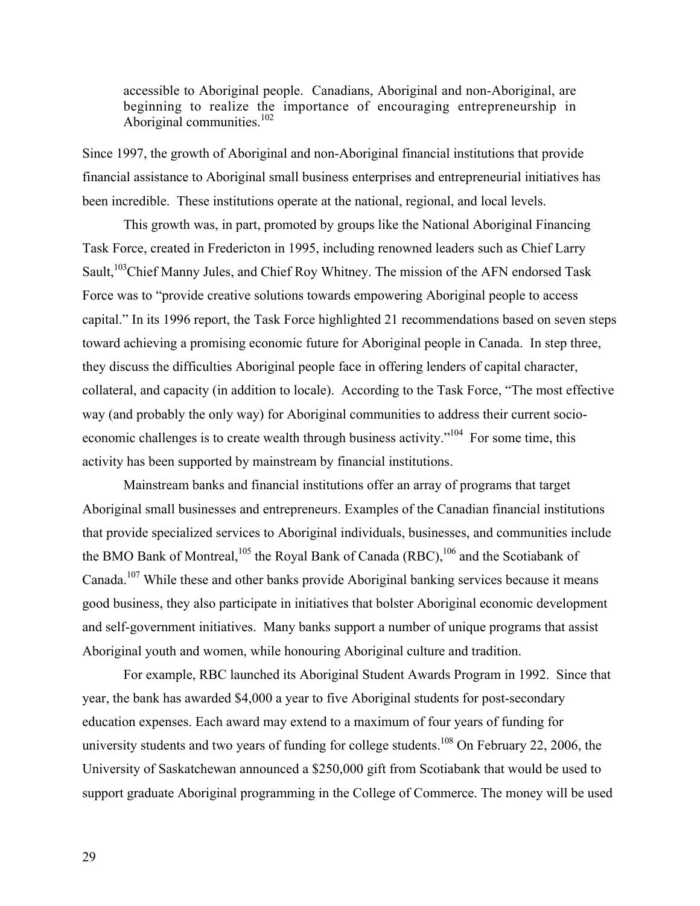accessible to Aboriginal people. Canadians, Aboriginal and non-Aboriginal, are beginning to realize the importance of encouraging entrepreneurship in Aboriginal communities.<sup>102</sup>

Since 1997, the growth of Aboriginal and non-Aboriginal financial institutions that provide financial assistance to Aboriginal small business enterprises and entrepreneurial initiatives has been incredible. These institutions operate at the national, regional, and local levels.

This growth was, in part, promoted by groups like the National Aboriginal Financing Task Force, created in Fredericton in 1995, including renowned leaders such as Chief Larry Sault,<sup>103</sup>Chief Manny Jules, and Chief Roy Whitney. The mission of the AFN endorsed Task Force was to "provide creative solutions towards empowering Aboriginal people to access capital." In its 1996 report, the Task Force highlighted 21 recommendations based on seven steps toward achieving a promising economic future for Aboriginal people in Canada. In step three, they discuss the difficulties Aboriginal people face in offering lenders of capital character, collateral, and capacity (in addition to locale). According to the Task Force, "The most effective way (and probably the only way) for Aboriginal communities to address their current socioeconomic challenges is to create wealth through business activity."<sup>104</sup> For some time, this activity has been supported by mainstream by financial institutions.

Mainstream banks and financial institutions offer an array of programs that target Aboriginal small businesses and entrepreneurs. Examples of the Canadian financial institutions that provide specialized services to Aboriginal individuals, businesses, and communities include the BMO Bank of Montreal,  $^{105}$  the Royal Bank of Canada (RBC),  $^{106}$  and the Scotiabank of Canada.<sup>107</sup> While these and other banks provide Aboriginal banking services because it means good business, they also participate in initiatives that bolster Aboriginal economic development and self-government initiatives. Many banks support a number of unique programs that assist Aboriginal youth and women, while honouring Aboriginal culture and tradition.

For example, RBC launched its Aboriginal Student Awards Program in 1992. Since that year, the bank has awarded \$4,000 a year to five Aboriginal students for post-secondary education expenses. Each award may extend to a maximum of four years of funding for university students and two years of funding for college students.<sup>108</sup> On February 22, 2006, the University of Saskatchewan announced a \$250,000 gift from Scotiabank that would be used to support graduate Aboriginal programming in the College of Commerce. The money will be used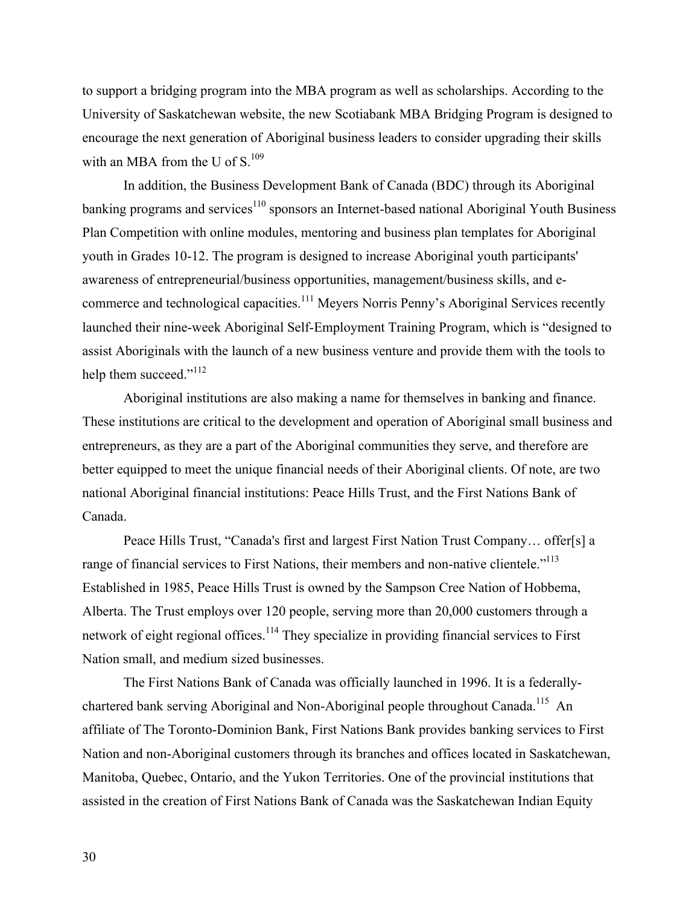to support a bridging program into the MBA program as well as scholarships. According to the University of Saskatchewan website, the new Scotiabank MBA Bridging Program is designed to encourage the next generation of Aboriginal business leaders to consider upgrading their skills with an MBA from the U of  $S<sup>109</sup>$ 

In addition, the Business Development Bank of Canada (BDC) through its Aboriginal banking programs and services<sup>110</sup> sponsors an Internet-based national Aboriginal Youth Business Plan Competition with online modules, mentoring and business plan templates for Aboriginal youth in Grades 10-12. The program is designed to increase Aboriginal youth participants' awareness of entrepreneurial/business opportunities, management/business skills, and ecommerce and technological capacities.<sup>111</sup> Meyers Norris Penny's Aboriginal Services recently launched their nine-week Aboriginal Self-Employment Training Program, which is "designed to assist Aboriginals with the launch of a new business venture and provide them with the tools to help them succeed."<sup>112</sup>

Aboriginal institutions are also making a name for themselves in banking and finance. These institutions are critical to the development and operation of Aboriginal small business and entrepreneurs, as they are a part of the Aboriginal communities they serve, and therefore are better equipped to meet the unique financial needs of their Aboriginal clients. Of note, are two national Aboriginal financial institutions: Peace Hills Trust, and the First Nations Bank of Canada.

Peace Hills Trust, "Canada's first and largest First Nation Trust Company… offer[s] a range of financial services to First Nations, their members and non-native clientele."<sup>113</sup> Established in 1985, Peace Hills Trust is owned by the Sampson Cree Nation of Hobbema, Alberta. The Trust employs over 120 people, serving more than 20,000 customers through a network of eight regional offices.<sup>114</sup> They specialize in providing financial services to First Nation small, and medium sized businesses.

The First Nations Bank of Canada was officially launched in 1996. It is a federallychartered bank serving Aboriginal and Non-Aboriginal people throughout Canada.<sup>115</sup> An affiliate of The Toronto-Dominion Bank, First Nations Bank provides banking services to First Nation and non-Aboriginal customers through its branches and offices located in Saskatchewan, Manitoba, Quebec, Ontario, and the Yukon Territories. One of the provincial institutions that assisted in the creation of First Nations Bank of Canada was the Saskatchewan Indian Equity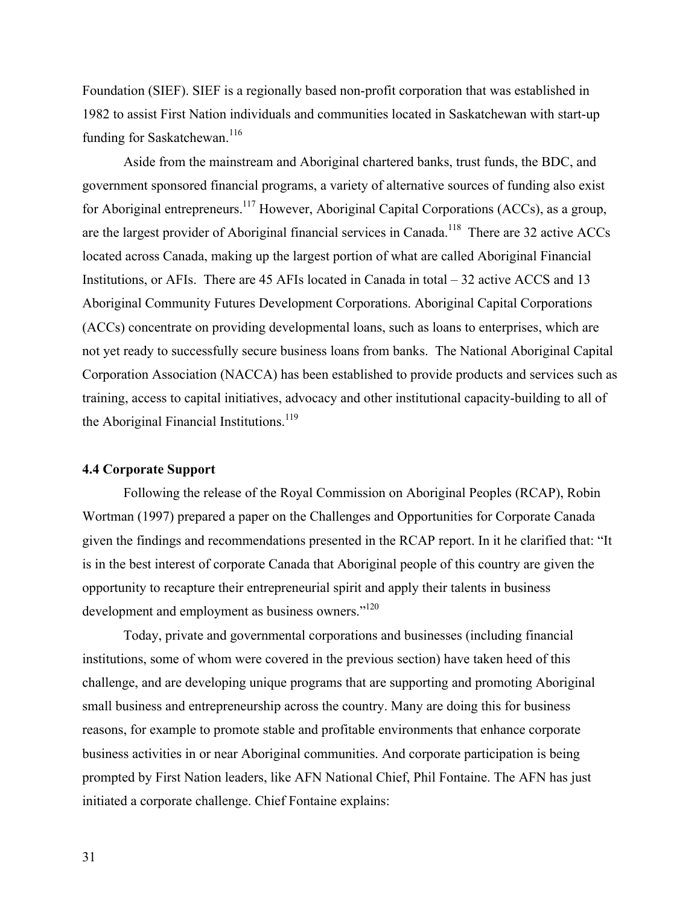Foundation (SIEF). SIEF is a regionally based non-profit corporation that was established in 1982 to assist First Nation individuals and communities located in Saskatchewan with start-up funding for Saskatchewan.<sup>116</sup>

Aside from the mainstream and Aboriginal chartered banks, trust funds, the BDC, and government sponsored financial programs, a variety of alternative sources of funding also exist for Aboriginal entrepreneurs.<sup>117</sup> However, Aboriginal Capital Corporations (ACCs), as a group, are the largest provider of Aboriginal financial services in Canada.<sup>118</sup> There are 32 active ACCs located across Canada, making up the largest portion of what are called Aboriginal Financial Institutions, or AFIs. There are 45 AFIs located in Canada in total – 32 active ACCS and 13 Aboriginal Community Futures Development Corporations. Aboriginal Capital Corporations (ACCs) concentrate on providing developmental loans, such as loans to enterprises, which are not yet ready to successfully secure business loans from banks. The National Aboriginal Capital Corporation Association (NACCA) has been established to provide products and services such as training, access to capital initiatives, advocacy and other institutional capacity-building to all of the Aboriginal Financial Institutions.<sup>119</sup>

## **4.4 Corporate Support**

Following the release of the Royal Commission on Aboriginal Peoples (RCAP), Robin Wortman (1997) prepared a paper on the Challenges and Opportunities for Corporate Canada given the findings and recommendations presented in the RCAP report. In it he clarified that: "It is in the best interest of corporate Canada that Aboriginal people of this country are given the opportunity to recapture their entrepreneurial spirit and apply their talents in business development and employment as business owners."<sup>120</sup>

Today, private and governmental corporations and businesses (including financial institutions, some of whom were covered in the previous section) have taken heed of this challenge, and are developing unique programs that are supporting and promoting Aboriginal small business and entrepreneurship across the country. Many are doing this for business reasons, for example to promote stable and profitable environments that enhance corporate business activities in or near Aboriginal communities. And corporate participation is being prompted by First Nation leaders, like AFN National Chief, Phil Fontaine. The AFN has just initiated a corporate challenge. Chief Fontaine explains: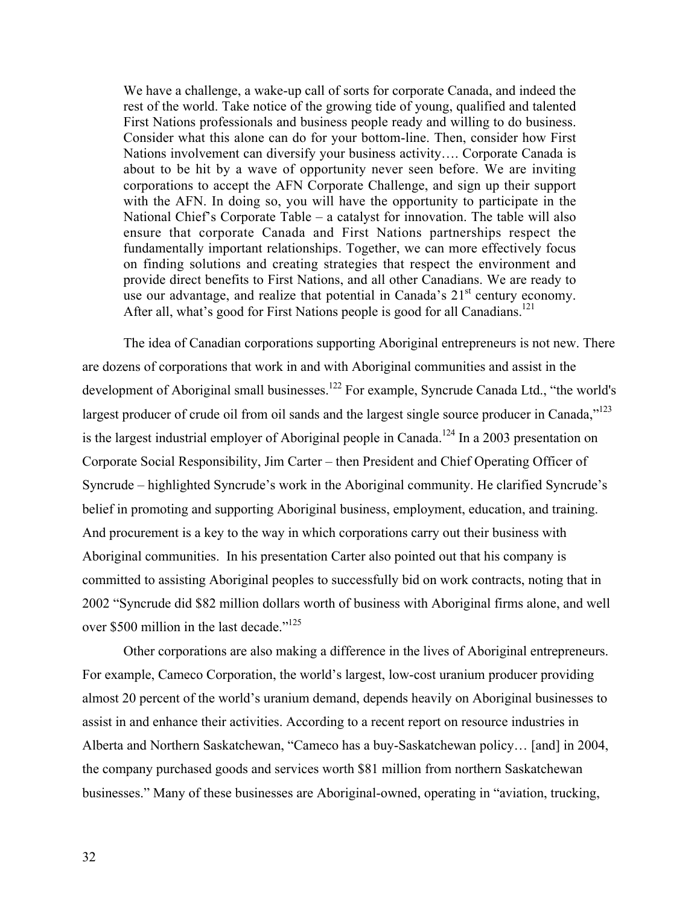We have a challenge, a wake-up call of sorts for corporate Canada, and indeed the rest of the world. Take notice of the growing tide of young, qualified and talented First Nations professionals and business people ready and willing to do business. Consider what this alone can do for your bottom-line. Then, consider how First Nations involvement can diversify your business activity…. Corporate Canada is about to be hit by a wave of opportunity never seen before. We are inviting corporations to accept the AFN Corporate Challenge, and sign up their support with the AFN. In doing so, you will have the opportunity to participate in the National Chief's Corporate Table – a catalyst for innovation. The table will also ensure that corporate Canada and First Nations partnerships respect the fundamentally important relationships. Together, we can more effectively focus on finding solutions and creating strategies that respect the environment and provide direct benefits to First Nations, and all other Canadians. We are ready to use our advantage, and realize that potential in Canada's  $21<sup>st</sup>$  century economy. After all, what's good for First Nations people is good for all Canadians.<sup>121</sup>

The idea of Canadian corporations supporting Aboriginal entrepreneurs is not new. There are dozens of corporations that work in and with Aboriginal communities and assist in the development of Aboriginal small businesses.<sup>122</sup> For example, Syncrude Canada Ltd., "the world's largest producer of crude oil from oil sands and the largest single source producer in Canada,"<sup>123</sup> is the largest industrial employer of Aboriginal people in Canada.<sup>124</sup> In a 2003 presentation on Corporate Social Responsibility, Jim Carter – then President and Chief Operating Officer of Syncrude – highlighted Syncrude's work in the Aboriginal community. He clarified Syncrude's belief in promoting and supporting Aboriginal business, employment, education, and training. And procurement is a key to the way in which corporations carry out their business with Aboriginal communities. In his presentation Carter also pointed out that his company is committed to assisting Aboriginal peoples to successfully bid on work contracts, noting that in 2002 "Syncrude did \$82 million dollars worth of business with Aboriginal firms alone, and well over \$500 million in the last decade."<sup>125</sup>

Other corporations are also making a difference in the lives of Aboriginal entrepreneurs. For example, Cameco Corporation, the world's largest, low-cost uranium producer providing almost 20 percent of the world's uranium demand, depends heavily on Aboriginal businesses to assist in and enhance their activities. According to a recent report on resource industries in Alberta and Northern Saskatchewan, "Cameco has a buy-Saskatchewan policy… [and] in 2004, the company purchased goods and services worth \$81 million from northern Saskatchewan businesses." Many of these businesses are Aboriginal-owned, operating in "aviation, trucking,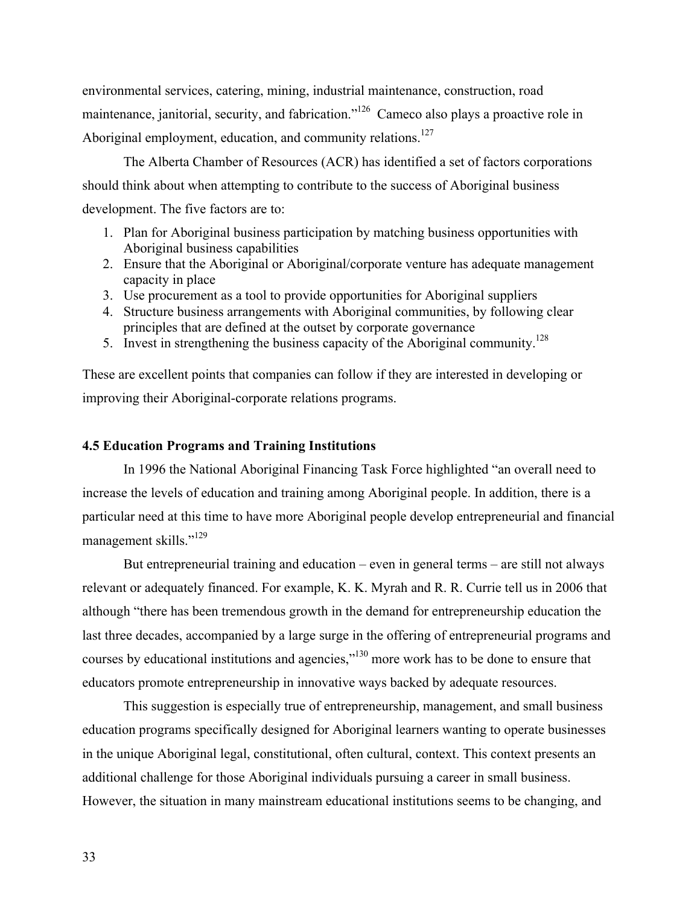environmental services, catering, mining, industrial maintenance, construction, road maintenance, janitorial, security, and fabrication."<sup>126</sup> Cameco also plays a proactive role in Aboriginal employment, education, and community relations.<sup>127</sup>

The Alberta Chamber of Resources (ACR) has identified a set of factors corporations should think about when attempting to contribute to the success of Aboriginal business development. The five factors are to:

- 1. Plan for Aboriginal business participation by matching business opportunities with Aboriginal business capabilities
- 2. Ensure that the Aboriginal or Aboriginal/corporate venture has adequate management capacity in place
- 3. Use procurement as a tool to provide opportunities for Aboriginal suppliers
- 4. Structure business arrangements with Aboriginal communities, by following clear principles that are defined at the outset by corporate governance
- 5. Invest in strengthening the business capacity of the Aboriginal community.<sup>128</sup>

These are excellent points that companies can follow if they are interested in developing or improving their Aboriginal-corporate relations programs.

## **4.5 Education Programs and Training Institutions**

In 1996 the National Aboriginal Financing Task Force highlighted "an overall need to increase the levels of education and training among Aboriginal people. In addition, there is a particular need at this time to have more Aboriginal people develop entrepreneurial and financial management skills."<sup>129</sup>

But entrepreneurial training and education – even in general terms – are still not always relevant or adequately financed. For example, K. K. Myrah and R. R. Currie tell us in 2006 that although "there has been tremendous growth in the demand for entrepreneurship education the last three decades, accompanied by a large surge in the offering of entrepreneurial programs and courses by educational institutions and agencies,"<sup>130</sup> more work has to be done to ensure that educators promote entrepreneurship in innovative ways backed by adequate resources.

This suggestion is especially true of entrepreneurship, management, and small business education programs specifically designed for Aboriginal learners wanting to operate businesses in the unique Aboriginal legal, constitutional, often cultural, context. This context presents an additional challenge for those Aboriginal individuals pursuing a career in small business. However, the situation in many mainstream educational institutions seems to be changing, and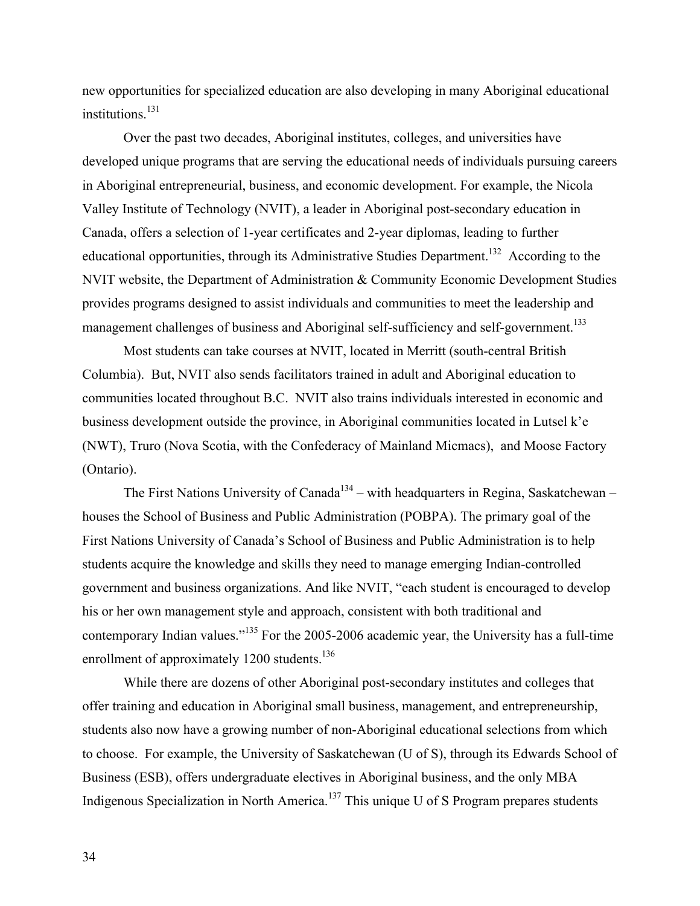new opportunities for specialized education are also developing in many Aboriginal educational institutions.<sup>131</sup>

Over the past two decades, Aboriginal institutes, colleges, and universities have developed unique programs that are serving the educational needs of individuals pursuing careers in Aboriginal entrepreneurial, business, and economic development. For example, the Nicola Valley Institute of Technology (NVIT), a leader in Aboriginal post-secondary education in Canada, offers a selection of 1-year certificates and 2-year diplomas, leading to further educational opportunities, through its Administrative Studies Department.<sup>132</sup> According to the NVIT website, the Department of Administration & Community Economic Development Studies provides programs designed to assist individuals and communities to meet the leadership and management challenges of business and Aboriginal self-sufficiency and self-government.<sup>133</sup>

Most students can take courses at NVIT, located in Merritt (south-central British Columbia). But, NVIT also sends facilitators trained in adult and Aboriginal education to communities located throughout B.C. NVIT also trains individuals interested in economic and business development outside the province, in Aboriginal communities located in Lutsel k'e (NWT), Truro (Nova Scotia, with the Confederacy of Mainland Micmacs), and Moose Factory (Ontario).

The First Nations University of Canada<sup>134</sup> – with headquarters in Regina, Saskatchewan – houses the School of Business and Public Administration (POBPA). The primary goal of the First Nations University of Canada's School of Business and Public Administration is to help students acquire the knowledge and skills they need to manage emerging Indian-controlled government and business organizations. And like NVIT, "each student is encouraged to develop his or her own management style and approach, consistent with both traditional and contemporary Indian values."<sup>135</sup> For the 2005-2006 academic year, the University has a full-time enrollment of approximately 1200 students.<sup>136</sup>

While there are dozens of other Aboriginal post-secondary institutes and colleges that offer training and education in Aboriginal small business, management, and entrepreneurship, students also now have a growing number of non-Aboriginal educational selections from which to choose. For example, the University of Saskatchewan (U of S), through its Edwards School of Business (ESB), offers undergraduate electives in Aboriginal business, and the only MBA Indigenous Specialization in North America.<sup>137</sup> This unique U of S Program prepares students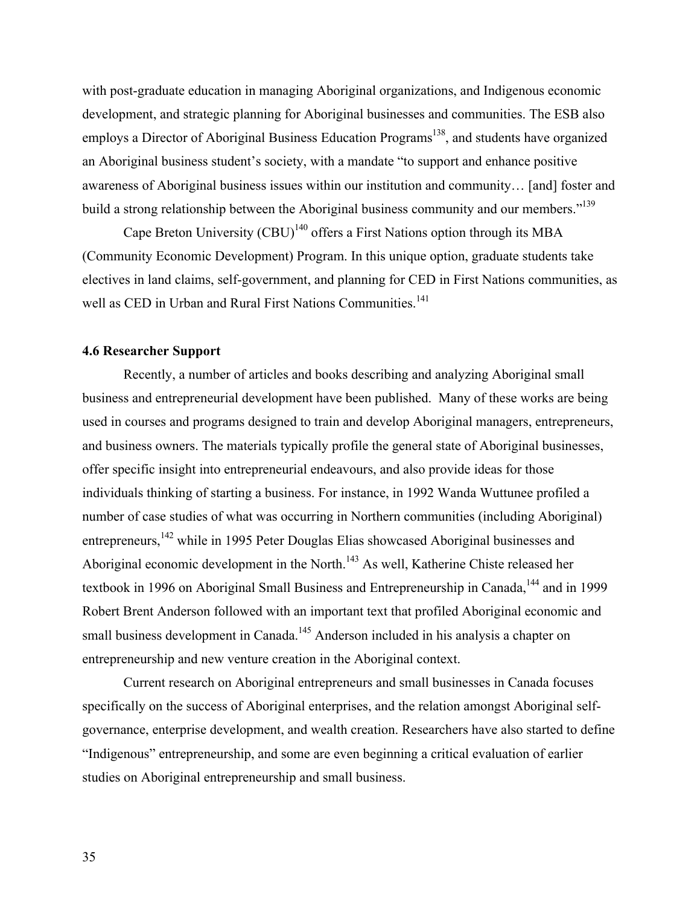with post-graduate education in managing Aboriginal organizations, and Indigenous economic development, and strategic planning for Aboriginal businesses and communities. The ESB also employs a Director of Aboriginal Business Education Programs<sup>138</sup>, and students have organized an Aboriginal business student's society, with a mandate "to support and enhance positive awareness of Aboriginal business issues within our institution and community… [and] foster and build a strong relationship between the Aboriginal business community and our members."<sup>139</sup>

Cape Breton University (CBU)<sup>140</sup> offers a First Nations option through its MBA (Community Economic Development) Program. In this unique option, graduate students take electives in land claims, self-government, and planning for CED in First Nations communities, as well as CED in Urban and Rural First Nations Communities.<sup>141</sup>

#### **4.6 Researcher Support**

Recently, a number of articles and books describing and analyzing Aboriginal small business and entrepreneurial development have been published. Many of these works are being used in courses and programs designed to train and develop Aboriginal managers, entrepreneurs, and business owners. The materials typically profile the general state of Aboriginal businesses, offer specific insight into entrepreneurial endeavours, and also provide ideas for those individuals thinking of starting a business. For instance, in 1992 Wanda Wuttunee profiled a number of case studies of what was occurring in Northern communities (including Aboriginal) entrepreneurs, <sup>142</sup> while in 1995 Peter Douglas Elias showcased Aboriginal businesses and Aboriginal economic development in the North.<sup>143</sup> As well, Katherine Chiste released her textbook in 1996 on Aboriginal Small Business and Entrepreneurship in Canada,<sup>144</sup> and in 1999 Robert Brent Anderson followed with an important text that profiled Aboriginal economic and small business development in Canada.<sup>145</sup> Anderson included in his analysis a chapter on entrepreneurship and new venture creation in the Aboriginal context.

Current research on Aboriginal entrepreneurs and small businesses in Canada focuses specifically on the success of Aboriginal enterprises, and the relation amongst Aboriginal selfgovernance, enterprise development, and wealth creation. Researchers have also started to define "Indigenous" entrepreneurship, and some are even beginning a critical evaluation of earlier studies on Aboriginal entrepreneurship and small business.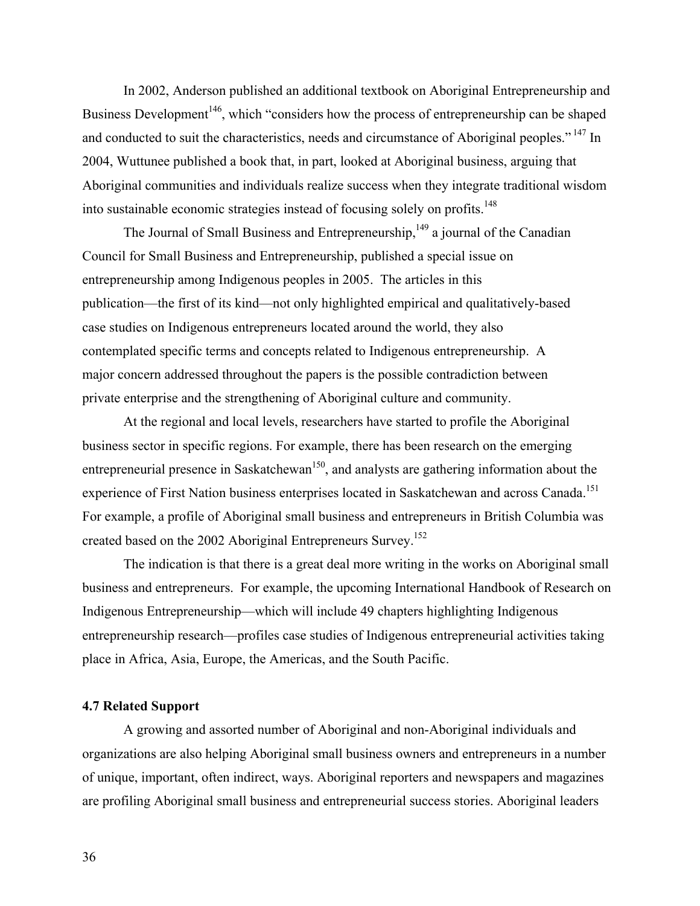In 2002, Anderson published an additional textbook on Aboriginal Entrepreneurship and Business Development<sup>146</sup>, which "considers how the process of entrepreneurship can be shaped and conducted to suit the characteristics, needs and circumstance of Aboriginal peoples."<sup>147</sup> In 2004, Wuttunee published a book that, in part, looked at Aboriginal business, arguing that Aboriginal communities and individuals realize success when they integrate traditional wisdom into sustainable economic strategies instead of focusing solely on profits.<sup>148</sup>

The Journal of Small Business and Entrepreneurship, <sup>149</sup> a journal of the Canadian Council for Small Business and Entrepreneurship, published a special issue on entrepreneurship among Indigenous peoples in 2005. The articles in this publication—the first of its kind—not only highlighted empirical and qualitatively-based case studies on Indigenous entrepreneurs located around the world, they also contemplated specific terms and concepts related to Indigenous entrepreneurship. A major concern addressed throughout the papers is the possible contradiction between private enterprise and the strengthening of Aboriginal culture and community.

At the regional and local levels, researchers have started to profile the Aboriginal business sector in specific regions. For example, there has been research on the emerging entrepreneurial presence in Saskatchewan<sup>150</sup>, and analysts are gathering information about the experience of First Nation business enterprises located in Saskatchewan and across Canada.<sup>151</sup> For example, a profile of Aboriginal small business and entrepreneurs in British Columbia was created based on the 2002 Aboriginal Entrepreneurs Survey.152

The indication is that there is a great deal more writing in the works on Aboriginal small business and entrepreneurs. For example, the upcoming International Handbook of Research on Indigenous Entrepreneurship—which will include 49 chapters highlighting Indigenous entrepreneurship research—profiles case studies of Indigenous entrepreneurial activities taking place in Africa, Asia, Europe, the Americas, and the South Pacific.

## **4.7 Related Support**

A growing and assorted number of Aboriginal and non-Aboriginal individuals and organizations are also helping Aboriginal small business owners and entrepreneurs in a number of unique, important, often indirect, ways. Aboriginal reporters and newspapers and magazines are profiling Aboriginal small business and entrepreneurial success stories. Aboriginal leaders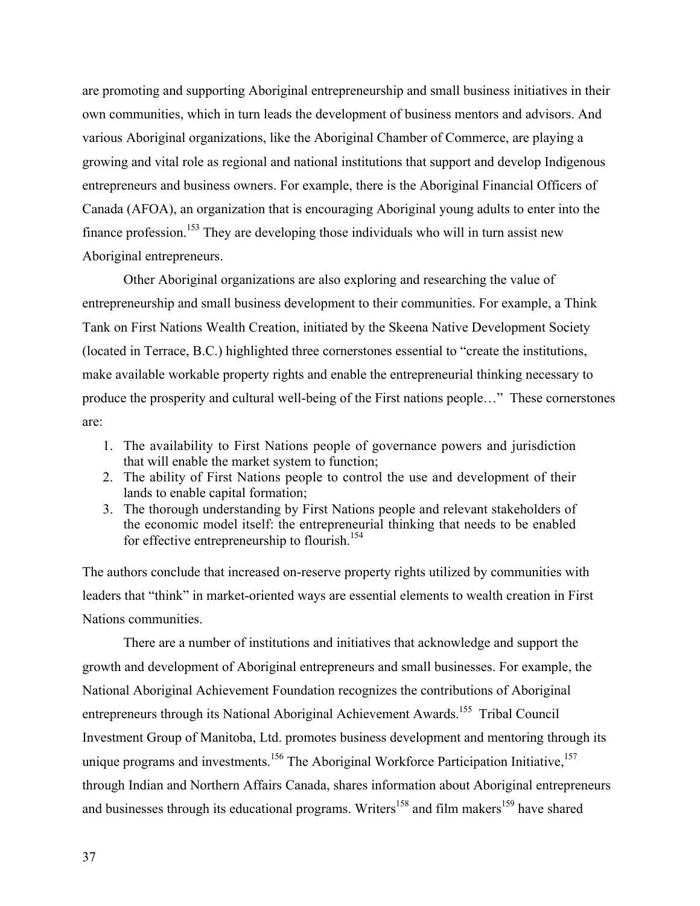are promoting and supporting Aboriginal entrepreneurship and small business initiatives in their own communities, which in turn leads the development of business mentors and advisors. And various Aboriginal organizations, like the Aboriginal Chamber of Commerce, are playing a growing and vital role as regional and national institutions that support and develop Indigenous entrepreneurs and business owners. For example, there is the Aboriginal Financial Officers of Canada (AFOA), an organization that is encouraging Aboriginal young adults to enter into the finance profession.<sup>153</sup> They are developing those individuals who will in turn assist new Aboriginal entrepreneurs.

Other Aboriginal organizations are also exploring and researching the value of entrepreneurship and small business development to their communities. For example, a Think Tank on First Nations Wealth Creation, initiated by the Skeena Native Development Society (located in Terrace, B.C.) highlighted three cornerstones essential to "create the institutions, make available workable property rights and enable the entrepreneurial thinking necessary to produce the prosperity and cultural well-being of the First nations people…" These cornerstones are:

- 1. The availability to First Nations people of governance powers and jurisdiction that will enable the market system to function;
- 2. The ability of First Nations people to control the use and development of their lands to enable capital formation;
- 3. The thorough understanding by First Nations people and relevant stakeholders of the economic model itself: the entrepreneurial thinking that needs to be enabled for effective entrepreneurship to flourish.<sup>154</sup>

The authors conclude that increased on-reserve property rights utilized by communities with leaders that "think" in market-oriented ways are essential elements to wealth creation in First Nations communities.

There are a number of institutions and initiatives that acknowledge and support the growth and development of Aboriginal entrepreneurs and small businesses. For example, the National Aboriginal Achievement Foundation recognizes the contributions of Aboriginal entrepreneurs through its National Aboriginal Achievement Awards.<sup>155</sup> Tribal Council Investment Group of Manitoba, Ltd. promotes business development and mentoring through its unique programs and investments.<sup>156</sup> The Aboriginal Workforce Participation Initiative,<sup>157</sup> through Indian and Northern Affairs Canada, shares information about Aboriginal entrepreneurs and businesses through its educational programs. Writers<sup>158</sup> and film makers<sup>159</sup> have shared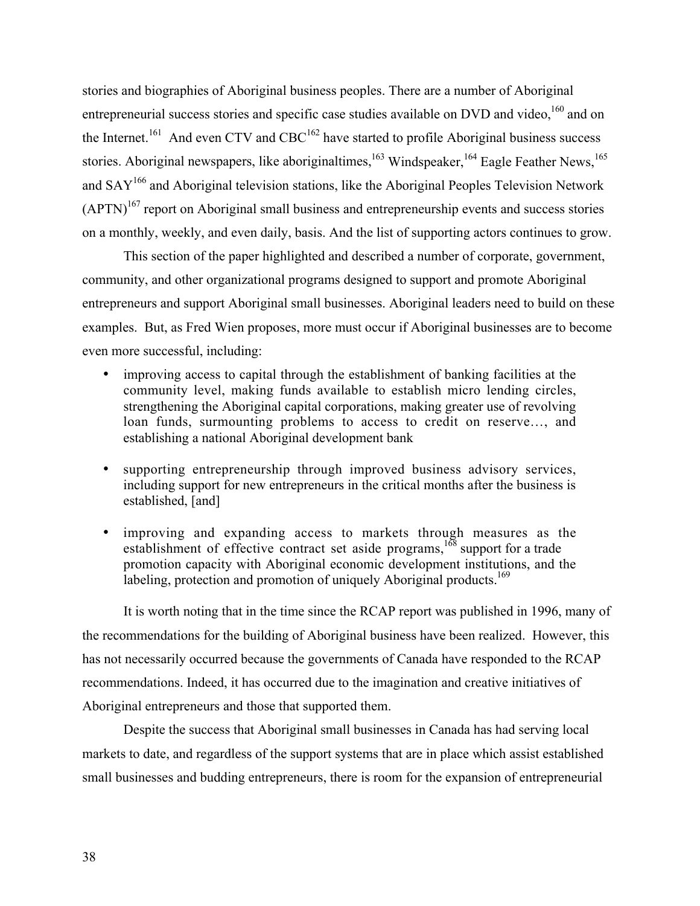stories and biographies of Aboriginal business peoples. There are a number of Aboriginal entrepreneurial success stories and specific case studies available on DVD and video, <sup>160</sup> and on the Internet.<sup>161</sup> And even CTV and CBC<sup>162</sup> have started to profile Aboriginal business success stories. Aboriginal newspapers, like aboriginaltimes, <sup>163</sup> Windspeaker, <sup>164</sup> Eagle Feather News, <sup>165</sup> and SAY<sup>166</sup> and Aboriginal television stations, like the Aboriginal Peoples Television Network  $(APTN)^{167}$  report on Aboriginal small business and entrepreneurship events and success stories on a monthly, weekly, and even daily, basis. And the list of supporting actors continues to grow.

This section of the paper highlighted and described a number of corporate, government, community, and other organizational programs designed to support and promote Aboriginal entrepreneurs and support Aboriginal small businesses. Aboriginal leaders need to build on these examples. But, as Fred Wien proposes, more must occur if Aboriginal businesses are to become even more successful, including:

improving access to capital through the establishment of banking facilities at the community level, making funds available to establish micro lending circles, strengthening the Aboriginal capital corporations, making greater use of revolving loan funds, surmounting problems to access to credit on reserve…, and establishing a national Aboriginal development bank

supporting entrepreneurship through improved business advisory services, including support for new entrepreneurs in the critical months after the business is established, [and]

improving and expanding access to markets through measures as the establishment of effective contract set aside programs,  $168$  support for a trade promotion capacity with Aboriginal economic development institutions, and the labeling, protection and promotion of uniquely Aboriginal products.<sup>169</sup>

It is worth noting that in the time since the RCAP report was published in 1996, many of the recommendations for the building of Aboriginal business have been realized. However, this has not necessarily occurred because the governments of Canada have responded to the RCAP recommendations. Indeed, it has occurred due to the imagination and creative initiatives of Aboriginal entrepreneurs and those that supported them.

Despite the success that Aboriginal small businesses in Canada has had serving local markets to date, and regardless of the support systems that are in place which assist established small businesses and budding entrepreneurs, there is room for the expansion of entrepreneurial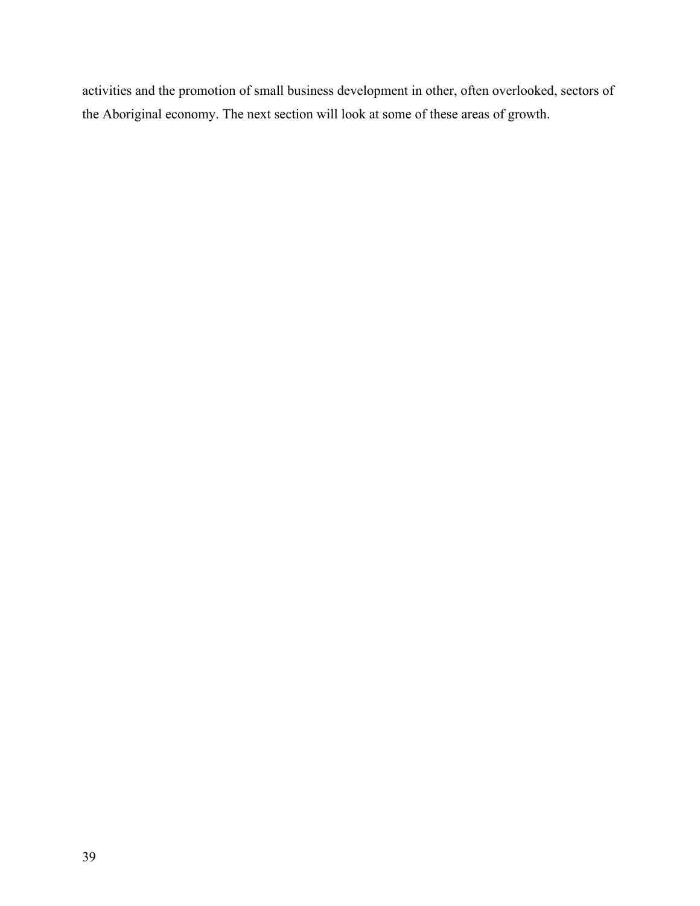activities and the promotion of small business development in other, often overlooked, sectors of the Aboriginal economy. The next section will look at some of these areas of growth.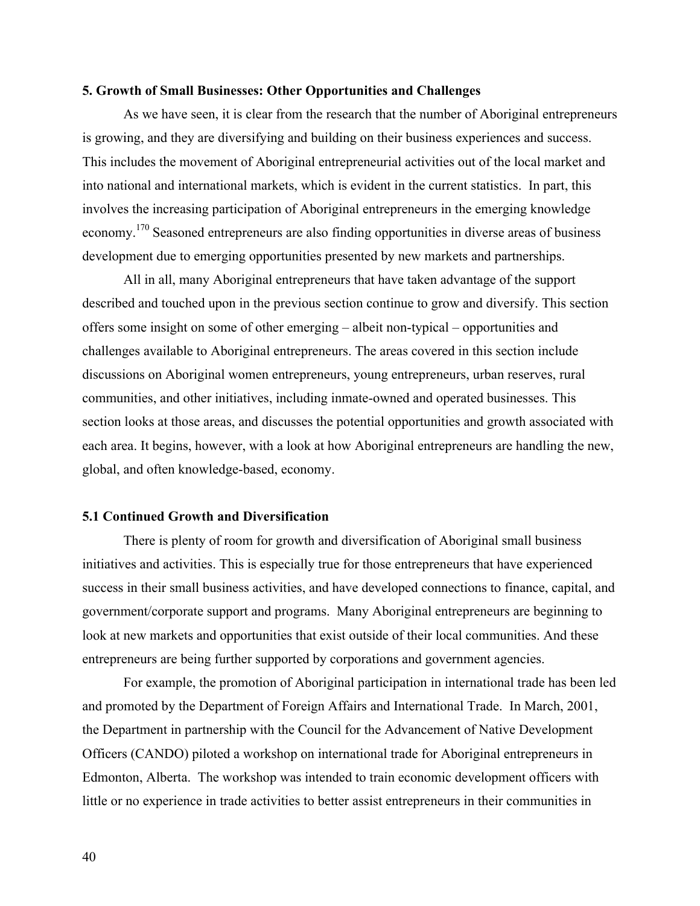#### **5. Growth of Small Businesses: Other Opportunities and Challenges**

As we have seen, it is clear from the research that the number of Aboriginal entrepreneurs is growing, and they are diversifying and building on their business experiences and success. This includes the movement of Aboriginal entrepreneurial activities out of the local market and into national and international markets, which is evident in the current statistics. In part, this involves the increasing participation of Aboriginal entrepreneurs in the emerging knowledge economy.<sup>170</sup> Seasoned entrepreneurs are also finding opportunities in diverse areas of business development due to emerging opportunities presented by new markets and partnerships.

All in all, many Aboriginal entrepreneurs that have taken advantage of the support described and touched upon in the previous section continue to grow and diversify. This section offers some insight on some of other emerging – albeit non-typical – opportunities and challenges available to Aboriginal entrepreneurs. The areas covered in this section include discussions on Aboriginal women entrepreneurs, young entrepreneurs, urban reserves, rural communities, and other initiatives, including inmate-owned and operated businesses. This section looks at those areas, and discusses the potential opportunities and growth associated with each area. It begins, however, with a look at how Aboriginal entrepreneurs are handling the new, global, and often knowledge-based, economy.

# **5.1 Continued Growth and Diversification**

There is plenty of room for growth and diversification of Aboriginal small business initiatives and activities. This is especially true for those entrepreneurs that have experienced success in their small business activities, and have developed connections to finance, capital, and government/corporate support and programs. Many Aboriginal entrepreneurs are beginning to look at new markets and opportunities that exist outside of their local communities. And these entrepreneurs are being further supported by corporations and government agencies.

For example, the promotion of Aboriginal participation in international trade has been led and promoted by the Department of Foreign Affairs and International Trade. In March, 2001, the Department in partnership with the Council for the Advancement of Native Development Officers (CANDO) piloted a workshop on international trade for Aboriginal entrepreneurs in Edmonton, Alberta. The workshop was intended to train economic development officers with little or no experience in trade activities to better assist entrepreneurs in their communities in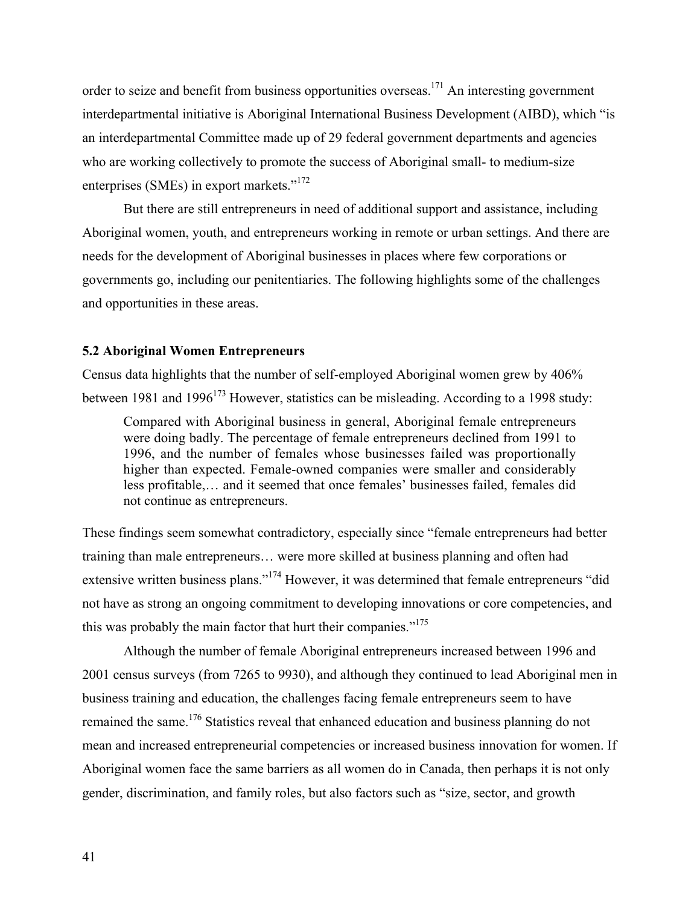order to seize and benefit from business opportunities overseas.<sup>171</sup> An interesting government interdepartmental initiative is Aboriginal International Business Development (AIBD), which "is an interdepartmental Committee made up of 29 federal government departments and agencies who are working collectively to promote the success of Aboriginal small- to medium-size enterprises (SMEs) in export markets."<sup>172</sup>

But there are still entrepreneurs in need of additional support and assistance, including Aboriginal women, youth, and entrepreneurs working in remote or urban settings. And there are needs for the development of Aboriginal businesses in places where few corporations or governments go, including our penitentiaries. The following highlights some of the challenges and opportunities in these areas.

### **5.2 Aboriginal Women Entrepreneurs**

Census data highlights that the number of self-employed Aboriginal women grew by 406% between 1981 and 1996<sup>173</sup> However, statistics can be misleading. According to a 1998 study:

Compared with Aboriginal business in general, Aboriginal female entrepreneurs were doing badly. The percentage of female entrepreneurs declined from 1991 to 1996, and the number of females whose businesses failed was proportionally higher than expected. Female-owned companies were smaller and considerably less profitable,… and it seemed that once females' businesses failed, females did not continue as entrepreneurs.

These findings seem somewhat contradictory, especially since "female entrepreneurs had better training than male entrepreneurs… were more skilled at business planning and often had extensive written business plans."<sup>174</sup> However, it was determined that female entrepreneurs "did not have as strong an ongoing commitment to developing innovations or core competencies, and this was probably the main factor that hurt their companies."<sup>175</sup>

Although the number of female Aboriginal entrepreneurs increased between 1996 and 2001 census surveys (from 7265 to 9930), and although they continued to lead Aboriginal men in business training and education, the challenges facing female entrepreneurs seem to have remained the same.<sup>176</sup> Statistics reveal that enhanced education and business planning do not mean and increased entrepreneurial competencies or increased business innovation for women. If Aboriginal women face the same barriers as all women do in Canada, then perhaps it is not only gender, discrimination, and family roles, but also factors such as "size, sector, and growth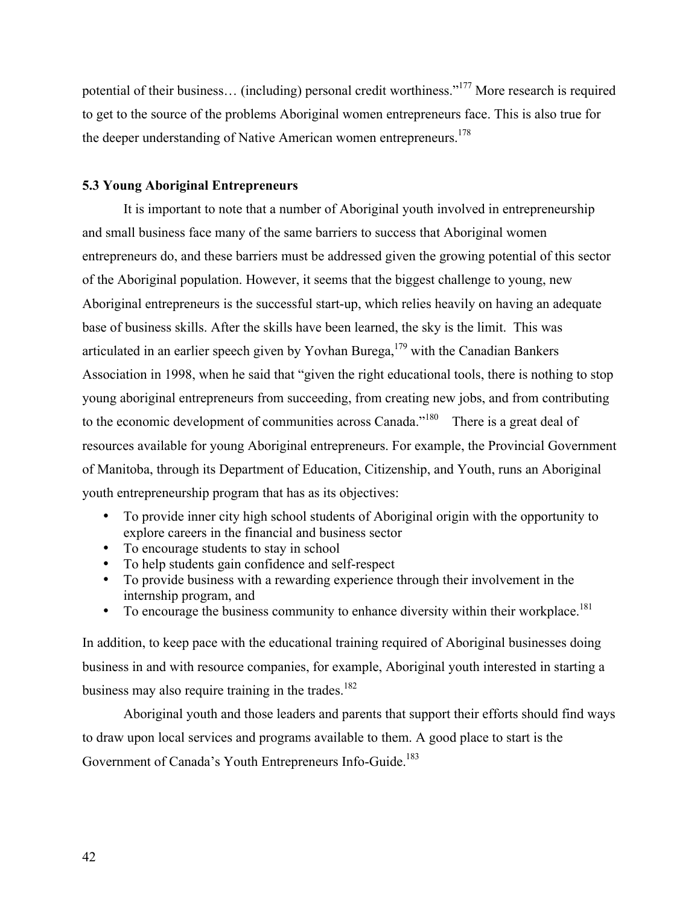potential of their business... (including) personal credit worthiness."<sup>177</sup> More research is required to get to the source of the problems Aboriginal women entrepreneurs face. This is also true for the deeper understanding of Native American women entrepreneurs.<sup>178</sup>

## **5.3 Young Aboriginal Entrepreneurs**

It is important to note that a number of Aboriginal youth involved in entrepreneurship and small business face many of the same barriers to success that Aboriginal women entrepreneurs do, and these barriers must be addressed given the growing potential of this sector of the Aboriginal population. However, it seems that the biggest challenge to young, new Aboriginal entrepreneurs is the successful start-up, which relies heavily on having an adequate base of business skills. After the skills have been learned, the sky is the limit. This was articulated in an earlier speech given by Yovhan Burega,  $179$  with the Canadian Bankers Association in 1998, when he said that "given the right educational tools, there is nothing to stop young aboriginal entrepreneurs from succeeding, from creating new jobs, and from contributing to the economic development of communities across Canada."<sup>180</sup> There is a great deal of resources available for young Aboriginal entrepreneurs. For example, the Provincial Government of Manitoba, through its Department of Education, Citizenship, and Youth, runs an Aboriginal youth entrepreneurship program that has as its objectives:

To provide inner city high school students of Aboriginal origin with the opportunity to explore careers in the financial and business sector To encourage students to stay in school To help students gain confidence and self-respect To provide business with a rewarding experience through their involvement in the internship program, and To encourage the business community to enhance diversity within their workplace.<sup>181</sup>

In addition, to keep pace with the educational training required of Aboriginal businesses doing business in and with resource companies, for example, Aboriginal youth interested in starting a business may also require training in the trades.<sup>182</sup>

Aboriginal youth and those leaders and parents that support their efforts should find ways to draw upon local services and programs available to them. A good place to start is the Government of Canada's Youth Entrepreneurs Info-Guide.<sup>183</sup>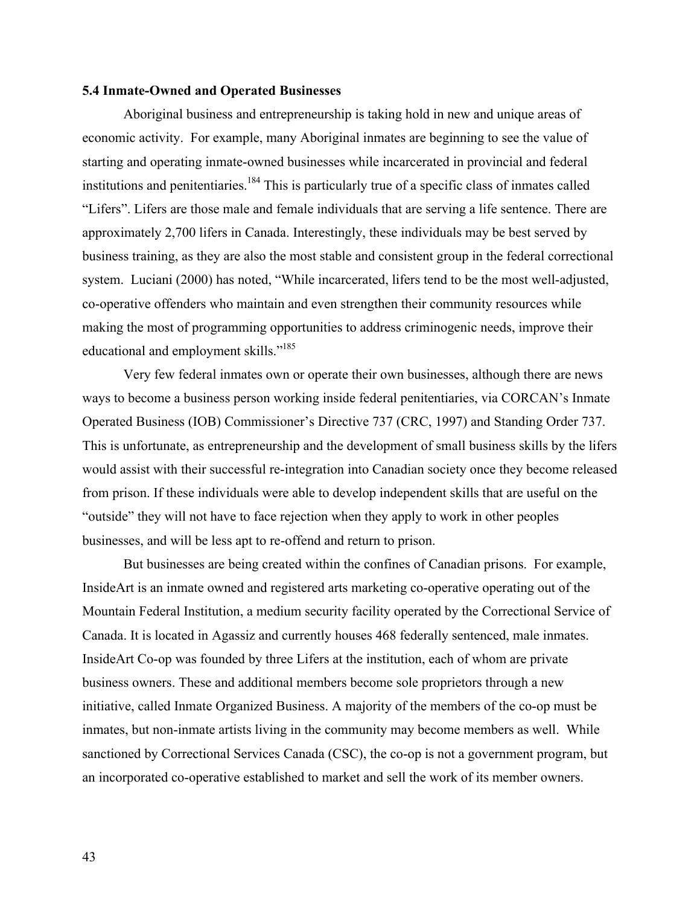#### **5.4 Inmate-Owned and Operated Businesses**

Aboriginal business and entrepreneurship is taking hold in new and unique areas of economic activity. For example, many Aboriginal inmates are beginning to see the value of starting and operating inmate-owned businesses while incarcerated in provincial and federal institutions and penitentiaries.<sup>184</sup> This is particularly true of a specific class of inmates called "Lifers". Lifers are those male and female individuals that are serving a life sentence. There are approximately 2,700 lifers in Canada. Interestingly, these individuals may be best served by business training, as they are also the most stable and consistent group in the federal correctional system. Luciani (2000) has noted, "While incarcerated, lifers tend to be the most well-adjusted, co-operative offenders who maintain and even strengthen their community resources while making the most of programming opportunities to address criminogenic needs, improve their educational and employment skills."<sup>185</sup>

Very few federal inmates own or operate their own businesses, although there are news ways to become a business person working inside federal penitentiaries, via CORCAN's Inmate Operated Business (IOB) Commissioner's Directive 737 (CRC, 1997) and Standing Order 737. This is unfortunate, as entrepreneurship and the development of small business skills by the lifers would assist with their successful re-integration into Canadian society once they become released from prison. If these individuals were able to develop independent skills that are useful on the "outside" they will not have to face rejection when they apply to work in other peoples businesses, and will be less apt to re-offend and return to prison.

But businesses are being created within the confines of Canadian prisons. For example, InsideArt is an inmate owned and registered arts marketing co-operative operating out of the Mountain Federal Institution, a medium security facility operated by the Correctional Service of Canada. It is located in Agassiz and currently houses 468 federally sentenced, male inmates. InsideArt Co-op was founded by three Lifers at the institution, each of whom are private business owners. These and additional members become sole proprietors through a new initiative, called Inmate Organized Business. A majority of the members of the co-op must be inmates, but non-inmate artists living in the community may become members as well. While sanctioned by Correctional Services Canada (CSC), the co-op is not a government program, but an incorporated co-operative established to market and sell the work of its member owners.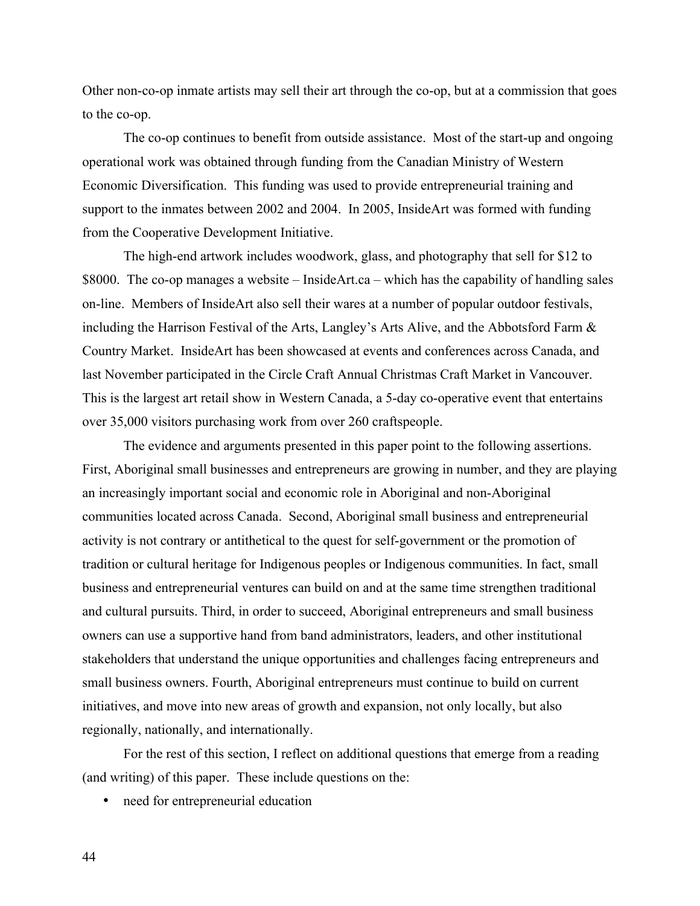Other non-co-op inmate artists may sell their art through the co-op, but at a commission that goes to the co-op.

The co-op continues to benefit from outside assistance. Most of the start-up and ongoing operational work was obtained through funding from the Canadian Ministry of Western Economic Diversification. This funding was used to provide entrepreneurial training and support to the inmates between 2002 and 2004. In 2005, InsideArt was formed with funding from the Cooperative Development Initiative.

The high-end artwork includes woodwork, glass, and photography that sell for \$12 to \$8000. The co-op manages a website – InsideArt.ca – which has the capability of handling sales on-line. Members of InsideArt also sell their wares at a number of popular outdoor festivals, including the Harrison Festival of the Arts, Langley's Arts Alive, and the Abbotsford Farm & Country Market. InsideArt has been showcased at events and conferences across Canada, and last November participated in the Circle Craft Annual Christmas Craft Market in Vancouver. This is the largest art retail show in Western Canada, a 5-day co-operative event that entertains over 35,000 visitors purchasing work from over 260 craftspeople.

The evidence and arguments presented in this paper point to the following assertions. First, Aboriginal small businesses and entrepreneurs are growing in number, and they are playing an increasingly important social and economic role in Aboriginal and non-Aboriginal communities located across Canada. Second, Aboriginal small business and entrepreneurial activity is not contrary or antithetical to the quest for self-government or the promotion of tradition or cultural heritage for Indigenous peoples or Indigenous communities. In fact, small business and entrepreneurial ventures can build on and at the same time strengthen traditional and cultural pursuits. Third, in order to succeed, Aboriginal entrepreneurs and small business owners can use a supportive hand from band administrators, leaders, and other institutional stakeholders that understand the unique opportunities and challenges facing entrepreneurs and small business owners. Fourth, Aboriginal entrepreneurs must continue to build on current initiatives, and move into new areas of growth and expansion, not only locally, but also regionally, nationally, and internationally.

For the rest of this section, I reflect on additional questions that emerge from a reading (and writing) of this paper. These include questions on the:

need for entrepreneurial education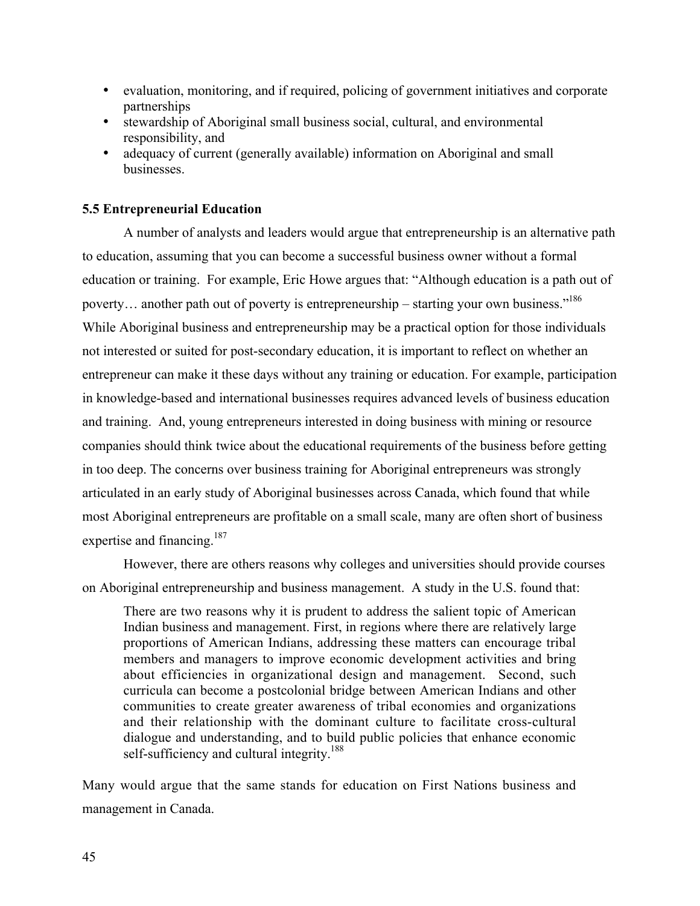evaluation, monitoring, and if required, policing of government initiatives and corporate partnerships stewardship of Aboriginal small business social, cultural, and environmental responsibility, and adequacy of current (generally available) information on Aboriginal and small businesses.

## **5.5 Entrepreneurial Education**

A number of analysts and leaders would argue that entrepreneurship is an alternative path to education, assuming that you can become a successful business owner without a formal education or training. For example, Eric Howe argues that: "Although education is a path out of poverty... another path out of poverty is entrepreneurship – starting your own business."<sup>186</sup> While Aboriginal business and entrepreneurship may be a practical option for those individuals not interested or suited for post-secondary education, it is important to reflect on whether an entrepreneur can make it these days without any training or education. For example, participation in knowledge-based and international businesses requires advanced levels of business education and training. And, young entrepreneurs interested in doing business with mining or resource companies should think twice about the educational requirements of the business before getting in too deep. The concerns over business training for Aboriginal entrepreneurs was strongly articulated in an early study of Aboriginal businesses across Canada, which found that while most Aboriginal entrepreneurs are profitable on a small scale, many are often short of business expertise and financing.<sup>187</sup>

However, there are others reasons why colleges and universities should provide courses on Aboriginal entrepreneurship and business management. A study in the U.S. found that:

There are two reasons why it is prudent to address the salient topic of American Indian business and management. First, in regions where there are relatively large proportions of American Indians, addressing these matters can encourage tribal members and managers to improve economic development activities and bring about efficiencies in organizational design and management. Second, such curricula can become a postcolonial bridge between American Indians and other communities to create greater awareness of tribal economies and organizations and their relationship with the dominant culture to facilitate cross-cultural dialogue and understanding, and to build public policies that enhance economic self-sufficiency and cultural integrity.<sup>188</sup>

Many would argue that the same stands for education on First Nations business and management in Canada.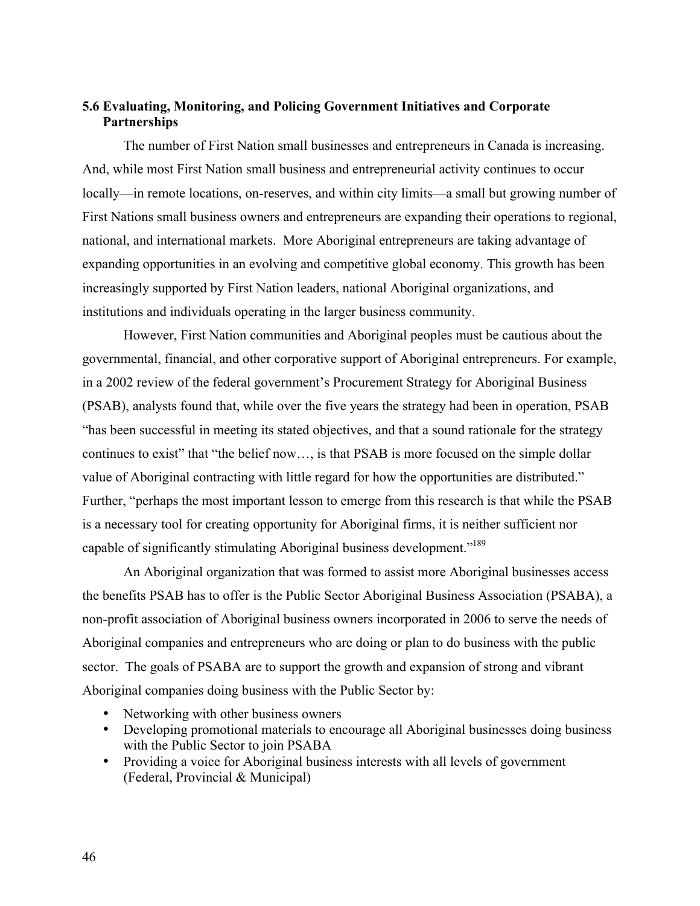# **5.6 Evaluating, Monitoring, and Policing Government Initiatives and Corporate Partnerships**

The number of First Nation small businesses and entrepreneurs in Canada is increasing. And, while most First Nation small business and entrepreneurial activity continues to occur locally—in remote locations, on-reserves, and within city limits—a small but growing number of First Nations small business owners and entrepreneurs are expanding their operations to regional, national, and international markets. More Aboriginal entrepreneurs are taking advantage of expanding opportunities in an evolving and competitive global economy. This growth has been increasingly supported by First Nation leaders, national Aboriginal organizations, and institutions and individuals operating in the larger business community.

However, First Nation communities and Aboriginal peoples must be cautious about the governmental, financial, and other corporative support of Aboriginal entrepreneurs. For example, in a 2002 review of the federal government's Procurement Strategy for Aboriginal Business (PSAB), analysts found that, while over the five years the strategy had been in operation, PSAB "has been successful in meeting its stated objectives, and that a sound rationale for the strategy continues to exist" that "the belief now…, is that PSAB is more focused on the simple dollar value of Aboriginal contracting with little regard for how the opportunities are distributed." Further, "perhaps the most important lesson to emerge from this research is that while the PSAB is a necessary tool for creating opportunity for Aboriginal firms, it is neither sufficient nor capable of significantly stimulating Aboriginal business development."189

An Aboriginal organization that was formed to assist more Aboriginal businesses access the benefits PSAB has to offer is the Public Sector Aboriginal Business Association (PSABA), a non-profit association of Aboriginal business owners incorporated in 2006 to serve the needs of Aboriginal companies and entrepreneurs who are doing or plan to do business with the public sector. The goals of PSABA are to support the growth and expansion of strong and vibrant Aboriginal companies doing business with the Public Sector by:

Networking with other business owners Developing promotional materials to encourage all Aboriginal businesses doing business with the Public Sector to join PSABA Providing a voice for Aboriginal business interests with all levels of government (Federal, Provincial & Municipal)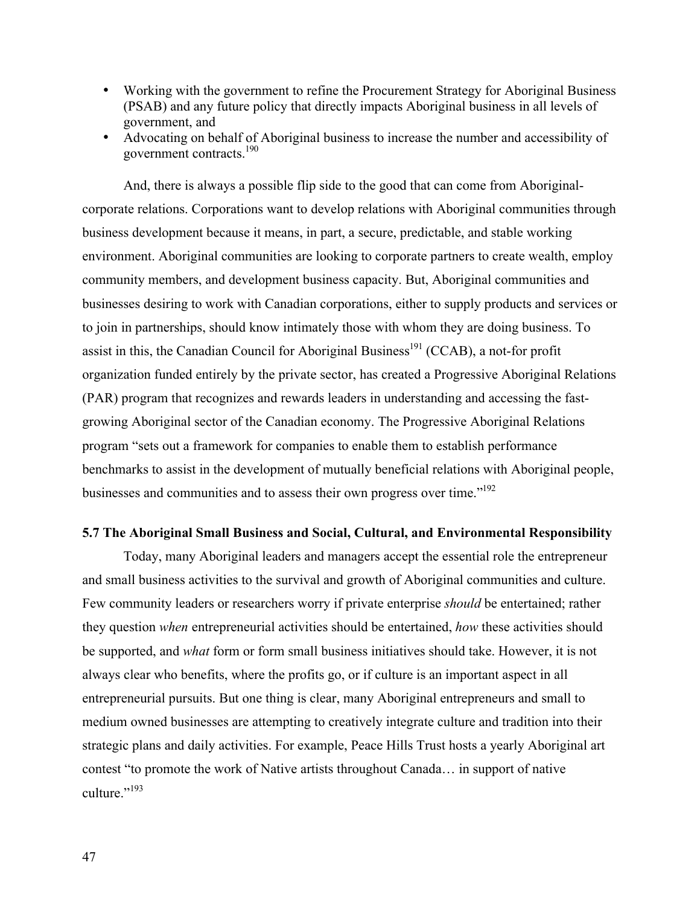Working with the government to refine the Procurement Strategy for Aboriginal Business (PSAB) and any future policy that directly impacts Aboriginal business in all levels of government, and Advocating on behalf of Aboriginal business to increase the number and accessibility of

government contracts.190

And, there is always a possible flip side to the good that can come from Aboriginalcorporate relations. Corporations want to develop relations with Aboriginal communities through business development because it means, in part, a secure, predictable, and stable working environment. Aboriginal communities are looking to corporate partners to create wealth, employ community members, and development business capacity. But, Aboriginal communities and businesses desiring to work with Canadian corporations, either to supply products and services or to join in partnerships, should know intimately those with whom they are doing business. To assist in this, the Canadian Council for Aboriginal Business<sup>191</sup> (CCAB), a not-for profit organization funded entirely by the private sector, has created a Progressive Aboriginal Relations (PAR) program that recognizes and rewards leaders in understanding and accessing the fastgrowing Aboriginal sector of the Canadian economy. The Progressive Aboriginal Relations program "sets out a framework for companies to enable them to establish performance benchmarks to assist in the development of mutually beneficial relations with Aboriginal people, businesses and communities and to assess their own progress over time."<sup>192</sup>

# **5.7 The Aboriginal Small Business and Social, Cultural, and Environmental Responsibility**

Today, many Aboriginal leaders and managers accept the essential role the entrepreneur and small business activities to the survival and growth of Aboriginal communities and culture. Few community leaders or researchers worry if private enterprise *should* be entertained; rather they question *when* entrepreneurial activities should be entertained, *how* these activities should be supported, and *what* form or form small business initiatives should take. However, it is not always clear who benefits, where the profits go, or if culture is an important aspect in all entrepreneurial pursuits. But one thing is clear, many Aboriginal entrepreneurs and small to medium owned businesses are attempting to creatively integrate culture and tradition into their strategic plans and daily activities. For example, Peace Hills Trust hosts a yearly Aboriginal art contest "to promote the work of Native artists throughout Canada… in support of native culture."<sup>193</sup>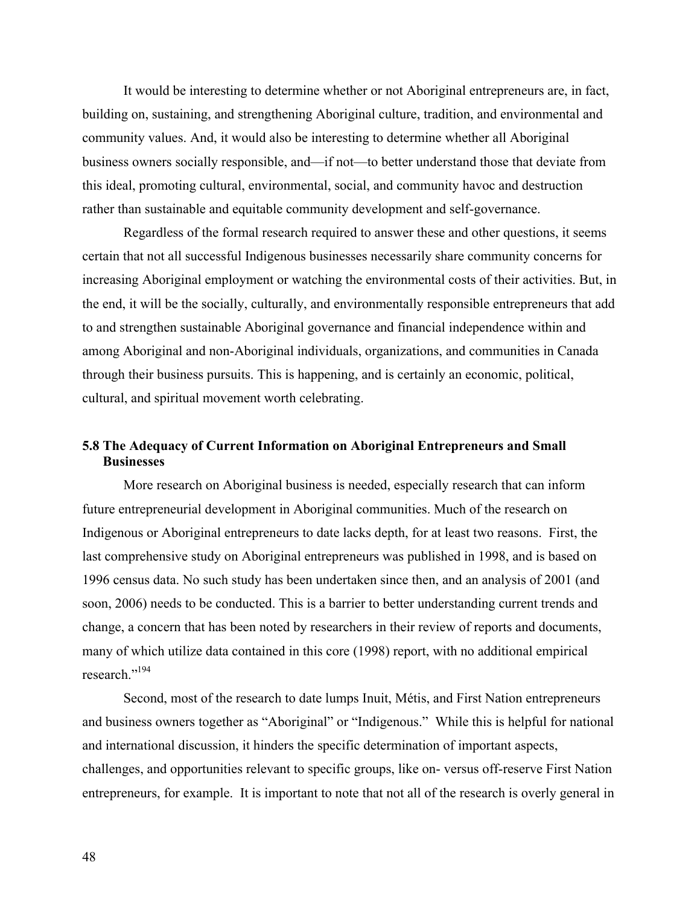It would be interesting to determine whether or not Aboriginal entrepreneurs are, in fact, building on, sustaining, and strengthening Aboriginal culture, tradition, and environmental and community values. And, it would also be interesting to determine whether all Aboriginal business owners socially responsible, and—if not—to better understand those that deviate from this ideal, promoting cultural, environmental, social, and community havoc and destruction rather than sustainable and equitable community development and self-governance.

Regardless of the formal research required to answer these and other questions, it seems certain that not all successful Indigenous businesses necessarily share community concerns for increasing Aboriginal employment or watching the environmental costs of their activities. But, in the end, it will be the socially, culturally, and environmentally responsible entrepreneurs that add to and strengthen sustainable Aboriginal governance and financial independence within and among Aboriginal and non-Aboriginal individuals, organizations, and communities in Canada through their business pursuits. This is happening, and is certainly an economic, political, cultural, and spiritual movement worth celebrating.

# **5.8 The Adequacy of Current Information on Aboriginal Entrepreneurs and Small Businesses**

More research on Aboriginal business is needed, especially research that can inform future entrepreneurial development in Aboriginal communities. Much of the research on Indigenous or Aboriginal entrepreneurs to date lacks depth, for at least two reasons. First, the last comprehensive study on Aboriginal entrepreneurs was published in 1998, and is based on 1996 census data. No such study has been undertaken since then, and an analysis of 2001 (and soon, 2006) needs to be conducted. This is a barrier to better understanding current trends and change, a concern that has been noted by researchers in their review of reports and documents, many of which utilize data contained in this core (1998) report, with no additional empirical research."194

Second, most of the research to date lumps Inuit, Métis, and First Nation entrepreneurs and business owners together as "Aboriginal" or "Indigenous." While this is helpful for national and international discussion, it hinders the specific determination of important aspects, challenges, and opportunities relevant to specific groups, like on- versus off-reserve First Nation entrepreneurs, for example. It is important to note that not all of the research is overly general in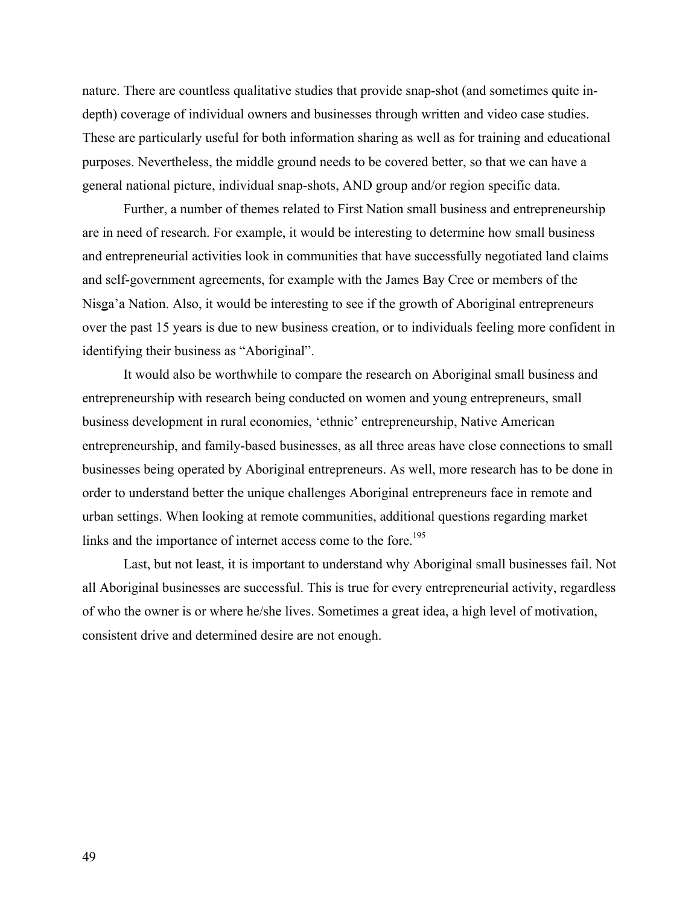nature. There are countless qualitative studies that provide snap-shot (and sometimes quite indepth) coverage of individual owners and businesses through written and video case studies. These are particularly useful for both information sharing as well as for training and educational purposes. Nevertheless, the middle ground needs to be covered better, so that we can have a general national picture, individual snap-shots, AND group and/or region specific data.

Further, a number of themes related to First Nation small business and entrepreneurship are in need of research. For example, it would be interesting to determine how small business and entrepreneurial activities look in communities that have successfully negotiated land claims and self-government agreements, for example with the James Bay Cree or members of the Nisga'a Nation. Also, it would be interesting to see if the growth of Aboriginal entrepreneurs over the past 15 years is due to new business creation, or to individuals feeling more confident in identifying their business as "Aboriginal".

It would also be worthwhile to compare the research on Aboriginal small business and entrepreneurship with research being conducted on women and young entrepreneurs, small business development in rural economies, 'ethnic' entrepreneurship, Native American entrepreneurship, and family-based businesses, as all three areas have close connections to small businesses being operated by Aboriginal entrepreneurs. As well, more research has to be done in order to understand better the unique challenges Aboriginal entrepreneurs face in remote and urban settings. When looking at remote communities, additional questions regarding market links and the importance of internet access come to the fore.<sup>195</sup>

Last, but not least, it is important to understand why Aboriginal small businesses fail. Not all Aboriginal businesses are successful. This is true for every entrepreneurial activity, regardless of who the owner is or where he/she lives. Sometimes a great idea, a high level of motivation, consistent drive and determined desire are not enough.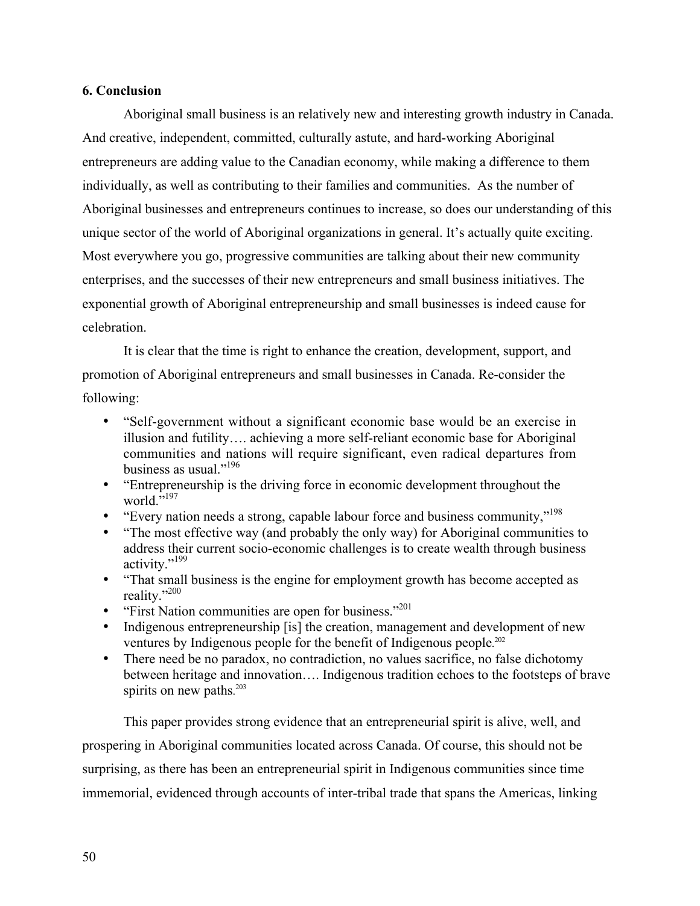## **6. Conclusion**

Aboriginal small business is an relatively new and interesting growth industry in Canada. And creative, independent, committed, culturally astute, and hard-working Aboriginal entrepreneurs are adding value to the Canadian economy, while making a difference to them individually, as well as contributing to their families and communities. As the number of Aboriginal businesses and entrepreneurs continues to increase, so does our understanding of this unique sector of the world of Aboriginal organizations in general. It's actually quite exciting. Most everywhere you go, progressive communities are talking about their new community enterprises, and the successes of their new entrepreneurs and small business initiatives. The exponential growth of Aboriginal entrepreneurship and small businesses is indeed cause for celebration.

It is clear that the time is right to enhance the creation, development, support, and promotion of Aboriginal entrepreneurs and small businesses in Canada. Re-consider the following:

"Self-government without a significant economic base would be an exercise in illusion and futility…. achieving a more self-reliant economic base for Aboriginal communities and nations will require significant, even radical departures from business as usual."<sup>196</sup>

"Entrepreneurship is the driving force in economic development throughout the world."<sup>197</sup>

"Every nation needs a strong, capable labour force and business community,"198 "The most effective way (and probably the only way) for Aboriginal communities to address their current socio-economic challenges is to create wealth through business activity."<sup>199</sup>

"That small business is the engine for employment growth has become accepted as reality."200

"First Nation communities are open for business."<sup>201</sup>

Indigenous entrepreneurship [is] the creation, management and development of new ventures by Indigenous people for the benefit of Indigenous people. 202

There need be no paradox, no contradiction, no values sacrifice, no false dichotomy between heritage and innovation…. Indigenous tradition echoes to the footsteps of brave spirits on new paths.<sup>203</sup>

This paper provides strong evidence that an entrepreneurial spirit is alive, well, and prospering in Aboriginal communities located across Canada. Of course, this should not be surprising, as there has been an entrepreneurial spirit in Indigenous communities since time immemorial, evidenced through accounts of inter-tribal trade that spans the Americas, linking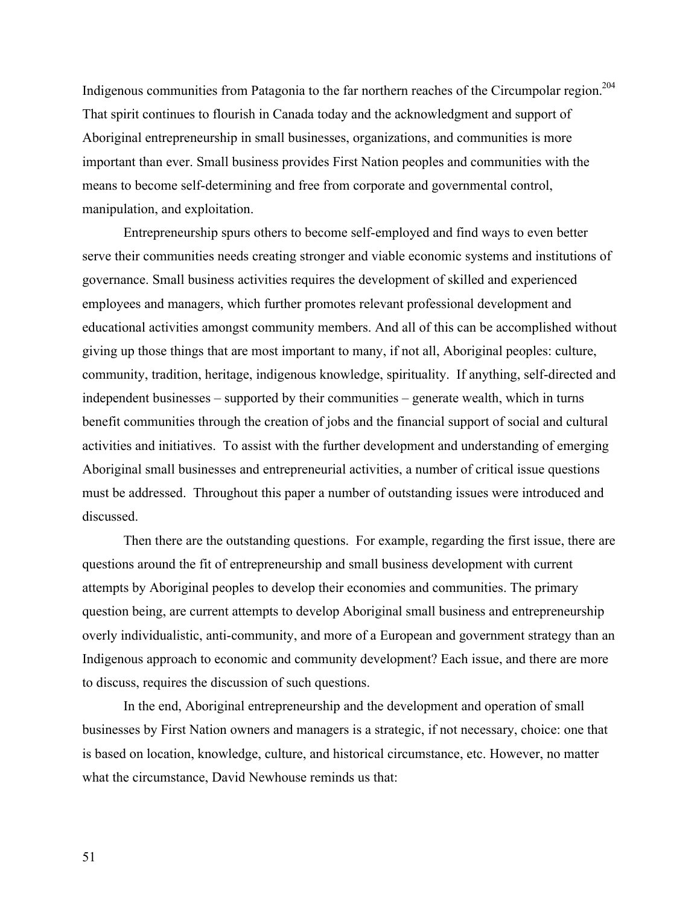Indigenous communities from Patagonia to the far northern reaches of the Circumpolar region.204 That spirit continues to flourish in Canada today and the acknowledgment and support of Aboriginal entrepreneurship in small businesses, organizations, and communities is more important than ever. Small business provides First Nation peoples and communities with the means to become self-determining and free from corporate and governmental control, manipulation, and exploitation.

Entrepreneurship spurs others to become self-employed and find ways to even better serve their communities needs creating stronger and viable economic systems and institutions of governance. Small business activities requires the development of skilled and experienced employees and managers, which further promotes relevant professional development and educational activities amongst community members. And all of this can be accomplished without giving up those things that are most important to many, if not all, Aboriginal peoples: culture, community, tradition, heritage, indigenous knowledge, spirituality. If anything, self-directed and independent businesses – supported by their communities – generate wealth, which in turns benefit communities through the creation of jobs and the financial support of social and cultural activities and initiatives. To assist with the further development and understanding of emerging Aboriginal small businesses and entrepreneurial activities, a number of critical issue questions must be addressed.Throughout this paper a number of outstanding issues were introduced and discussed.

Then there are the outstanding questions. For example, regarding the first issue, there are questions around the fit of entrepreneurship and small business development with current attempts by Aboriginal peoples to develop their economies and communities. The primary question being, are current attempts to develop Aboriginal small business and entrepreneurship overly individualistic, anti-community, and more of a European and government strategy than an Indigenous approach to economic and community development? Each issue, and there are more to discuss, requires the discussion of such questions.

In the end, Aboriginal entrepreneurship and the development and operation of small businesses by First Nation owners and managers is a strategic, if not necessary, choice: one that is based on location, knowledge, culture, and historical circumstance, etc. However, no matter what the circumstance, David Newhouse reminds us that: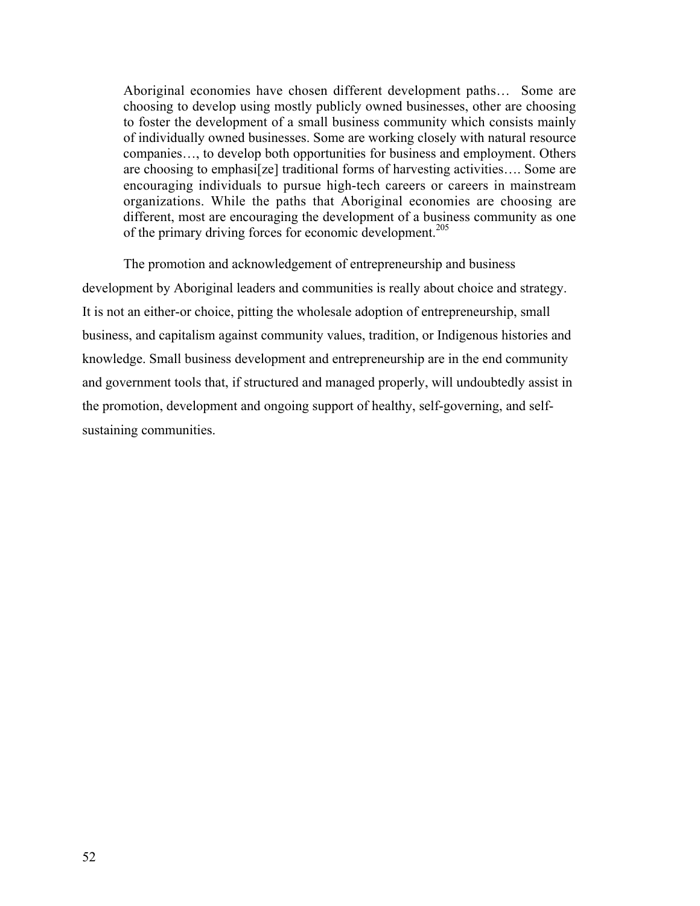Aboriginal economies have chosen different development paths… Some are choosing to develop using mostly publicly owned businesses, other are choosing to foster the development of a small business community which consists mainly of individually owned businesses. Some are working closely with natural resource companies…, to develop both opportunities for business and employment. Others are choosing to emphasi[ze] traditional forms of harvesting activities…. Some are encouraging individuals to pursue high-tech careers or careers in mainstream organizations. While the paths that Aboriginal economies are choosing are different, most are encouraging the development of a business community as one of the primary driving forces for economic development.<sup>205</sup>

The promotion and acknowledgement of entrepreneurship and business development by Aboriginal leaders and communities is really about choice and strategy. It is not an either-or choice, pitting the wholesale adoption of entrepreneurship, small business, and capitalism against community values, tradition, or Indigenous histories and knowledge. Small business development and entrepreneurship are in the end community and government tools that, if structured and managed properly, will undoubtedly assist in the promotion, development and ongoing support of healthy, self-governing, and selfsustaining communities.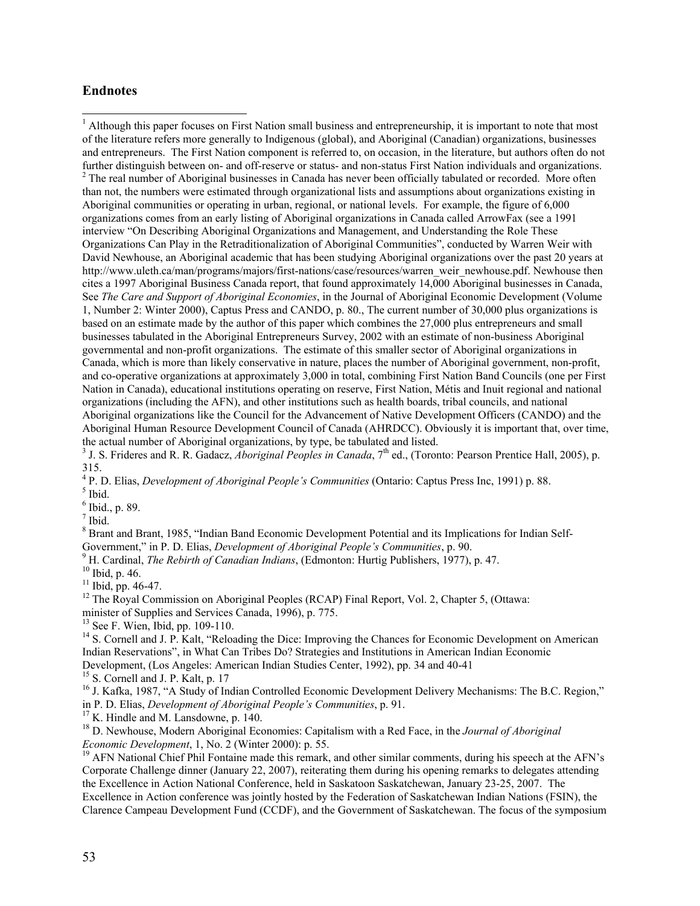### **Endnotes**

<sup>1</sup> Although this paper focuses on First Nation small business and entrepreneurship, it is important to note that most of the literature refers more generally to Indigenous (global), and Aboriginal (Canadian) organizations, businesses and entrepreneurs. The First Nation component is referred to, on occasion, in the literature, but authors often do not further distinguish between on- and off-reserve or status- and non-status First Nation individuals and organizations.  $2$  The real number of Aboriginal businesses in Canada has never been officially tabulated or recorded. More often than not, the numbers were estimated through organizational lists and assumptions about organizations existing in Aboriginal communities or operating in urban, regional, or national levels. For example, the figure of 6,000 organizations comes from an early listing of Aboriginal organizations in Canada called ArrowFax (see a 1991 interview "On Describing Aboriginal Organizations and Management, and Understanding the Role These Organizations Can Play in the Retraditionalization of Aboriginal Communities", conducted by Warren Weir with David Newhouse, an Aboriginal academic that has been studying Aboriginal organizations over the past 20 years at http://www.uleth.ca/man/programs/majors/first-nations/case/resources/warren\_weir\_newhouse.pdf. Newhouse then cites a 1997 Aboriginal Business Canada report, that found approximately 14,000 Aboriginal businesses in Canada, See *The Care and Support of Aboriginal Economies*, in the Journal of Aboriginal Economic Development (Volume 1, Number 2: Winter 2000), Captus Press and CANDO, p. 80., The current number of 30,000 plus organizations is based on an estimate made by the author of this paper which combines the 27,000 plus entrepreneurs and small businesses tabulated in the Aboriginal Entrepreneurs Survey, 2002 with an estimate of non-business Aboriginal governmental and non-profit organizations. The estimate of this smaller sector of Aboriginal organizations in Canada, which is more than likely conservative in nature, places the number of Aboriginal government, non-profit, and co-operative organizations at approximately 3,000 in total, combining First Nation Band Councils (one per First Nation in Canada), educational institutions operating on reserve, First Nation, Métis and Inuit regional and national organizations (including the AFN), and other institutions such as health boards, tribal councils, and national Aboriginal organizations like the Council for the Advancement of Native Development Officers (CANDO) and the Aboriginal Human Resource Development Council of Canada (AHRDCC). Obviously it is important that, over time, the actual number of Aboriginal organizations, by type, be tabulated and listed.

<sup>3</sup> J. S. Frideres and R. R. Gadacz, *Aboriginal Peoples in Canada*, 7<sup>th</sup> ed., (Toronto: Pearson Prentice Hall, 2005), p. 315.

<sup>4</sup> P. D. Elias, *Development of Aboriginal People's Communities* (Ontario: Captus Press Inc, 1991) p. 88.<br><sup>5</sup> Ibid

 $^5$  Ibid.

 $6$  Ibid., p. 89.

 $<sup>7</sup>$  Ibid.</sup>

<sup>8</sup> Brant and Brant, 1985, "Indian Band Economic Development Potential and its Implications for Indian Self-Government," in P. D. Elias, *Development of Aboriginal People's Communities*, p. 90.

<sup>9</sup> H. Cardinal, *The Rebirth of Canadian Indians*, (Edmonton: Hurtig Publishers, 1977), p. 47.

 $10$  Ibid, p. 46.

 $11$  Ibid, pp. 46-47.

<sup>12</sup> The Royal Commission on Aboriginal Peoples (RCAP) Final Report, Vol. 2, Chapter 5, (Ottawa:

minister of Supplies and Services Canada, 1996), p. 775.

<sup>13</sup> See F. Wien, Ibid, pp. 109-110.

<sup>14</sup> S. Cornell and J. P. Kalt, "Reloading the Dice: Improving the Chances for Economic Development on American Indian Reservations", in What Can Tribes Do? Strategies and Institutions in American Indian Economic Development, (Los Angeles: American Indian Studies Center, 1992), pp. 34 and 40-41

<sup>15</sup> S. Cornell and J. P. Kalt, p. 17

<sup>16</sup> J. Kafka, 1987, "A Study of Indian Controlled Economic Development Delivery Mechanisms: The B.C. Region," in P. D. Elias, *Development of Aboriginal People's Communities*, p. 91.

 $17$  K. Hindle and M. Lansdowne, p. 140.

<sup>18</sup> D. Newhouse, Modern Aboriginal Economies: Capitalism with a Red Face, in the *Journal of Aboriginal Economic Development*, 1, No. 2 (Winter 2000): p. 55.

<sup>19</sup> AFN National Chief Phil Fontaine made this remark, and other similar comments, during his speech at the AFN's Corporate Challenge dinner (January 22, 2007), reiterating them during his opening remarks to delegates attending the Excellence in Action National Conference, held in Saskatoon Saskatchewan, January 23-25, 2007. The

Excellence in Action conference was jointly hosted by the Federation of Saskatchewan Indian Nations (FSIN), the Clarence Campeau Development Fund (CCDF), and the Government of Saskatchewan. The focus of the symposium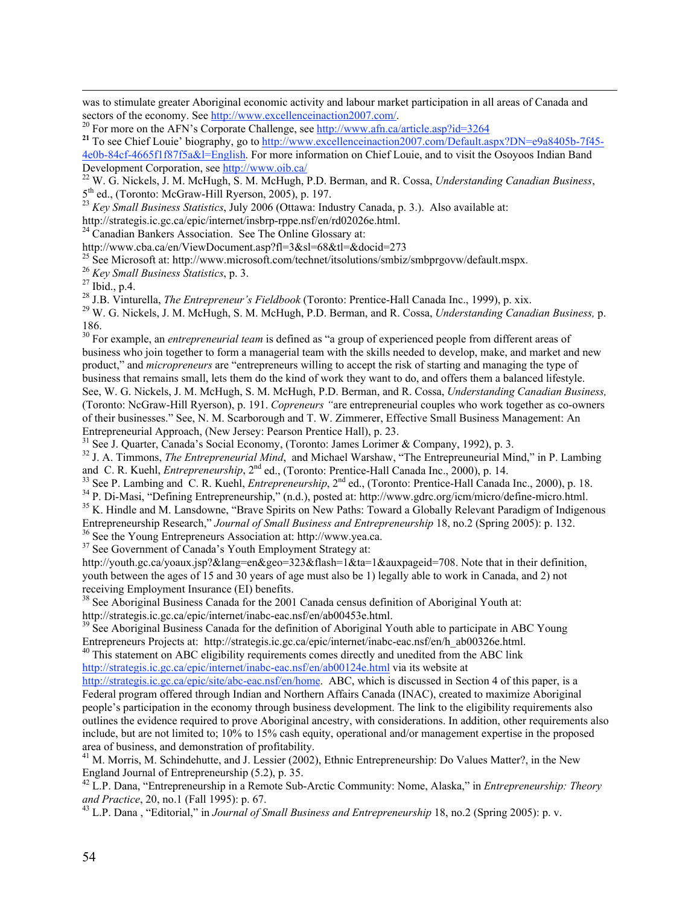was to stimulate greater Aboriginal economic activity and labour market participation in all areas of Canada and sectors of the economy. See http://www.excellenceinaction2007.com/.<br><sup>20</sup> For more on the AFN's Corporate Challenge, see http://www.afn.ca/article.asp?id=3264

W. G. Nickels, J. M. McHugh, S. M. McHugh, P.D. Berman, and R. Cossa, *Understanding Canadian Business*,

5<sup>th</sup> ed., (Toronto: McGraw-Hill Ryerson, 2005), p. 197.<br><sup>23</sup> *Key Small Business Statistics*, July 2006 (Ottawa: Industry Canada, p. 3.). Also available at:

http://strategis.ic.gc.ca/epic/internet/insbrp-rppe.nsf/en/rd02026e.html.

<sup>24</sup> Canadian Bankers Association. See The Online Glossary at:

http://www.cba.ca/en/ViewDocument.asp?fl=3&sl=68&tl=&docid=273

<sup>25</sup> See Microsoft at: http://www.microsoft.com/technet/itsolutions/smbiz/smbprgovw/default.mspx.

<sup>26</sup> *Key Small Business Statistics*, p. 3.

 $27$  Ibid., p.4.

 $\overline{a}$ 

<sup>28</sup> J.B. Vinturella, *The Entrepreneur's Fieldbook* (Toronto: Prentice-Hall Canada Inc., 1999), p. xix. 29 W. G. Nightals, J. M. MaHugh, S. M. MaHugh, B.D. Berman, and B. Gassa, *Understanding Cana* 

<sup>30</sup> For example, an *entrepreneurial team* is defined as "a group of experienced people from different areas of business who join together to form a managerial team with the skills needed to develop, make, and market and new product," and *micropreneurs* are "entrepreneurs willing to accept the risk of starting and managing the type of business that remains small, lets them do the kind of work they want to do, and offers them a balanced lifestyle. See, W. G. Nickels, J. M. McHugh, S. M. McHugh, P.D. Berman, and R. Cossa, *Understanding Canadian Business,* (Toronto: NcGraw-Hill Ryerson), p. 191. *Copreneurs "*are entrepreneurial couples who work together as co-owners of their businesses." See, N. M. Scarborough and T. W. Zimmerer, Effective Small Business Management: An Entrepreneurial Approach, (New Jersey: Pearson Prentice Hall), p. 23.

<sup>31</sup> See J. Quarter, Canada's Social Economy, (Toronto: James Lorimer & Company, 1992), p. 3.

<sup>32</sup> J. A. Timmons, *The Entrepreneurial Mind*, and Michael Warshaw, "The Entrepreuneurial Mind," in P. Lambing and C. R. Kuehl, *Entrepreneurship*, 2<sup>nd</sup> ed., (Toronto: Prentice-Hall Canada Inc., 2000), p. 14.<br><sup>33</sup> See B. Lambing and C. B. Kuehl, *Entrepreneurship*, 2<sup>nd</sup> ed. (Toronto: Prentice Hall Canada

<sup>33</sup> See P. Lambing and C. R. Kuehl, *Entrepreneurship*,  $2<sup>nd</sup>$  ed., (Toronto: Prentice-Hall Canada Inc., 2000), p. 18.  $3<sup>4</sup>$  P. Di Mesi, "Defining Entrepreneurship," (a.d.) peated at http://www.edge.org/iom/mior <sup>34</sup> P. Di-Masi, "Defining Entrepreneurship," (n.d.), posted at: http://www.gdrc.org/icm/micro/define-micro.html.

<sup>35</sup> K. Hindle and M. Lansdowne, "Brave Spirits on New Paths: Toward a Globally Relevant Paradigm of Indigenous Entrepreneurship Research," *Journal of Small Business and Entrepreneurship* 18, no.2 (Spring 2005): p. 132.

<sup>36</sup> See the Young Entrepreneurs Association at: http://www.yea.ca.

<sup>37</sup> See Government of Canada's Youth Employment Strategy at:

http://youth.gc.ca/yoaux.jsp?&lang=en&geo=323&flash=1&ta=1&auxpageid=708. Note that in their definition, youth between the ages of 15 and 30 years of age must also be 1) legally able to work in Canada, and 2) not receiving Employment Insurance (EI) benefits.

<sup>38</sup> See Aboriginal Business Canada for the 2001 Canada census definition of Aboriginal Youth at:

http://strategis.ic.gc.ca/epic/internet/inabc-eac.nsf/en/ab00453e.html.

<sup>39</sup> See Aboriginal Business Canada for the definition of Aboriginal Youth able to participate in ABC Young Entrepreneurs Projects at: http://strategis.ic.gc.ca/epic/internet/inabc-eac.nsf/en/h\_ab00326e.html.

<sup>40</sup> This statement on ABC eligibility requirements comes directly and unedited from the ABC link http://strategis.ic.gc.ca/epic/internet/inabc-eac.nsf/en/ab00124e.html via its website at

http://strategis.ic.gc.ca/epic/site/abc-eac.nsf/en/home. ABC, which is discussed in Section 4 of this paper, is a Federal program offered through Indian and Northern Affairs Canada (INAC), created to maximize Aboriginal people's participation in the economy through business development. The link to the eligibility requirements also outlines the evidence required to prove Aboriginal ancestry, with considerations. In addition, other requirements also include, but are not limited to; 10% to 15% cash equity, operational and/or management expertise in the proposed area of business, and demonstration of profitability.

<sup>41</sup> M. Morris, M. Schindehutte, and J. Lessier (2002), Ethnic Entrepreneurship: Do Values Matter?, in the New England Journal of Entrepreneurship (5.2), p. 35.

42 L.P. Dana, "Entrepreneurship in a Remote Sub-Arctic Community: Nome, Alaska," in *Entrepreneurship: Theory and Practice*, 20, no.1 (Fall 1995): p. 67.

<sup>43</sup> L.P. Dana, "Editorial," in *Journal of Small Business and Entrepreneurship* 18, no.2 (Spring 2005): p. v.

<sup>&</sup>lt;sup>21</sup> To see Chief Louie' biography, go to http://www.excellenceinaction2007.com/Default.aspx?DN=e9a8405b-7f45-4e0b-84cf-4665f1f87f5a&l=English. For more information on Chief Louie, and to visit the Osoyoos Indian Band Development Corporation, see http://www.oib.ca/

W. G. Nickels, J. M. McHugh, S. M. McHugh, P.D. Berman, and R. Cossa, *Understanding Canadian Business,* p. 186.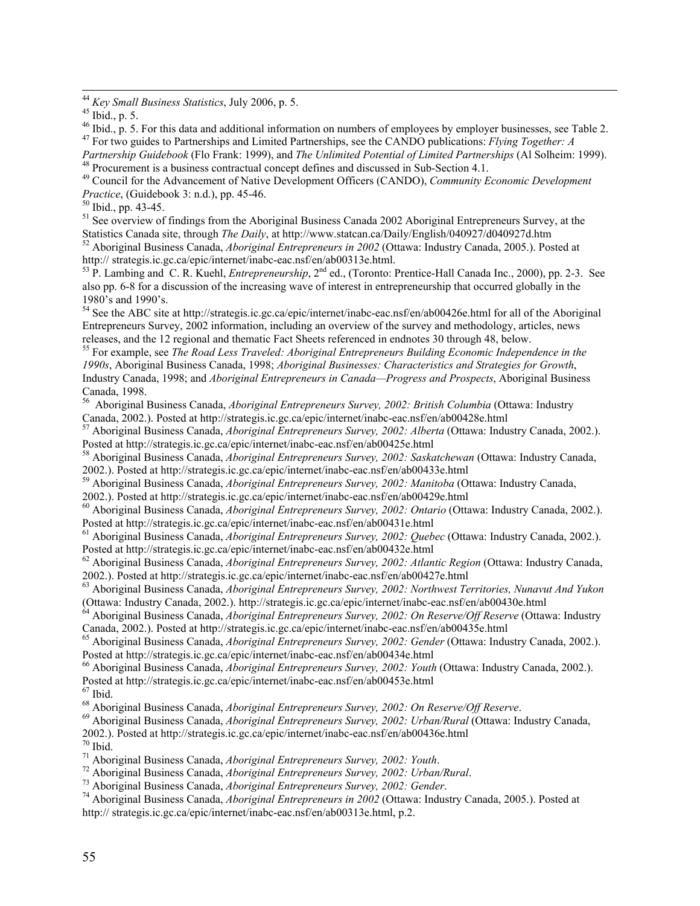$46$  Ibid., p. 5. For this data and additional information on numbers of employees by employer businesses, see Table 2. 47 For two guides to Partnerships and Limited Partnerships, see the CANDO publications: *Flying Together: A*

*Partnership Guidebook* (Flo Frank: 1999), and *The Unlimited Potential of Limited Partnerships* (Al Solheim: 1999). 48 Procurement is a business contractual concept defines and discussed in Sub-Section 4.1.

49 Council for the Advancement of Native Development Officers (CANDO), *Community Economic Development Practice*, (Guidebook 3: n.d.), pp. 45-46.<br><sup>50</sup> Ibid., pp. 43-45.

<sup>51</sup> See overview of findings from the Aboriginal Business Canada 2002 Aboriginal Entrepreneurs Survey, at the Statistics Canada site, through *The Daily*, at http://www.statcan.ca/Daily/English/040927/d040927d.htm <sup>52</sup> Aboriginal Business Canada, *Aboriginal Entrepreneurs in 2002* (Ottawa: Industry Canada, 2005.). Posted at

http:// strategis.ic.gc.ca/epic/internet/inabc-eac.nsf/en/ab00313e.html.<br><sup>53</sup> P. Lambing and C. R. Kuehl, *Entrepreneurship*, 2<sup>nd</sup> ed., (Toronto: Prentice-Hall Canada Inc., 2000), pp. 2-3. See also pp. 6-8 for a discussion of the increasing wave of interest in entrepreneurship that occurred globally in the 1980's and 1990's.

<sup>54</sup> See the ABC site at http://strategis.ic.gc.ca/epic/internet/inabc-eac.nsf/en/ab00426e.html for all of the Aboriginal Entrepreneurs Survey, 2002 information, including an overview of the survey and methodology, articles, news releases, and the 12 regional and thematic Fact Sheets referenced in endnotes 30 through 48, below.

55 For example, see *The Road Less Traveled: Aboriginal Entrepreneurs Building Economic Independence in the 1990s*, Aboriginal Business Canada, 1998; *Aboriginal Businesses: Characteristics and Strategies for Growth*, Industry Canada, 1998; and *Aboriginal Entrepreneurs in Canada—Progress and Prospects*, Aboriginal Business

Canada, 1998.<br><sup>56</sup> Aboriginal Business Canada, *Aboriginal Entrepreneurs Survey, 2002: British Columbia* (Ottawa: Industry

Canada, 2002.). Posted at http://strategis.ic.gc.ca/epic/internet/inabc-eac.nsf/en/ab00428e.html 57 Aboriginal Business Canada, *Aboriginal Entrepreneurs Survey, 2002: Alberta* (Ottawa: Industry Canada, 2002.). Posted at http://strategis.ic.gc.ca/epic/internet/inabc-eac.nsf/en/ab00425e.html

58 Aboriginal Business Canada, *Aboriginal Entrepreneurs Survey, 2002: Saskatchewan* (Ottawa: Industry Canada,

2002.). Posted at http://strategis.ic.gc.ca/epic/internet/inabc-eac.nsf/en/ab00433e.html 59 Aboriginal Business Canada, *Aboriginal Entrepreneurs Survey, 2002: Manitoba* (Ottawa: Industry Canada, 2002.). Posted at http://strategis.ic.gc.ca/epic/internet/inabc-eac.nsf/en/ab00429e.html

60 Aboriginal Business Canada, *Aboriginal Entrepreneurs Survey, 2002: Ontario* (Ottawa: Industry Canada, 2002.). Posted at http://strategis.ic.gc.ca/epic/internet/inabc-eac.nsf/en/ab00431e.html

61 Aboriginal Business Canada, *Aboriginal Entrepreneurs Survey, 2002: Quebec* (Ottawa: Industry Canada, 2002.). Posted at http://strategis.ic.gc.ca/epic/internet/inabc-eac.nsf/en/ab00432e.html

62 Aboriginal Business Canada, *Aboriginal Entrepreneurs Survey, 2002: Atlantic Region* (Ottawa: Industry Canada, 2002.). Posted at http://strategis.ic.gc.ca/epic/internet/inabc-eac.nsf/en/ab00427e.html

63 Aboriginal Business Canada, *Aboriginal Entrepreneurs Survey, 2002: Northwest Territories, Nunavut And Yukon* (Ottawa: Industry Canada, 2002.). http://strategis.ic.gc.ca/epic/internet/inabc-eac.nsf/en/ab00430e.html

<sup>64</sup> Aboriginal Business Canada, *Aboriginal Entrepreneurs Survey, 2002: On Reserve/Off Reserve* (Ottawa: Industry Canada, 2002.). Posted at http://strategis.ic.gc.ca/epic/internet/inabc-eac.nsf/en/ab00435e.html

65 Aboriginal Business Canada, *Aboriginal Entrepreneurs Survey, 2002: Gender* (Ottawa: Industry Canada, 2002.). Posted at http://strategis.ic.gc.ca/epic/internet/inabc-eac.nsf/en/ab00434e.html

66 Aboriginal Business Canada, *Aboriginal Entrepreneurs Survey, 2002: Youth* (Ottawa: Industry Canada, 2002.). Posted at http://strategis.ic.gc.ca/epic/internet/inabc-eac.nsf/en/ab00453e.html

 $67$  Ibid.

<sup>68</sup> Aboriginal Business Canada, *Aboriginal Entrepreneurs Survey, 2002: On Reserve/Off Reserve*.<br><sup>69</sup> Aboriginal Business Canada, Aboriginal Entrepreneurs Survey, 2002: Urban/Burgl (Ottown: In

 Aboriginal Business Canada, *Aboriginal Entrepreneurs Survey, 2002: Urban/Rural* (Ottawa: Industry Canada, 2002.). Posted at http://strategis.ic.gc.ca/epic/internet/inabc-eac.nsf/en/ab00436e.html<br><sup>70</sup> Ibid.

<sup>71</sup> Aboriginal Business Canada, *Aboriginal Entrepreneurs Survey, 2002: Youth.* 72<br><sup>72</sup> Aboriginal Dusiness Canada, Aboriginal Entrepreneurs Survey, 2002: Urban

Aboriginal Business Canada, *Aboriginal Entrepreneurs Survey, 2002: Urban/Rural*. <sup>73</sup>

<sup>73</sup> Aboriginal Business Canada, *Aboriginal Entrepreneurs Survey, 2002: Gender*.

 Aboriginal Business Canada, *Aboriginal Entrepreneurs in 2002* (Ottawa: Industry Canada, 2005.). Posted at http:// strategis.ic.gc.ca/epic/internet/inabc-eac.nsf/en/ab00313e.html, p.2.

<sup>&</sup>lt;sup>44</sup> *Key Small Business Statistics*, July 2006, p. 5.

 $45$  Ibid., p. 5.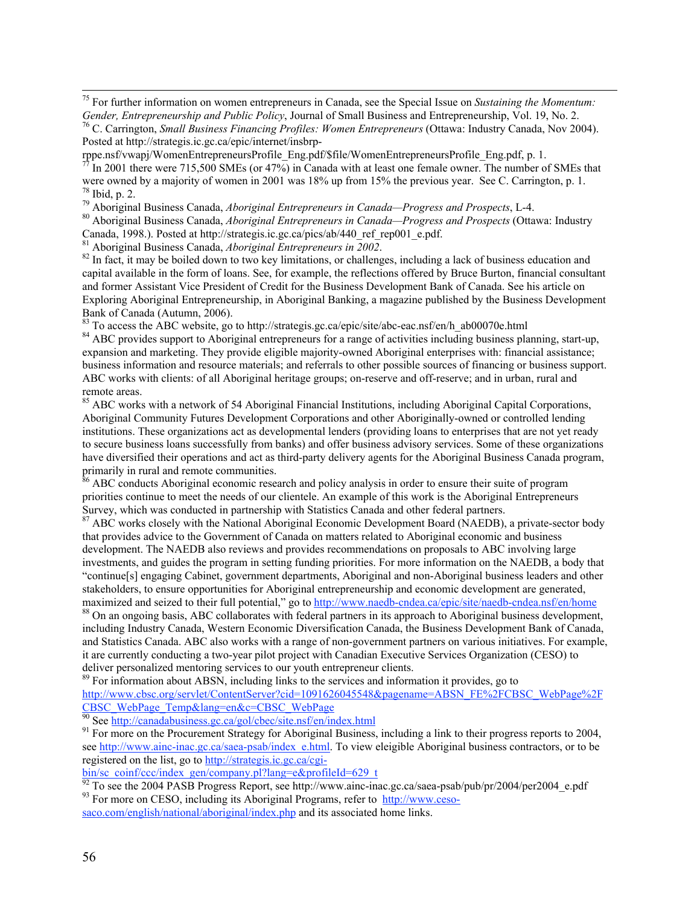75 For further information on women entrepreneurs in Canada, see the Special Issue on *Sustaining the Momentum: Gender, Entrepreneurship and Public Policy*, Journal of Small Business and Entrepreneurship, Vol. 19, No. 2. C. Carrington, *Small Business Financing Profiles: Women Entrepreneurs* (Ottawa: Industry Canada, Nov 2004). Posted at http://strategis.ic.gc.ca/epic/internet/insbrp-

rppe.nsf/vwapj/WomenEntrepreneursProfile\_Eng.pdf/\$file/WomenEntrepreneursProfile\_Eng.pdf, p. 1.<br><sup>77</sup> In 2001 there were 715,500 SMEs (or 47%) in Canada with at least and famela owner. The number o In 2001 there were 715,500 SMEs (or 47%) in Canada with at least one female owner. The number of SMEs that were owned by a majority of women in 2001 was 18% up from 15% the previous year. See C. Carrington, p. 1.  $78$  Ibid, p. 2.

<sup>79</sup> Aboriginal Business Canada, *Aboriginal Entrepreneurs in Canada—Progress and Prospects*, L-4.<br><sup>80</sup> Aboriginal Business Canada, Aboriginal Entrepreneurs in Canada. Busquess and Busanests (Otto

 Aboriginal Business Canada, *Aboriginal Entrepreneurs in Canada—Progress and Prospects* (Ottawa: Industry Canada, 1998.). Posted at http://strategis.ic.gc.ca/pics/ab/440\_ref\_rep001\_e.pdf.

<sup>81</sup> Aboriginal Business Canada, *Aboriginal Entrepreneurs in*  $\overline{2002}$ .

<sup>82</sup> In fact, it may be boiled down to two key limitations, or challenges, including a lack of business education and capital available in the form of loans. See, for example, the reflections offered by Bruce Burton, financial consultant and former Assistant Vice President of Credit for the Business Development Bank of Canada. See his article on Exploring Aboriginal Entrepreneurship, in Aboriginal Banking, a magazine published by the Business Development Bank of Canada (Autumn, 2006).

<sup>83</sup> To access the ABC website, go to http://strategis.gc.ca/epic/site/abc-eac.nsf/en/h\_ab00070e.html

<sup>84</sup> ABC provides support to Aboriginal entrepreneurs for a range of activities including business planning, start-up, expansion and marketing. They provide eligible majority-owned Aboriginal enterprises with: financial assistance; business information and resource materials; and referrals to other possible sources of financing or business support. ABC works with clients: of all Aboriginal heritage groups; on-reserve and off-reserve; and in urban, rural and remote areas.

<sup>85</sup> ABC works with a network of 54 Aboriginal Financial Institutions, including Aboriginal Capital Corporations, Aboriginal Community Futures Development Corporations and other Aboriginally-owned or controlled lending institutions. These organizations act as developmental lenders (providing loans to enterprises that are not yet ready to secure business loans successfully from banks) and offer business advisory services. Some of these organizations have diversified their operations and act as third-party delivery agents for the Aboriginal Business Canada program, primarily in rural and remote communities.<br><sup>86</sup> ABC conducts Aboriginal economic reso

 $\beta$  ABC conducts Aboriginal economic research and policy analysis in order to ensure their suite of program priorities continue to meet the needs of our clientele. An example of this work is the Aboriginal Entrepreneurs Survey, which was conducted in partnership with Statistics Canada and other federal partners.

<sup>87</sup> ABC works closely with the National Aboriginal Economic Development Board (NAEDB), a private-sector body that provides advice to the Government of Canada on matters related to Aboriginal economic and business development. The NAEDB also reviews and provides recommendations on proposals to ABC involving large investments, and guides the program in setting funding priorities. For more information on the NAEDB, a body that "continue[s] engaging Cabinet, government departments, Aboriginal and non-Aboriginal business leaders and other stakeholders, to ensure opportunities for Aboriginal entrepreneurship and economic development are generated, maximized and seized to their full potential," go to http://www.naedb-cndea.ca/epic/site/naedb-cndea.nsf/en/home

<sup>88</sup> On an ongoing basis, ABC collaborates with federal partners in its approach to Aboriginal business development, including Industry Canada, Western Economic Diversification Canada, the Business Development Bank of Canada, and Statistics Canada. ABC also works with a range of non-government partners on various initiatives. For example, it are currently conducting a two-year pilot project with Canadian Executive Services Organization (CESO) to deliver personalized mentoring services to our youth entrepreneur clients.

<sup>89</sup> For information about ABSN, including links to the services and information it provides, go to

http://www.cbsc.org/servlet/ContentServer?cid=1091626045548&pagename=ABSN\_FE%2FCBSC\_WebPage%2F

CBSC\_WebPage\_Temp&lang=en&c=CBSC\_WebPage<br><sup>90</sup> See http://canadabusiness.gc.ca/gol/cbec/site.nsf/en/index.html<br><sup>91</sup> Fer more on the Progurement Strategy for Abericinal Duciness

<sup>91</sup> For more on the Procurement Strategy for Aboriginal Business, including a link to their progress reports to 2004, see http://www.ainc-inac.gc.ca/saea-psab/index\_e.html. To view eleigible Aboriginal business contractors, or to be registered on the list, go to http://strategis.ic.gc.ca/cgi-

bin/sc\_coinf/ccc/index\_gen/company.pl?lang=e&profileId=629\_t

<sup>92</sup> To see the 2004 PASB Progress Report, see http://www.ainc-inac.gc.ca/saea-psab/pub/pr/2004/per2004\_e.pdf <sup>93</sup> For more on CESO, including its Aboriginal Programs, refer to http://www.ceso-

saco.com/english/national/aboriginal/index.php and its associated home links.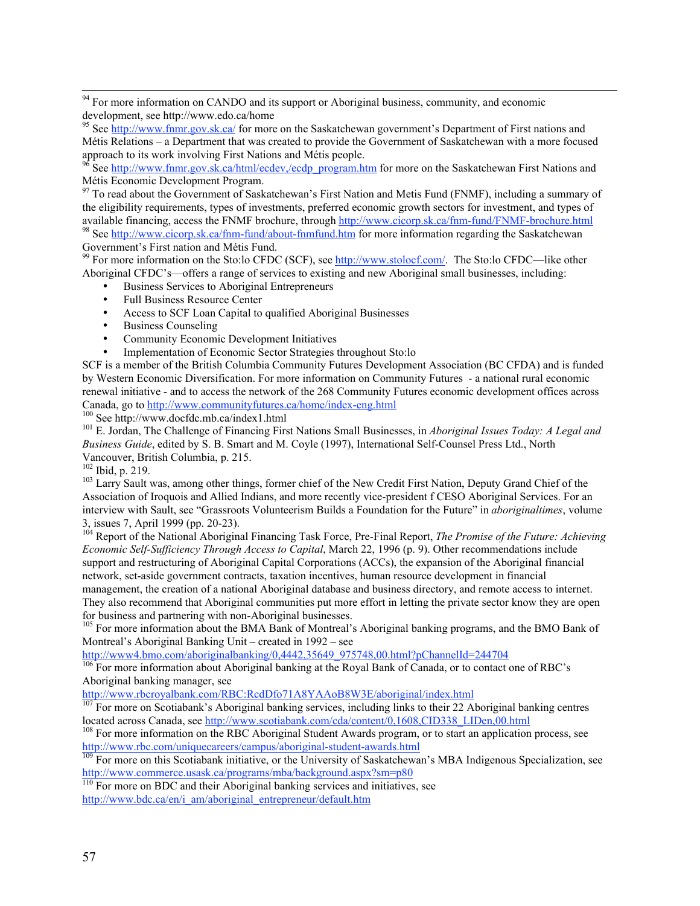<sup>94</sup> For more information on CANDO and its support or Aboriginal business, community, and economic development, see http://www.edo.ca/home

<sup>95</sup> See http://www.fnmr.gov.sk.ca/ for more on the Saskatchewan government's Department of First nations and Métis Relations – a Department that was created to provide the Government of Saskatchewan with a more focused

approach to its work involving First Nations and Métis people.<br><sup>96</sup> See <u>http://www.fnmr.gov.sk.ca/html/ecdev,/ecdp\_program.htm</u> for more on the Saskatchewan First Nations and Métis Economic Development Program.

<sup>97</sup> To read about the Government of Saskatchewan's First Nation and Metis Fund (FNMF), including a summary of the eligibility requirements, types of investments, preferred economic growth sectors for investment, and types of available financing, access the FNMF brochure, through http://www.cicorp.sk.ca/fnm-fund/FNMF-brochure.html <sup>98</sup> See http://www.cicorp.sk.ca/fnm-fund/about-finnfund.htm for more information regarding the Saskatchewan Government's First nation and Métis Fund.<br><sup>99</sup> For more information on the Sto:lo CFDC (SCF), see <u>http://www.stolocf.com/</u>. The Sto:lo CFDC—like other

Aboriginal CFDC's—offers a range of services to existing and new Aboriginal small businesses, including:

Business Services to Aboriginal Entrepreneurs

Full Business Resource Center

Access to SCF Loan Capital to qualified Aboriginal Businesses

Business Counseling

Community Economic Development Initiatives

Implementation of Economic Sector Strategies throughout Sto:lo

SCF is a member of the British Columbia Community Futures Development Association (BC CFDA) and is funded by Western Economic Diversification. For more information on Community Futures - a national rural economic renewal initiative - and to access the network of the 268 Community Futures economic development offices across Canada, go to http://www.communityfutures.ca/home/index-eng.html

<sup>100</sup> See http://www.docfdc.mb.ca/index1.html

 E. Jordan, The Challenge of Financing First Nations Small Businesses, in *Aboriginal Issues Today: A Legal and Business Guide*, edited by S. B. Smart and M. Coyle (1997), International Self-Counsel Press Ltd., North Vancouver, British Columbia, p. 215.

 $^{102}$  Ibid, p. 219.

<sup>103</sup> Larry Sault was, among other things, former chief of the New Credit First Nation, Deputy Grand Chief of the Association of Iroquois and Allied Indians, and more recently vice-president f CESO Aboriginal Services. For an interview with Sault, see "Grassroots Volunteerism Builds a Foundation for the Future" in *aboriginaltimes*, volume 3, issues 7, April 1999 (pp. 20-23).

<sup>104</sup> Report of the National Aboriginal Financing Task Force, Pre-Final Report, *The Promise of the Future: Achieving Economic Self-Sufficiency Through Access to Capital*, March 22, 1996 (p. 9). Other recommendations include support and restructuring of Aboriginal Capital Corporations (ACCs), the expansion of the Aboriginal financial network, set-aside government contracts, taxation incentives, human resource development in financial management, the creation of a national Aboriginal database and business directory, and remote access to internet. They also recommend that Aboriginal communities put more effort in letting the private sector know they are open for business and partnering with non-Aboriginal businesses.

<sup>105</sup> For more information about the BMA Bank of Montreal's Aboriginal banking programs, and the BMO Bank of Montreal's Aboriginal Banking Unit – created in 1992 – see

http://www4.bmo.com/aboriginalbanking/0,4442,35649\_975748,00.html?pChannelId=244704

<sup>106</sup> For more information about Aboriginal banking at the Royal Bank of Canada, or to contact one of RBC's Aboriginal banking manager, see

http://www.rbcroyalbank.com/RBC:RcdDfo71A8YAAoB8W3E/aboriginal/index.html

<sup>107</sup> For more on Scotiabank's Aboriginal banking services, including links to their 22 Aboriginal banking centres located across Canada, see http://www.scotiabank.com/cda/content/0,1608,CID338\_LIDen,00.html

<sup>108</sup> For more information on the RBC Aboriginal Student Awards program, or to start an application process, see http://www.rbc.com/uniquecareers/campus/aboriginal-student-awards.html<br><sup>109</sup> For more on this Scotiabank initiative, or the University of Saskatchewan's MBA Indigenous Specialization, see

http://www.commerce.usask.ca/programs/mba/background.aspx?sm=p80

 $110$  For more on BDC and their Aboriginal banking services and initiatives, see http://www.bdc.ca/en/i\_am/aboriginal\_entrepreneur/default.htm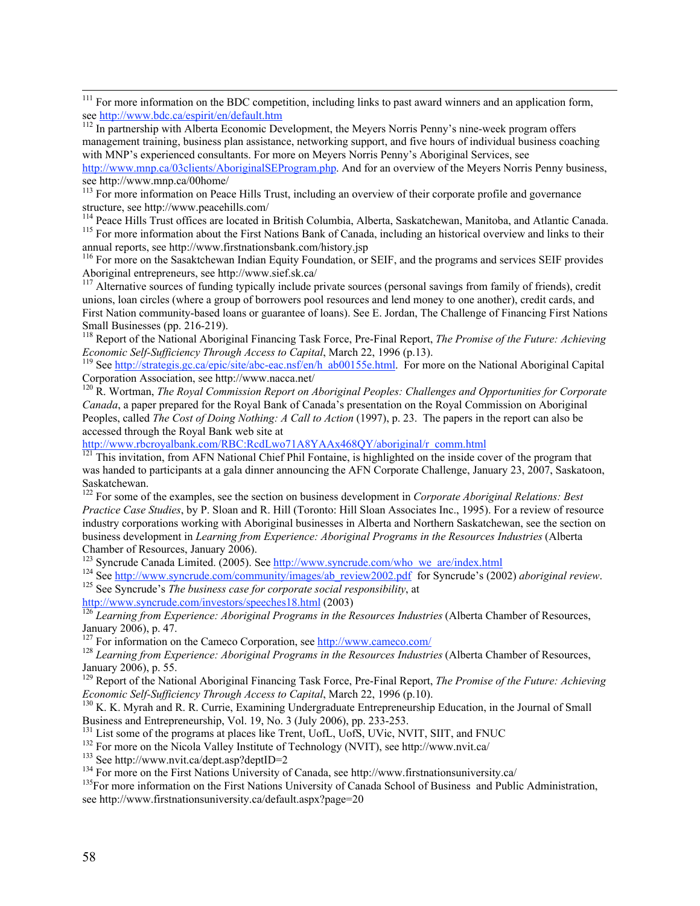management training, business plan assistance, networking support, and five hours of individual business coaching with MNP's experienced consultants. For more on Meyers Norris Penny's Aboriginal Services, see http://www.mnp.ca/03clients/AboriginalSEProgram.php. And for an overview of the Meyers Norris Penny business, see http://www.mnp.ca/00home/

<sup>114</sup> Peace Hills Trust offices are located in British Columbia, Alberta, Saskatchewan, Manitoba, and Atlantic Canada.<br><sup>115</sup> For more information shout the First Mations Bonk of Canada, including an historical avenuious an <sup>115</sup> For more information about the First Nations Bank of Canada, including an historical overview and links to their

annual reports, see http://www.firstnationsbank.com/history.jsp<br><sup>116</sup> For more on the Sasaktchewan Indian Equity Foundation, or SEIF, and the programs and services SEIF provides

Aboriginal entrepreneurs, see http://www.sief.sk.ca/<br><sup>117</sup> Alternative sources of funding typically include private sources (personal savings from family of friends), credit unions, loan circles (where a group of borrowers pool resources and lend money to one another), credit cards, and First Nation community-based loans or guarantee of loans). See E. Jordan, The Challenge of Financing First Nations Small Businesses (pp. 216-219).

118 Report of the National Aboriginal Financing Task Force, Pre-Final Report, *The Promise of the Future: Achieving Economic Self-Sufficiency Through Access to Capital*, March 22, 1996 (p.13).

<sup>119</sup> See http://strategis.gc.ca/epic/site/abc-eac.nsf/en/h\_ab00155e.html. For more on the National Aboriginal Capital Corporation Association, see http://www.nacca.net/

<sup>120</sup> R. Wortman, *The Royal Commission Report on Aboriginal Peoples: Challenges and Opportunities for Corporate Canada*, a paper prepared for the Royal Bank of Canada's presentation on the Royal Commission on Aboriginal Peoples, called *The Cost of Doing Nothing: A Call to Action* (1997), p. 23. The papers in the report can also be accessed through the Royal Bank web site at

http://www.rbcroyalbank.com/RBC:RcdLwo71A8YAAx468QY/aboriginal/r\_comm.html

<sup>121</sup> This invitation, from AFN National Chief Phil Fontaine, is highlighted on the inside cover of the program that was handed to participants at a gala dinner announcing the AFN Corporate Challenge, January 23, 2007, Saskatoon, Saskatchewan.

<sup>122</sup> For some of the examples, see the section on business development in *Corporate Aboriginal Relations: Best Practice Case Studies*, by P. Sloan and R. Hill (Toronto: Hill Sloan Associates Inc., 1995). For a review of resource industry corporations working with Aboriginal businesses in Alberta and Northern Saskatchewan, see the section on business development in *Learning from Experience: Aboriginal Programs in the Resources Industries* (Alberta Chamber of Resources, January 2006).

<sup>123</sup> Syncrude Canada Limited. (2005). See http://www.syncrude.com/who we are/index.html <sup>123</sup> Syncrude Canada Limited. (2005). See http://www.syncrude.com/who\_we\_are/index.html  $^{124}$  See http://www.gyncrude.com/popmynity/imagga/ob\_rayiayy2002.ndf\_for Syncrude?s (200

<sup>124</sup> See <u>http://www.syncrude.com/community/images/ab\_review2002.pdf</u> for Syncrude's (2002) *aboriginal review*. 125 See Syncrude's The hygings ages for compute goals removed in the structure of the hygings ages for comp <sup>125</sup> See Syncrude's *The business case for corporate social responsibility*, at http://www.syncrude.com/investors/speeches18.html (2003)

<sup>126</sup> Learning from Experience: Aboriginal Programs in the Resources Industries (Alberta Chamber of Resources, January 2006), p. 47.<br><sup>127</sup> Ear information of

<sup>128</sup> Learning from Experience: Aboriginal Programs in the Resources Industries (Alberta Chamber of Resources, January 2006), p. 55. 129 Report of the National Aboriginal Financing Task Force, Pre-Final Report, *The Promise of the Future: Achieving*

*Economic Self-Sufficiency Through Access to Capital, March 22, 1996 (p.10).* 

<sup>130</sup> K. K. Myrah and R. R. Currie, Examining Undergraduate Entrepreneurship Education, in the Journal of Small Business and Entrepreneurship, Vol. 19, No. 3 (July 2006), pp. 233-253.

<sup>131</sup> List some of the programs at places like Trent, UofL, UofS, UVic, NVIT, SIIT, and FNUC  $^{132}$  Ear mars on the Nigola Valley Institute of Taphnalogy (NVIT), see http://www.pyit.co/

<sup>132</sup> For more on the Nicola Valley Institute of Technology (NVIT), see http://www.nvit.ca/

 $133$  See http://www.nvit.ca/dept.asp?deptID=2

<sup>134</sup> For more on the First Nations University of Canada, see http://www.firstnationsuniversity.ca/

<sup>135</sup>For more information on the First Nations University of Canada School of Business and Public Administration, see http://www.firstnationsuniversity.ca/default.aspx?page=20

<sup>&</sup>lt;sup>111</sup> For more information on the BDC competition, including links to past award winners and an application form, see <u>http://www.bdc.ca/espirit/en/default.htm</u><br><sup>112</sup> In partnership with Alberta Economic Development, the Meyers Norris Penny's nine-week program offers

<sup>&</sup>lt;sup>113</sup> For more information on Peace Hills Trust, including an overview of their corporate profile and governance structure, see http://www.peacehills.com/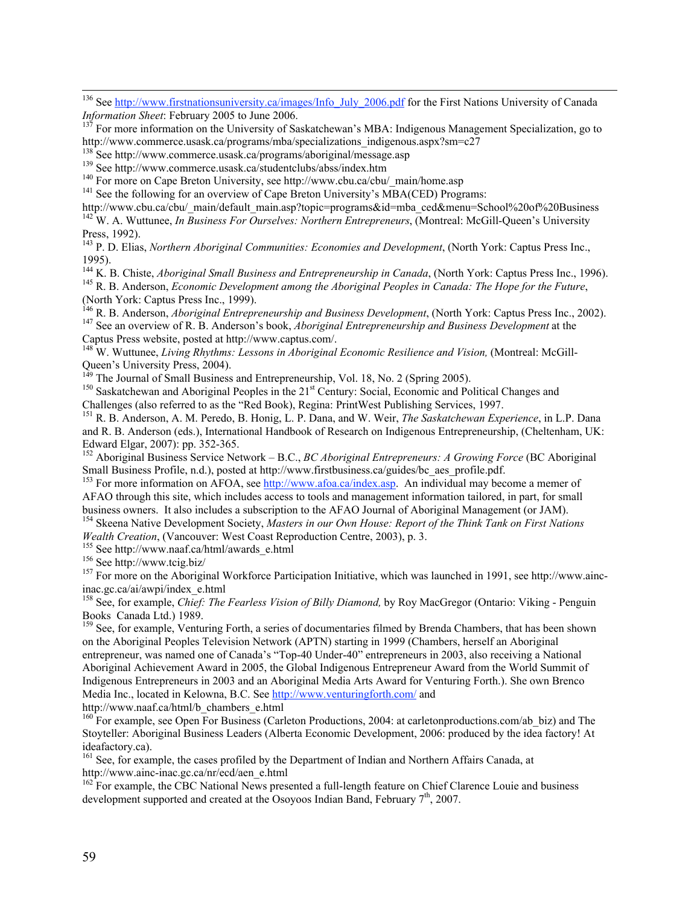<sup>136</sup> See http://www.firstnationsuniversity.ca/images/Info\_July\_2006.pdf for the First Nations University of Canada

*Information Sheet*: February 2005 to June 2006.<br><sup>137</sup> For more information on the University of Saskatchewan's MBA: Indigenous Management Specialization, go to http://www.commerce.usask.ca/programs/mba/specializations\_indigenous.aspx?sm=c27<br>
<sup>138</sup> See http://www.commerce.usask.ca/programs/aboriginal/message.asp<br>
<sup>139</sup> See http://www.commerce.usask.ca/programs/aboriginal/message.a

<sup>139</sup> See http://www.commerce.usask.ca/studentclubs/abss/index.htm

 $F$ <sup>140</sup> For more on Cape Breton University, see http://www.cbu.ca/cbu/\_main/home.asp

 $141$  See the following for an overview of Cape Breton University's MBA(CED) Programs:

http://www.cbu.ca/cbu/\_main/default\_main.asp?topic=programs&id=mba\_ced&menu=School%20of%20Business

<sup>142</sup> W. A. Wuttunee, *In Business For Ourselves: Northern Entrepreneurs*, (Montreal: McGill-Queen's University Press, 1992).

<sup>143</sup> P. D. Elias, *Northern Aboriginal Communities: Economies and Development*, (North York: Captus Press Inc., 1995).

<sup>144</sup> K. B. Chiste, *Aboriginal Small Business and Entrepreneurship in Canada*, (North York: Captus Press Inc., 1996).<br><sup>145</sup> B. B. Anderson, *Economic Davelopment among the Aboriginal Booples in Canada: The Hope for the Eu* 

<sup>145</sup> R. B. Anderson, *Economic Development among the Aboriginal Peoples in Canada: The Hope for the Future*,

(North York: Captus Press Inc., 1999).<br><sup>146</sup> R. B. Anderson, *Aboriginal Entrepreneurship and Business Development*, (North York: Captus Press Inc., 2002).<br><sup>147</sup> See an overview of B. B. Anderson's book. Aboriginal Entrepr <sup>147</sup> See an overview of R. B. Anderson's book, *Aboriginal Entrepreneurship and Business Development* at the Captus Press website, posted at http://www.captus.com/.

148 W. Wuttunee, *Living Rhythms: Lessons in Aboriginal Economic Resilience and Vision,* (Montreal: McGill-

Queen's University Press, 2004).<br><sup>149</sup> The Journal of Small Business and Entrepreneurship, Vol. 18, No. 2 (Spring 2005).<br><sup>150</sup> Secletabrium and Abericinal Peaples in the 21<sup>st</sup> Century Secial Economic and Pa

<sup>150</sup> Saskatchewan and Aboriginal Peoples in the  $21<sup>st</sup>$  Century: Social, Economic and Political Changes and

Challenges (also referred to as the "Red Book), Regina: PrintWest Publishing Services, 1997. 151 R. B. Anderson, A. M. Peredo, B. Honig, L. P. Dana, and W. Weir, *The Saskatchewan Experience*, in L.P. Dana and R. B. Anderson (eds.), International Handbook of Research on Indigenous Entrepreneurship, (Cheltenham, UK: Edward Elgar, 2007): pp. 352-365.

152 Aboriginal Business Service Network – B.C., *BC Aboriginal Entrepreneurs: A Growing Force* (BC Aboriginal Small Business Profile, n.d.), posted at http://www.firstbusiness.ca/guides/bc\_aes\_profile.pdf.

<sup>153</sup> For more information on AFOA, see http://www.afoa.ca/index.asp. An individual may become a memer of AFAO through this site, which includes access to tools and management information tailored, in part, for small business owners. It also includes a subscription to the AFAO Journal of Aboriginal Management (or JAM).

<sup>154</sup> Skeena Native Development Society, Masters in our Own House: Report of the Think Tank on First Nations *Wealth Creation*, (Vancouver: West Coast Reproduction Centre, 2003), p. 3.

 $155$  See http://www.naaf.ca/html/awards\_e.html

 $156$  See http://www.tcig.biz/

<sup>157</sup> For more on the Aboriginal Workforce Participation Initiative, which was launched in 1991, see http://www.aincinac.gc.ca/ai/awpi/index\_e.html

<sup>158</sup> See, for example, *Chief: The Fearless Vision of Billy Diamond*, by Roy MacGregor (Ontario: Viking - Penguin Books Canada Ltd.) 1989.

<sup>159</sup> See, for example, Venturing Forth, a series of documentaries filmed by Brenda Chambers, that has been shown on the Aboriginal Peoples Television Network (APTN) starting in 1999 (Chambers, herself an Aboriginal entrepreneur, was named one of Canada's "Top-40 Under-40" entrepreneurs in 2003, also receiving a National Aboriginal Achievement Award in 2005, the Global Indigenous Entrepreneur Award from the World Summit of Indigenous Entrepreneurs in 2003 and an Aboriginal Media Arts Award for Venturing Forth.). She own Brenco Media Inc., located in Kelowna, B.C. See http://www.venturingforth.com/ and

http://www.naaf.ca/html/b\_chambers\_e.html

 $^{160}$  For example, see Open For Business (Carleton Productions, 2004: at carletonproductions.com/ab\_biz) and The Stoyteller: Aboriginal Business Leaders (Alberta Economic Development, 2006: produced by the idea factory! At ideafactory.ca).

<sup>161</sup> See, for example, the cases profiled by the Department of Indian and Northern Affairs Canada, at http://www.ainc-inac.gc.ca/nr/ecd/aen\_e.html

<sup>162</sup> For example, the CBC National News presented a full-length feature on Chief Clarence Louie and business development supported and created at the Osoyoos Indian Band, February  $7<sup>th</sup>$ , 2007.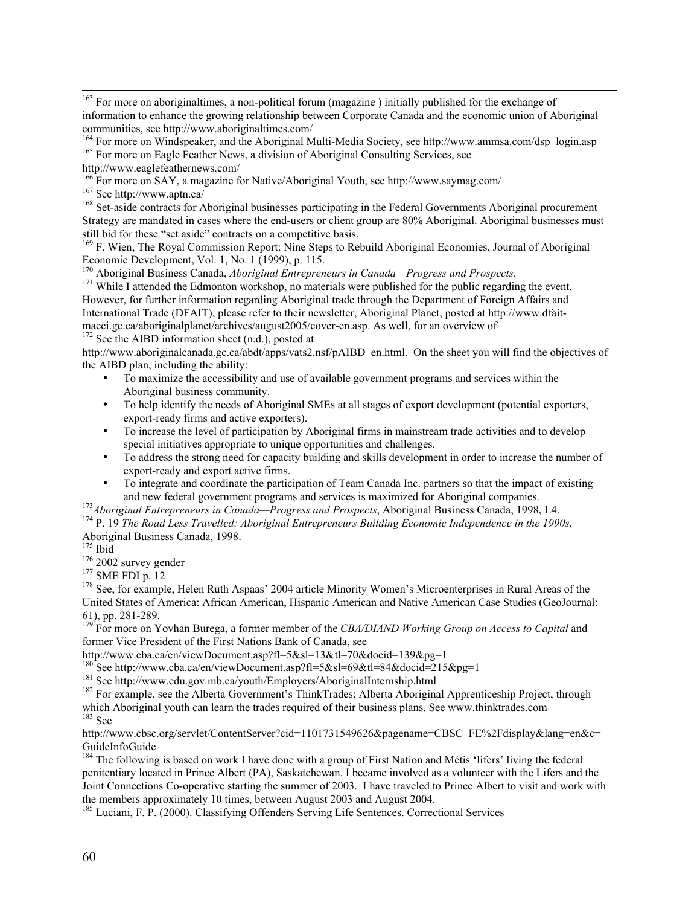<sup>163</sup> For more on aboriginaltimes, a non-political forum (magazine) initially published for the exchange of information to enhance the growing relationship between Corporate Canada and the economic union of Aboriginal communities, see http://www.aboriginaltimes.com/

<sup>164</sup> For more on Windspeaker, and the Aboriginal Multi-Media Society, see http://www.ammsa.com/dsp\_login.asp 165 Eer more on Eacle Feather News, a division of Aboriginal Consulting Services, see <sup>165</sup> For more on Eagle Feather News, a division of Aboriginal Consulting Services, see

http://www.eaglefeathernews.com/

<sup>166</sup> For more on SAY, a magazine for Native/Aboriginal Youth, see http://www.saymag.com/<br><sup>167</sup> See http://www.enth.co/

 $167$  See http://www.aptn.ca/

<sup>168</sup> Set-aside contracts for Aboriginal businesses participating in the Federal Governments Aboriginal procurement Strategy are mandated in cases where the end-users or client group are 80% Aboriginal. Aboriginal businesses must still bid for these "set aside" contracts on a competitive basis.

<sup>169</sup> F. Wien, The Royal Commission Report: Nine Steps to Rebuild Aboriginal Economies, Journal of Aboriginal

Economic Development, Vol. 1, No. 1 (1999), p. 115.<br><sup>170</sup> Aboriginal Business Canada, *Aboriginal Entrepreneurs in Canada—Progress and Prospects*.<br><sup>171</sup> While Lattended the Edmonton workshop, no materials were published fo

<sup>171</sup> While I attended the Edmonton workshop, no materials were published for the public regarding the event. However, for further information regarding Aboriginal trade through the Department of Foreign Affairs and International Trade (DFAIT), please refer to their newsletter, Aboriginal Planet, posted at http://www.dfaitmaeci.gc.ca/aboriginalplanet/archives/august2005/cover-en.asp. As well, for an overview of

<sup>172</sup> See the AIBD information sheet (n.d.), posted at

http://www.aboriginalcanada.gc.ca/abdt/apps/vats2.nsf/pAIBD\_en.html. On the sheet you will find the objectives of the AIBD plan, including the ability:

To maximize the accessibility and use of available government programs and services within the Aboriginal business community.

To help identify the needs of Aboriginal SMEs at all stages of export development (potential exporters, export-ready firms and active exporters).

To increase the level of participation by Aboriginal firms in mainstream trade activities and to develop special initiatives appropriate to unique opportunities and challenges.

To address the strong need for capacity building and skills development in order to increase the number of export-ready and export active firms.

To integrate and coordinate the participation of Team Canada Inc. partners so that the impact of existing and new federal government programs and services is maximized for Aboriginal companies.

<sup>173</sup> Aboriginal Entrepreneurs in Canada—Progress and Prospects, Aboriginal Business Canada, 1998, L4.

<sup>174</sup> P. 19 *The Road Less Travelled: Aboriginal Entrepreneurs Building Economic Independence in the 1990s,* Aboriginal Business Canada, 1998.

<sup>175</sup> Ibid

 $176$  2002 survey gender

 $177$  SME FDI p. 12

<sup>178</sup> See, for example, Helen Ruth Aspaas' 2004 article Minority Women's Microenterprises in Rural Areas of the United States of America: African American, Hispanic American and Native American Case Studies (GeoJournal: 61), pp. 281-289.

<sup>179</sup> For more on Yovhan Burega, a former member of the *CBA/DIAND Working Group on Access to Capital* and former Vice President of the First Nations Bank of Canada, see

http://www.cba.ca/en/viewDocument.asp?fl=5&sl=13&tl=70&docid=139&pg=1

<sup>180</sup>See http://www.cba.ca/en/viewDocument.asp?fl=5&sl=69&tl=84&docid=215&pg=1<br><sup>181</sup>See http://www.cdu.gov.mb.go/youth/Employers/AbericingUnterpeakin.html

<sup>181</sup> See http://www.edu.gov.mb.ca/youth/Employers/AboriginalInternship.html

 $^{182}$  For example, see the Alberta Government's ThinkTrades: Alberta Aboriginal Apprenticeship Project, through which Aboriginal youth can learn the trades required of their business plans. See www.thinktrades.com<br><sup>183</sup> See

http://www.cbsc.org/servlet/ContentServer?cid=1101731549626&pagename=CBSC\_FE%2Fdisplay&lang=en&c= GuideInfoGuide

<sup>184</sup> The following is based on work I have done with a group of First Nation and Métis 'lifers' living the federal penitentiary located in Prince Albert (PA), Saskatchewan. I became involved as a volunteer with the Lifers and the Joint Connections Co-operative starting the summer of 2003. I have traveled to Prince Albert to visit and work with the members approximately 10 times, between August 2003 and August 2004.

<sup>185</sup> Luciani, F. P. (2000). Classifying Offenders Serving Life Sentences. Correctional Services